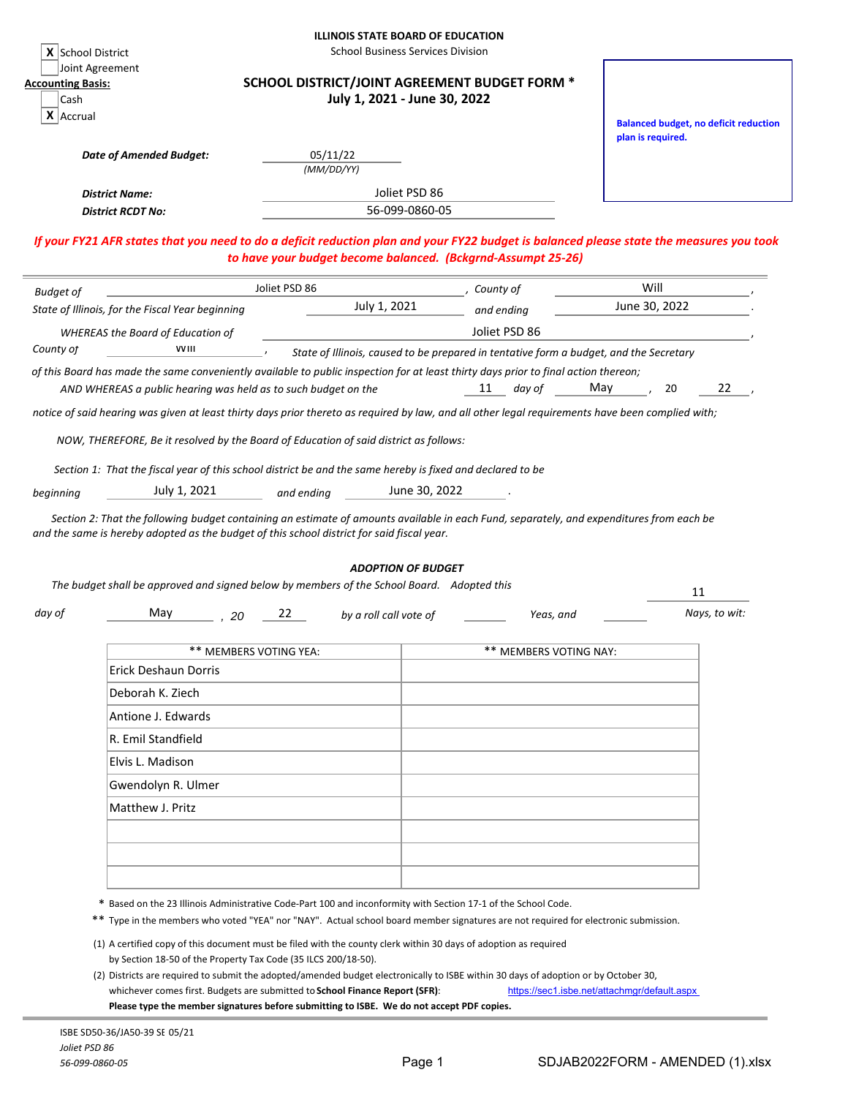| X School District                                 | Joint Agreement                                                                                                                                                                                                                                                                                                                                                 |                              | <b>ILLINOIS STATE BOARD OF EDUCATION</b><br><b>School Business Services Division</b>   |                        |                                                                                                                                          |
|---------------------------------------------------|-----------------------------------------------------------------------------------------------------------------------------------------------------------------------------------------------------------------------------------------------------------------------------------------------------------------------------------------------------------------|------------------------------|----------------------------------------------------------------------------------------|------------------------|------------------------------------------------------------------------------------------------------------------------------------------|
| <b>Accounting Basis:</b><br>Cash<br>$X$   Accrual |                                                                                                                                                                                                                                                                                                                                                                 |                              | SCHOOL DISTRICT/JOINT AGREEMENT BUDGET FORM *<br>July 1, 2021 - June 30, 2022          |                        |                                                                                                                                          |
|                                                   | <b>Date of Amended Budget:</b>                                                                                                                                                                                                                                                                                                                                  | 05/11/22                     |                                                                                        |                        | <b>Balanced budget, no deficit reduction</b><br>plan is required.                                                                        |
|                                                   |                                                                                                                                                                                                                                                                                                                                                                 | (MM/DD/YY)                   |                                                                                        |                        |                                                                                                                                          |
|                                                   | <b>District Name:</b><br><b>District RCDT No:</b>                                                                                                                                                                                                                                                                                                               |                              | Joliet PSD 86<br>56-099-0860-05                                                        |                        |                                                                                                                                          |
|                                                   |                                                                                                                                                                                                                                                                                                                                                                 |                              | to have your budget become balanced. (Bckgrnd-Assumpt 25-26)                           |                        | If your FY21 AFR states that you need to do a deficit reduction plan and your FY22 budget is balanced please state the measures you took |
| <b>Budget of</b>                                  |                                                                                                                                                                                                                                                                                                                                                                 | Joliet PSD 86                | County of                                                                              |                        | Will                                                                                                                                     |
|                                                   | State of Illinois, for the Fiscal Year beginning                                                                                                                                                                                                                                                                                                                | July 1, 2021                 | and ending                                                                             |                        | June 30, 2022                                                                                                                            |
|                                                   | <b>WHEREAS the Board of Education of</b>                                                                                                                                                                                                                                                                                                                        |                              | Joliet PSD 86                                                                          |                        |                                                                                                                                          |
| County of                                         | <b>VVIII</b>                                                                                                                                                                                                                                                                                                                                                    |                              | State of Illinois, caused to be prepared in tentative form a budget, and the Secretary |                        |                                                                                                                                          |
|                                                   | of this Board has made the same conveniently available to public inspection for at least thirty days prior to final action thereon;<br>AND WHEREAS a public hearing was held as to such budget on the                                                                                                                                                           |                              | 11                                                                                     | May<br>day of          | 22<br>20                                                                                                                                 |
| beginning                                         | NOW, THEREFORE, Be it resolved by the Board of Education of said district as follows:<br>Section 1: That the fiscal year of this school district be and the same hereby is fixed and declared to be<br>July 1, 2021<br>Section 2: That the following budget containing an estimate of amounts available in each Fund, separately, and expenditures from each be | and ending                   | June 30, 2022                                                                          |                        |                                                                                                                                          |
|                                                   | and the same is hereby adopted as the budget of this school district for said fiscal year.                                                                                                                                                                                                                                                                      |                              | <b>ADOPTION OF BUDGET</b>                                                              |                        |                                                                                                                                          |
|                                                   | The budget shall be approved and signed below by members of the School Board. Adopted this                                                                                                                                                                                                                                                                      |                              |                                                                                        |                        | 11                                                                                                                                       |
| day of                                            | May<br>20                                                                                                                                                                                                                                                                                                                                                       | 22<br>by a roll call vote of |                                                                                        | Yeas, and              | Nays, to wit:                                                                                                                            |
|                                                   | ** MEMBERS VOTING YEA:                                                                                                                                                                                                                                                                                                                                          |                              |                                                                                        | ** MEMBERS VOTING NAY: |                                                                                                                                          |
|                                                   | Erick Deshaun Dorris                                                                                                                                                                                                                                                                                                                                            |                              |                                                                                        |                        |                                                                                                                                          |
|                                                   | Deborah K. Ziech                                                                                                                                                                                                                                                                                                                                                |                              |                                                                                        |                        |                                                                                                                                          |
|                                                   | Antione J. Edwards                                                                                                                                                                                                                                                                                                                                              |                              |                                                                                        |                        |                                                                                                                                          |
|                                                   | R. Emil Standfield                                                                                                                                                                                                                                                                                                                                              |                              |                                                                                        |                        |                                                                                                                                          |
|                                                   | Elvis L. Madison                                                                                                                                                                                                                                                                                                                                                |                              |                                                                                        |                        |                                                                                                                                          |
|                                                   | Gwendolyn R. Ulmer                                                                                                                                                                                                                                                                                                                                              |                              |                                                                                        |                        |                                                                                                                                          |
|                                                   | Matthew J. Pritz                                                                                                                                                                                                                                                                                                                                                |                              |                                                                                        |                        |                                                                                                                                          |
|                                                   |                                                                                                                                                                                                                                                                                                                                                                 |                              |                                                                                        |                        |                                                                                                                                          |
|                                                   |                                                                                                                                                                                                                                                                                                                                                                 |                              |                                                                                        |                        |                                                                                                                                          |
|                                                   | * Based on the 23 Illinois Administrative Code-Part 100 and inconformity with Section 17-1 of the School Code.<br>** Type in the members who voted "YEA" nor "NAY". Actual school board member signatures are not required for electronic submission.                                                                                                           |                              |                                                                                        |                        |                                                                                                                                          |
|                                                   | (1) A certified copy of this document must be filed with the county clerk within 30 days of adoption as required<br>by Section 18-50 of the Property Tax Code (35 ILCS 200/18-50).<br>(2) Districts are required to submit the adopted/amended budget electronically to ISBE within 30 days of adoption or by October 30,                                       |                              |                                                                                        |                        |                                                                                                                                          |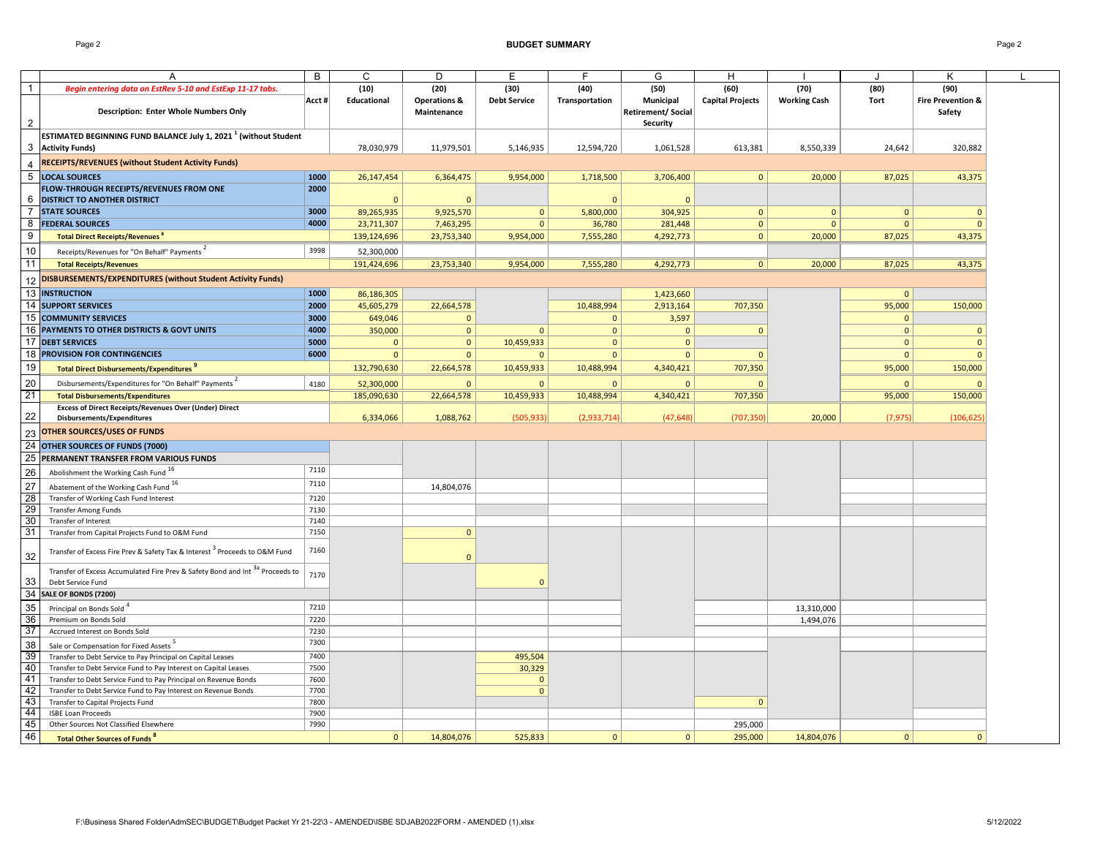Page 2 **BUDGET SUMMARY** Page 2

|                                                             | A                                                                                      | B      | С              | D                                      | Е                   |                | G                                                 | H                       |                     |                | K                                      |  |
|-------------------------------------------------------------|----------------------------------------------------------------------------------------|--------|----------------|----------------------------------------|---------------------|----------------|---------------------------------------------------|-------------------------|---------------------|----------------|----------------------------------------|--|
| $\overline{1}$                                              | Begin entering data on EstRev 5-10 and EstExp 11-17 tabs.                              |        | (10)           | (20)                                   | (30)                | (40)           | (50)                                              | (60)                    | (70)                | (80)           | (90)                                   |  |
| $\overline{2}$                                              | <b>Description: Enter Whole Numbers Only</b>                                           | Acct # | Educational    | <b>Operations &amp;</b><br>Maintenance | <b>Debt Service</b> | Transportation | Municipal<br><b>Retirement/Social</b><br>Security | <b>Capital Projects</b> | <b>Working Cash</b> | Tort           | <b>Fire Prevention &amp;</b><br>Safety |  |
|                                                             | ESTIMATED BEGINNING FUND BALANCE July 1, 2021 <sup>1</sup> (without Student            |        |                |                                        |                     |                |                                                   |                         |                     |                |                                        |  |
|                                                             | 3 Activity Funds)                                                                      |        | 78,030,979     | 11,979,501                             | 5,146,935           | 12,594,720     | 1,061,528                                         | 613,381                 | 8,550,339           | 24,642         | 320,882                                |  |
| $\overline{4}$                                              | RECEIPTS/REVENUES (without Student Activity Funds)                                     |        |                |                                        |                     |                |                                                   |                         |                     |                |                                        |  |
| 5                                                           | <b>LOCAL SOURCES</b>                                                                   | 1000   | 26,147,454     | 6,364,475                              | 9,954,000           | 1,718,500      | 3,706,400                                         | 0                       | 20,000              | 87,025         | 43,375                                 |  |
|                                                             | FLOW-THROUGH RECEIPTS/REVENUES FROM ONE                                                | 2000   |                |                                        |                     |                |                                                   |                         |                     |                |                                        |  |
| 6                                                           | <b>DISTRICT TO ANOTHER DISTRICT</b>                                                    |        | $\Omega$       | $\Omega$                               |                     | $\Omega$       | $\Omega$                                          |                         |                     |                |                                        |  |
| $\overline{7}$                                              | <b>STATE SOURCES</b>                                                                   | 3000   | 89,265,935     | 9,925,570                              | $\mathbf{0}$        | 5,800,000      | 304,925                                           | $\mathbf{0}$            | $\mathbf{0}$        | $\Omega$       | $\mathbf{0}$                           |  |
| 8                                                           | <b>FEDERAL SOURCES</b>                                                                 | 4000   | 23,711,307     | 7,463,295                              | $\mathbf{0}$        | 36,780         | 281,448                                           | $\mathbf{0}$            | $\mathbf{0}$        | $\Omega$       | $\mathbf{0}$                           |  |
| 9                                                           |                                                                                        |        |                |                                        | 9,954,000           |                | 4,292,773                                         | $\circ$                 |                     | 87,025         | 43,375                                 |  |
|                                                             | Total Direct Receipts/Revenues                                                         |        | 139,124,696    | 23,753,340                             |                     | 7,555,280      |                                                   |                         | 20,000              |                |                                        |  |
| 10                                                          | Receipts/Revenues for "On Behalf" Payments                                             | 3998   | 52,300,000     |                                        |                     |                |                                                   |                         |                     |                |                                        |  |
| 11                                                          | <b>Total Receipts/Revenues</b>                                                         |        | 191,424,696    | 23,753,340                             | 9,954,000           | 7,555,280      | 4,292,773                                         | 0                       | 20,000              | 87,025         | 43,375                                 |  |
| 12                                                          | DISBURSEMENTS/EXPENDITURES (without Student Activity Funds)                            |        |                |                                        |                     |                |                                                   |                         |                     |                |                                        |  |
| 13                                                          | <b>INSTRUCTION</b>                                                                     | 1000   | 86,186,305     |                                        |                     |                | 1,423,660                                         |                         |                     | $\Omega$       |                                        |  |
|                                                             | 14 SUPPORT SERVICES                                                                    | 2000   |                |                                        |                     |                |                                                   |                         |                     |                |                                        |  |
|                                                             |                                                                                        |        | 45,605,279     | 22,664,578                             |                     | 10,488,994     | 2,913,164                                         | 707,350                 |                     | 95,000         | 150,000                                |  |
| 15                                                          | <b>COMMUNITY SERVICES</b>                                                              | 3000   | 649,046        | $\mathbf{0}$                           |                     | $\mathbf{0}$   | 3,597                                             |                         |                     | $\mathbf{0}$   |                                        |  |
| 16                                                          | PAYMENTS TO OTHER DISTRICTS & GOVT UNITS                                               | 4000   | 350,000        | $\mathbf{0}$                           | $\Omega$            | $\mathbf{0}$   | $\mathbf{0}$                                      | $\mathbf{0}$            |                     | $\Omega$       | $\mathbf{0}$                           |  |
|                                                             | <b>17 DEBT SERVICES</b>                                                                | 5000   | $\mathbf{0}$   | $\mathbf 0$                            | 10,459,933          | $\Omega$       | $\mathbf{0}$                                      |                         |                     | $\overline{0}$ | $\mathbf{0}$                           |  |
|                                                             | <b>18 PROVISION FOR CONTINGENCIES</b>                                                  | 6000   | $\mathbf{0}$   | $\mathbf 0$                            | $\mathbf{0}$        | $\mathbf{0}$   | $\mathbf{0}$                                      | $\Omega$                |                     | $\mathbf{0}$   | $\mathbf{0}$                           |  |
| 19                                                          | <b>Total Direct Disbursements/Expenditures</b>                                         |        | 132,790,630    | 22,664,578                             | 10,459,933          | 10,488,994     | 4,340,421                                         | 707,350                 |                     | 95,000         | 150,000                                |  |
| 20                                                          | Disbursements/Expenditures for "On Behalf" Payments                                    | 4180   | 52,300,000     | $\Omega$                               | $\mathbf{0}$        | $\mathbf{0}$   | $\Omega$                                          |                         |                     | $\Omega$       | $\Omega$                               |  |
| 21                                                          | <b>Total Disbursements/Expenditures</b>                                                |        | 185,090,630    | 22,664,578                             | 10,459,933          | 10,488,994     | 4,340,421                                         | 707,350                 |                     | 95,000         | 150,000                                |  |
|                                                             | Excess of Direct Receipts/Revenues Over (Under) Direct                                 |        |                |                                        |                     |                |                                                   |                         |                     |                |                                        |  |
| 22                                                          | Disbursements/Expenditures                                                             |        | 6,334,066      | 1,088,762                              | (505, 933)          | (2,933,714)    | (47, 648)                                         | (707, 350)              | 20,000              | (7, 975)       | (106, 625)                             |  |
|                                                             | <b>OTHER SOURCES/USES OF FUNDS</b>                                                     |        |                |                                        |                     |                |                                                   |                         |                     |                |                                        |  |
| 23                                                          |                                                                                        |        |                |                                        |                     |                |                                                   |                         |                     |                |                                        |  |
|                                                             | 24 OTHER SOURCES OF FUNDS (7000)                                                       |        |                |                                        |                     |                |                                                   |                         |                     |                |                                        |  |
|                                                             | 25 PERMANENT TRANSFER FROM VARIOUS FUNDS                                               |        |                |                                        |                     |                |                                                   |                         |                     |                |                                        |  |
| 26                                                          | Abolishment the Working Cash Fund 16                                                   | 7110   |                |                                        |                     |                |                                                   |                         |                     |                |                                        |  |
|                                                             | Abatement of the Working Cash Fund 16                                                  | 7110   |                | 14,804,076                             |                     |                |                                                   |                         |                     |                |                                        |  |
|                                                             | Transfer of Working Cash Fund Interest                                                 | 7120   |                |                                        |                     |                |                                                   |                         |                     |                |                                        |  |
| $\begin{array}{c}\n 27 \\  28 \\  \hline\n 9\n \end{array}$ | <b>Transfer Among Funds</b>                                                            | 7130   |                |                                        |                     |                |                                                   |                         |                     |                |                                        |  |
|                                                             | Transfer of Interest                                                                   | 7140   |                |                                        |                     |                |                                                   |                         |                     |                |                                        |  |
| $\frac{30}{31}$                                             | Transfer from Capital Projects Fund to O&M Fund                                        | 7150   |                | $\mathbf{0}$                           |                     |                |                                                   |                         |                     |                |                                        |  |
|                                                             |                                                                                        |        |                |                                        |                     |                |                                                   |                         |                     |                |                                        |  |
| 32                                                          | Transfer of Excess Fire Prev & Safety Tax & Interest <sup>3</sup> Proceeds to O&M Fund | 7160   |                | $\Omega$                               |                     |                |                                                   |                         |                     |                |                                        |  |
|                                                             | Transfer of Excess Accumulated Fire Prev & Safety Bond and Int 3a Proceeds to          | 7170   |                |                                        |                     |                |                                                   |                         |                     |                |                                        |  |
| 33                                                          | Debt Service Fund                                                                      |        |                |                                        | $\Omega$            |                |                                                   |                         |                     |                |                                        |  |
|                                                             | 34 SALE OF BONDS (7200)                                                                |        |                |                                        |                     |                |                                                   |                         |                     |                |                                        |  |
| 35                                                          | Principal on Bonds Sold                                                                | 7210   |                |                                        |                     |                |                                                   |                         | 13,310,000          |                |                                        |  |
| 36                                                          | Premium on Bonds Sold                                                                  | 7220   |                |                                        |                     |                |                                                   |                         | 1,494,076           |                |                                        |  |
| 37                                                          | Accrued Interest on Bonds Sold                                                         | 7230   |                |                                        |                     |                |                                                   |                         |                     |                |                                        |  |
| 38                                                          | Sale or Compensation for Fixed Assets                                                  | 7300   |                |                                        |                     |                |                                                   |                         |                     |                |                                        |  |
| 39                                                          | Transfer to Debt Service to Pay Principal on Capital Leases                            | 7400   |                |                                        | 495,504             |                |                                                   |                         |                     |                |                                        |  |
| 40                                                          | Transfer to Debt Service Fund to Pay Interest on Capital Leases                        | 7500   |                |                                        | 30,329              |                |                                                   |                         |                     |                |                                        |  |
| 41                                                          | Transfer to Debt Service Fund to Pay Principal on Revenue Bonds                        | 7600   |                |                                        | $\mathbf{0}$        |                |                                                   |                         |                     |                |                                        |  |
| 42                                                          | Transfer to Debt Service Fund to Pay Interest on Revenue Bonds                         | 7700   |                |                                        | $\mathbf{0}$        |                |                                                   |                         |                     |                |                                        |  |
| 43                                                          | Transfer to Capital Projects Fund                                                      | 7800   |                |                                        |                     |                |                                                   | $\mathbf{0}$            |                     |                |                                        |  |
| 44                                                          | <b>ISBE Loan Proceeds</b>                                                              | 7900   |                |                                        |                     |                |                                                   |                         |                     |                |                                        |  |
| 45                                                          | Other Sources Not Classified Elsewhere                                                 | 7990   |                |                                        |                     |                |                                                   | 295,000                 |                     |                |                                        |  |
| 46                                                          | <b>Total Other Sources of Funds<sup>8</sup></b>                                        |        | $\overline{0}$ | 14,804,076                             | 525,833             | 0              | $\mathbf{0}$                                      | 295,000                 | 14,804,076          | $\overline{0}$ | $\mathbf{0}$                           |  |
|                                                             |                                                                                        |        |                |                                        |                     |                |                                                   |                         |                     |                |                                        |  |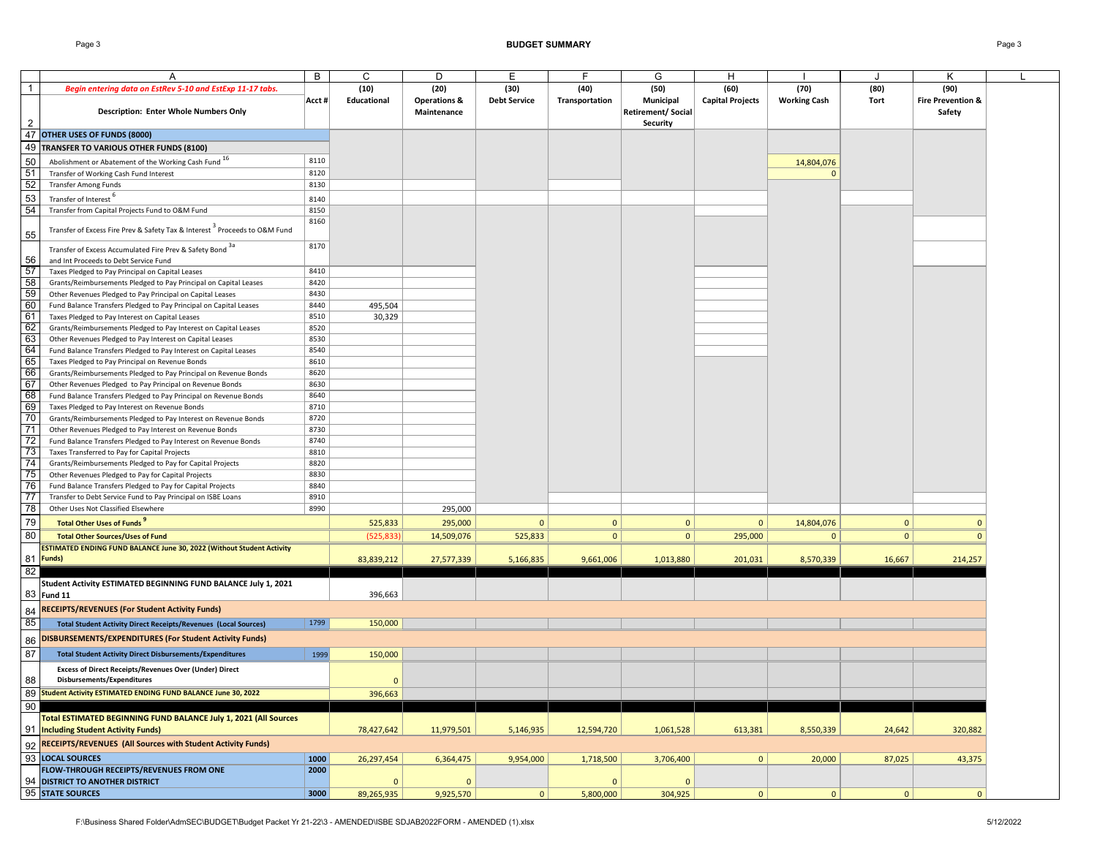|                 | Α                                                                                                                            | B            | C            | D                       | E                   | E              | G                        | Н                       |                        |              | Κ                            |  |
|-----------------|------------------------------------------------------------------------------------------------------------------------------|--------------|--------------|-------------------------|---------------------|----------------|--------------------------|-------------------------|------------------------|--------------|------------------------------|--|
| $\mathbf{1}$    | Begin entering data on EstRev 5-10 and EstExp 11-17 tabs.                                                                    |              | (10)         | (20)                    | (30)                | (40)           | (50)                     | (60)                    | (70)                   | (80)         | (90)                         |  |
|                 |                                                                                                                              | Acct #       | Educational  | <b>Operations &amp;</b> | <b>Debt Service</b> | Transportation | Municipal                | <b>Capital Projects</b> | <b>Working Cash</b>    | Tort         | <b>Fire Prevention &amp;</b> |  |
|                 | <b>Description: Enter Whole Numbers Only</b>                                                                                 |              |              | Maintenance             |                     |                | <b>Retirement/Social</b> |                         |                        |              | Safety                       |  |
| $\overline{2}$  |                                                                                                                              |              |              |                         |                     |                | <b>Security</b>          |                         |                        |              |                              |  |
|                 | 47 OTHER USES OF FUNDS (8000)                                                                                                |              |              |                         |                     |                |                          |                         |                        |              |                              |  |
|                 | 49 TRANSFER TO VARIOUS OTHER FUNDS (8100)                                                                                    |              |              |                         |                     |                |                          |                         |                        |              |                              |  |
|                 | Abolishment or Abatement of the Working Cash Fund 16                                                                         | 8110         |              |                         |                     |                |                          |                         |                        |              |                              |  |
|                 | Transfer of Working Cash Fund Interest                                                                                       | 8120         |              |                         |                     |                |                          |                         | 14,804,076<br>$\Omega$ |              |                              |  |
| $\frac{50}{51}$ | <b>Transfer Among Funds</b>                                                                                                  | 8130         |              |                         |                     |                |                          |                         |                        |              |                              |  |
|                 |                                                                                                                              |              |              |                         |                     |                |                          |                         |                        |              |                              |  |
| $\frac{53}{54}$ | Transfer of Interest <sup>6</sup>                                                                                            | 8140         |              |                         |                     |                |                          |                         |                        |              |                              |  |
|                 | Transfer from Capital Projects Fund to O&M Fund                                                                              | 8150<br>8160 |              |                         |                     |                |                          |                         |                        |              |                              |  |
|                 | Transfer of Excess Fire Prev & Safety Tax & Interest <sup>3</sup> Proceeds to O&M Fund                                       |              |              |                         |                     |                |                          |                         |                        |              |                              |  |
| 55              |                                                                                                                              |              |              |                         |                     |                |                          |                         |                        |              |                              |  |
|                 | Transfer of Excess Accumulated Fire Prev & Safety Bond 3a                                                                    | 8170         |              |                         |                     |                |                          |                         |                        |              |                              |  |
|                 | and Int Proceeds to Debt Service Fund                                                                                        |              |              |                         |                     |                |                          |                         |                        |              |                              |  |
|                 | Taxes Pledged to Pay Principal on Capital Leases                                                                             | 8410         |              |                         |                     |                |                          |                         |                        |              |                              |  |
|                 | Grants/Reimbursements Pledged to Pay Principal on Capital Leases                                                             | 8420         |              |                         |                     |                |                          |                         |                        |              |                              |  |
|                 | Other Revenues Pledged to Pay Principal on Capital Leases                                                                    | 8430         |              |                         |                     |                |                          |                         |                        |              |                              |  |
|                 | Fund Balance Transfers Pledged to Pay Principal on Capital Leases                                                            | 8440         | 495,504      |                         |                     |                |                          |                         |                        |              |                              |  |
|                 | Taxes Pledged to Pay Interest on Capital Leases                                                                              | 8510         | 30,329       |                         |                     |                |                          |                         |                        |              |                              |  |
|                 | Grants/Reimbursements Pledged to Pay Interest on Capital Leases                                                              | 8520         |              |                         |                     |                |                          |                         |                        |              |                              |  |
|                 | Other Revenues Pledged to Pay Interest on Capital Leases                                                                     | 8530         |              |                         |                     |                |                          |                         |                        |              |                              |  |
|                 | Fund Balance Transfers Pledged to Pay Interest on Capital Leases                                                             | 8540<br>8610 |              |                         |                     |                |                          |                         |                        |              |                              |  |
|                 | Taxes Pledged to Pay Principal on Revenue Bonds                                                                              |              |              |                         |                     |                |                          |                         |                        |              |                              |  |
|                 | Grants/Reimbursements Pledged to Pay Principal on Revenue Bonds                                                              | 8620<br>8630 |              |                         |                     |                |                          |                         |                        |              |                              |  |
|                 | Other Revenues Pledged to Pay Principal on Revenue Bonds<br>Fund Balance Transfers Pledged to Pay Principal on Revenue Bonds | 8640         |              |                         |                     |                |                          |                         |                        |              |                              |  |
|                 | Taxes Pledged to Pay Interest on Revenue Bonds                                                                               | 8710         |              |                         |                     |                |                          |                         |                        |              |                              |  |
|                 | Grants/Reimbursements Pledged to Pay Interest on Revenue Bonds                                                               | 8720         |              |                         |                     |                |                          |                         |                        |              |                              |  |
|                 | Other Revenues Pledged to Pay Interest on Revenue Bonds                                                                      | 8730         |              |                         |                     |                |                          |                         |                        |              |                              |  |
|                 | Fund Balance Transfers Pledged to Pay Interest on Revenue Bonds                                                              | 8740         |              |                         |                     |                |                          |                         |                        |              |                              |  |
|                 | Taxes Transferred to Pay for Capital Projects                                                                                | 8810         |              |                         |                     |                |                          |                         |                        |              |                              |  |
|                 | Grants/Reimbursements Pledged to Pay for Capital Projects                                                                    | 8820         |              |                         |                     |                |                          |                         |                        |              |                              |  |
|                 | Other Revenues Pledged to Pay for Capital Projects                                                                           | 8830         |              |                         |                     |                |                          |                         |                        |              |                              |  |
|                 | Fund Balance Transfers Pledged to Pay for Capital Projects                                                                   | 8840         |              |                         |                     |                |                          |                         |                        |              |                              |  |
|                 | Transfer to Debt Service Fund to Pay Principal on ISBE Loans                                                                 | 8910         |              |                         |                     |                |                          |                         |                        |              |                              |  |
|                 | Other Uses Not Classified Elsewhere                                                                                          | 8990         |              | 295,000                 |                     |                |                          |                         |                        |              |                              |  |
| 79              | <b>Total Other Uses of Funds</b>                                                                                             |              | 525,833      | 295,000                 | $\mathbf{0}$        | $\mathbf{0}$   | $\overline{0}$           | $\mathbf{0}$            | 14,804,076             | $\mathbf{0}$ | $\Omega$                     |  |
| 80              | <b>Total Other Sources/Uses of Fund</b>                                                                                      |              |              |                         | 525,833             | 0              | $\mathbf{0}$             | 295,000                 | $\mathbf{0}$           | $\mathbf{0}$ | $\mathbf{0}$                 |  |
|                 |                                                                                                                              |              | (525, 833)   | 14,509,076              |                     |                |                          |                         |                        |              |                              |  |
|                 | ESTIMATED ENDING FUND BALANCE June 30, 2022 (Without Student Activity<br>81 Funds)                                           |              | 83,839,212   |                         | 5,166,835           | 9,661,006      | 1,013,880                | 201,031                 | 8,570,339              | 16,667       | 214,257                      |  |
|                 |                                                                                                                              |              |              | 27,577,339              |                     |                |                          |                         |                        |              |                              |  |
| 82              | Student Activity ESTIMATED BEGINNING FUND BALANCE July 1, 2021                                                               |              |              |                         |                     |                |                          |                         |                        |              |                              |  |
|                 | 83 Fund 11                                                                                                                   |              |              |                         |                     |                |                          |                         |                        |              |                              |  |
|                 |                                                                                                                              |              | 396,663      |                         |                     |                |                          |                         |                        |              |                              |  |
| 84              | <b>RECEIPTS/REVENUES (For Student Activity Funds)</b>                                                                        |              |              |                         |                     |                |                          |                         |                        |              |                              |  |
| 85              | <b>Total Student Activity Direct Receipts/Revenues (Local Sources)</b>                                                       | 1799         | 150,000      |                         |                     |                |                          |                         |                        |              |                              |  |
| 86              | DISBURSEMENTS/EXPENDITURES (For Student Activity Funds)                                                                      |              |              |                         |                     |                |                          |                         |                        |              |                              |  |
| 87              | <b>Total Student Activity Direct Disbursements/Expenditures</b>                                                              | 1999         | 150,000      |                         |                     |                |                          |                         |                        |              |                              |  |
|                 |                                                                                                                              |              |              |                         |                     |                |                          |                         |                        |              |                              |  |
|                 | <b>Excess of Direct Receipts/Revenues Over (Under) Direct</b>                                                                |              |              |                         |                     |                |                          |                         |                        |              |                              |  |
| 88              | Disbursements/Expenditures                                                                                                   |              | $\mathbf{0}$ |                         |                     |                |                          |                         |                        |              |                              |  |
|                 | 89 Student Activity ESTIMATED ENDING FUND BALANCE June 30, 2022                                                              |              | 396,663      |                         |                     |                |                          |                         |                        |              |                              |  |
| 90              |                                                                                                                              |              |              |                         |                     |                |                          |                         |                        |              |                              |  |
|                 | Total ESTIMATED BEGINNING FUND BALANCE July 1, 2021 (All Sources                                                             |              |              |                         |                     |                |                          |                         |                        |              |                              |  |
|                 | 91  Including Student Activity Funds)                                                                                        |              | 78,427,642   | 11,979,501              | 5,146,935           | 12,594,720     | 1,061,528                | 613,381                 | 8,550,339              | 24,642       | 320,882                      |  |
|                 | 92 RECEIPTS/REVENUES (All Sources with Student Activity Funds)                                                               |              |              |                         |                     |                |                          |                         |                        |              |                              |  |
|                 | 93 LOCAL SOURCES                                                                                                             | 1000         | 26,297,454   | 6,364,475               | 9,954,000           | 1,718,500      | 3,706,400                | $\mathbf{0}$            | 20,000                 | 87,025       | 43,375                       |  |
|                 | FLOW-THROUGH RECEIPTS/REVENUES FROM ONE                                                                                      | 2000         |              |                         |                     |                |                          |                         |                        |              |                              |  |
|                 | 94 DISTRICT TO ANOTHER DISTRICT                                                                                              |              | $\mathbf{0}$ | $\overline{0}$          |                     | $\mathbf{0}$   | $\overline{0}$           |                         |                        |              |                              |  |
|                 | 95 STATE SOURCES                                                                                                             | 3000         | 89,265,935   | 9,925,570               | $\circ$             | 5,800,000      | 304,925                  | 0                       | 0                      | $\mathbf{0}$ | $\mathbf{0}$                 |  |
|                 |                                                                                                                              |              |              |                         |                     |                |                          |                         |                        |              |                              |  |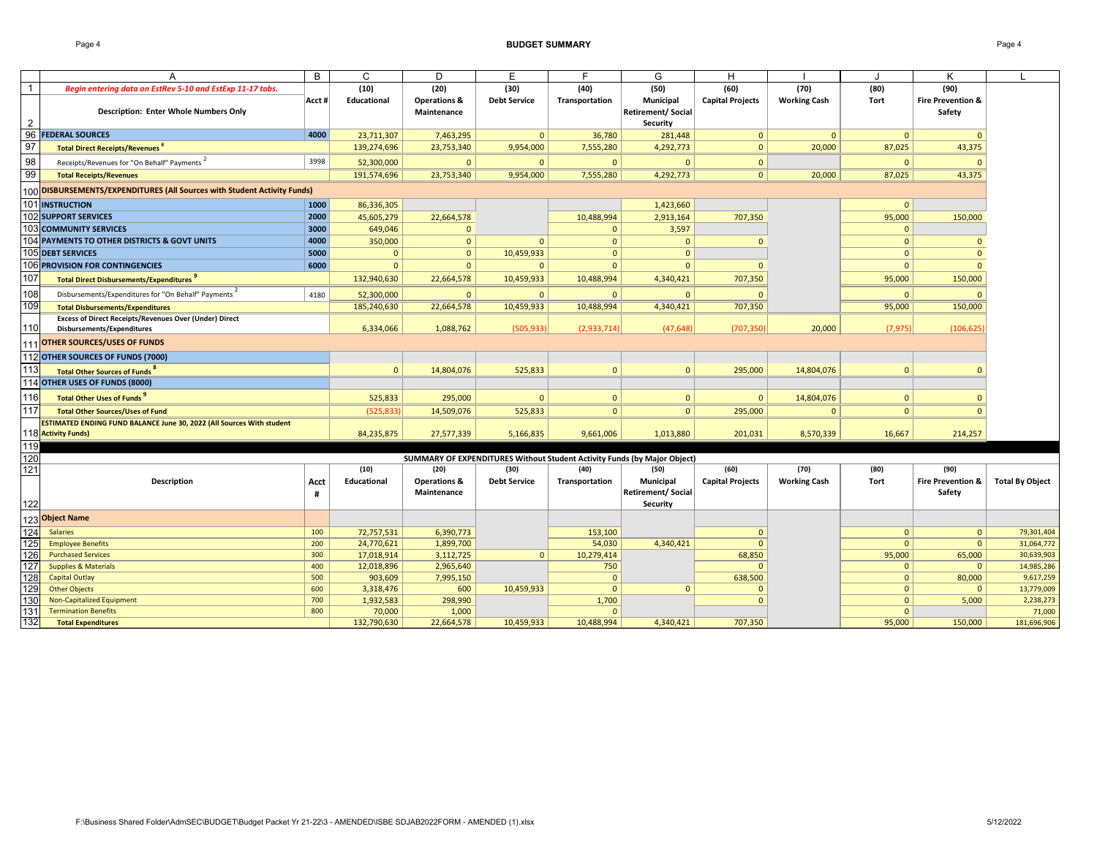Page 4 **BUDGET SUMMARY** Page 4

| $\overline{1}$<br>(10)<br>(20)<br>(30)<br>(40)<br>(50)<br>(60)<br>(70)<br>(80)<br>(90)<br>Begin entering data on EstRev 5-10 and EstExp 11-17 tabs.<br><b>Fire Prevention &amp;</b><br>Educational<br><b>Operations &amp;</b><br><b>Debt Service</b><br>Transportation<br>Municipal<br><b>Capital Projects</b><br><b>Working Cash</b><br>Tort<br>Acct #<br><b>Description: Enter Whole Numbers Only</b><br>Maintenance<br><b>Retirement/Social</b><br>Safety<br>$\overline{2}$<br><b>Security</b><br>96<br>4000<br><b>FEDERAL SOURCES</b><br>7,463,295<br>23,711,307<br>36,780<br>281,448<br>$\mathbf{0}$<br>$\mathbf{0}$<br>$\Omega$<br>$\Omega$<br>$\mathbf{0}$<br>97<br>139,274,696<br>23,753,340<br>7,555,280<br>4,292,773<br>$\mathbf{0}$<br>20,000<br>87,025<br>43,375<br><b>Total Direct Receipts/Revenues<sup>8</sup></b><br>9,954,000<br>98<br>3998<br>Receipts/Revenues for "On Behalf" Payments<br>52,300,000<br>$\mathbf{0}$<br>$\mathbf 0$<br>$\mathbf{0}$<br>$\Omega$<br>$\mathbf{0}$<br>$\Omega$<br>$\Omega$<br>99<br>191,574,696<br>23,753,340<br>7,555,280<br>4,292,773<br>87,025<br>9,954,000<br>$\circ$<br>20,000<br>43,375<br><b>Total Receipts/Revenues</b><br>100 DISBURSEMENTS/EXPENDITURES (All Sources with Student Activity Funds)<br>101 INSTRUCTION<br>1000<br>86,336,305<br>1,423,660<br>$\Omega$<br><b>102 SUPPORT SERVICES</b><br>2000<br>95,000<br>45,605,279<br>22,664,578<br>10,488,994<br>2,913,164<br>707,350<br>150,000<br><b>103 COMMUNITY SERVICES</b><br>3,597<br>3000<br>649,046<br>$\mathbf{0}$<br>$\mathbf{0}$<br>$\Omega$<br>104 PAYMENTS TO OTHER DISTRICTS & GOVT UNITS<br>4000<br>350,000<br>$\mathbf{0}$<br>$\mathbf{0}$<br>$\mathbf{0}$<br>$\mathbf{0}$<br>$\mathbf{0}$<br>$\Omega$<br>$\mathbf{0}$<br>105 DEBT SERVICES<br>5000<br>$\mathbf{0}$<br>$\mathbf{0}$<br>10,459,933<br>$\mathbf{0}$<br>$\mathbf{0}$<br>$\Omega$<br>$\mathbf{0}$<br>106 PROVISION FOR CONTINGENCIES<br>6000<br>$\mathbf{0}$<br>$\mathbf{0}$<br>$\Omega$<br>$\Omega$<br>$\mathbf{0}$<br>$\Omega$<br>$\Omega$<br>$\Omega$<br>107<br>132,940,630<br>22,664,578<br>10,459,933<br>10,488,994<br>4,340,421<br>707,350<br>95,000<br>150,000<br><b>Total Direct Disbursements/Expenditures</b><br>108<br>Disbursements/Expenditures for "On Behalf" Payments<br>4180<br>52,300,000<br>$\Omega$<br>$\mathbf{0}$<br>$\Omega$<br>$\Omega$<br>$\Omega$<br>$\Omega$<br>$\Omega$<br>109<br>185,240,630<br>22,664,578<br>10,488,994<br>4,340,421<br>707,350<br>95,000<br><b>Total Disbursements/Expenditures</b><br>10,459,933<br>150,000<br><b>Excess of Direct Receipts/Revenues Over (Under) Direct</b><br>110<br>6,334,066<br>1,088,762<br>(505.933<br>(47.648)<br>(707, 350)<br>20,000<br>(7, 975)<br>(106, 625)<br>(2,933,714)<br>Disbursements/Expenditures<br>111 OTHER SOURCES/USES OF FUNDS<br>112 OTHER SOURCES OF FUNDS (7000)<br>113<br>14,804,076<br>525,833<br>295,000<br>14,804,076<br>Total Other Sources of Funds <sup>8</sup><br>$\mathbf{0}$<br>$\Omega$<br>$\mathbf{0}$<br>$\Omega$<br>$\Omega$<br>114 OTHER USES OF FUNDS (8000)<br>116<br><b>Total Other Uses of Funds</b><br>525,833<br>295,000<br>$\Omega$<br>$\Omega$<br>$\mathbf{0}$<br>$\mathbf{0}$<br>14,804,076<br>$\Omega$<br>$\Omega$<br><b>Total Other Sources/Uses of Fund</b><br>(525, 833)<br>14,509,076<br>525,833<br> 0 <br>295,000<br>$\Omega$<br>$\Omega$<br>0 <sup>1</sup><br>$\mathbf{0}$<br>ESTIMATED ENDING FUND BALANCE June 30, 2022 (All Sources With student<br>118 Activity Funds)<br>84,235,875<br>27,577,339<br>5,166,835<br>9,661,006<br>1,013,880<br>201,031<br>8,570,339<br>16,667<br>214,257<br>119<br>120<br>SUMMARY OF EXPENDITURES Without Student Activity Funds (by Major Object)<br>$121$<br>(80)<br>(90)<br>(10)<br>(20)<br>(30)<br>(40)<br>(50)<br>(60)<br>(70)<br><b>Description</b><br><b>Operations &amp;</b><br><b>Debt Service</b><br>Municipal<br><b>Capital Projects</b><br><b>Working Cash</b><br><b>Total By Object</b><br>Educational<br>Transportation<br><b>Tort</b><br><b>Fire Prevention &amp;</b><br>Acct<br><b>Retirement/ Social</b><br>Maintenance<br>Safety<br>#<br>122<br>Security<br>123 Object Name<br>124<br>72,757,531<br>6,390,773<br>$\mathbf{0}$<br><b>Salaries</b><br>100<br>153,100<br>$\mathbf{0}$<br>$\Omega$<br>125<br>200<br>24,770,621<br>$\mathbf{0}$<br><b>Employee Benefits</b><br>1,899,700<br>54,030<br>4,340,421<br>$\mathbf{0}$<br>$\Omega$<br>126<br>300<br>17,018,914<br>3,112,725<br>$\mathbf{0}$<br>10,279,414<br>68,850<br>65,000<br><b>Purchased Services</b><br>95,000<br>127<br>12,018,896<br>2,965,640<br>$\mathbf{0}$<br><b>Supplies &amp; Materials</b><br>400<br>750<br>$\Omega$<br>$\Omega$<br>500<br>7,995,150<br><b>Capital Outlay</b><br>903,609<br>$\Omega$<br>638,500<br>$\mathbf{0}$<br>80,000<br>129<br>600<br>3,318,476<br>600<br>$\Omega$<br>$\mathbf{0}$<br>13,779,009<br><b>Other Objects</b><br>10,459,933<br>$\Omega$<br>$\mathbf{0}$<br>$\Omega$<br>130<br>700<br>2,238,273<br><b>Non-Capitalized Equipment</b><br>1,932,583<br>298,990<br>1,700<br>$\Omega$<br>$\Omega$<br>5,000<br>$131$<br>800<br>70,000<br>1,000<br>71,000<br>$\Omega$<br><b>Termination Benefits</b><br>$\Omega$ |     | A                         | B | C           | D          | Е          | F          | G         | Н       |        | ĸ       |             |
|--------------------------------------------------------------------------------------------------------------------------------------------------------------------------------------------------------------------------------------------------------------------------------------------------------------------------------------------------------------------------------------------------------------------------------------------------------------------------------------------------------------------------------------------------------------------------------------------------------------------------------------------------------------------------------------------------------------------------------------------------------------------------------------------------------------------------------------------------------------------------------------------------------------------------------------------------------------------------------------------------------------------------------------------------------------------------------------------------------------------------------------------------------------------------------------------------------------------------------------------------------------------------------------------------------------------------------------------------------------------------------------------------------------------------------------------------------------------------------------------------------------------------------------------------------------------------------------------------------------------------------------------------------------------------------------------------------------------------------------------------------------------------------------------------------------------------------------------------------------------------------------------------------------------------------------------------------------------------------------------------------------------------------------------------------------------------------------------------------------------------------------------------------------------------------------------------------------------------------------------------------------------------------------------------------------------------------------------------------------------------------------------------------------------------------------------------------------------------------------------------------------------------------------------------------------------------------------------------------------------------------------------------------------------------------------------------------------------------------------------------------------------------------------------------------------------------------------------------------------------------------------------------------------------------------------------------------------------------------------------------------------------------------------------------------------------------------------------------------------------------------------------------------------------------------------------------------------------------------------------------------------------------------------------------------------------------------------------------------------------------------------------------------------------------------------------------------------------------------------------------------------------------------------------------------------------------------------------------------------------------------------------------------------------------------------------------------------------------------------------------------------------------------------------------------------------------------------------------------------------------------------------------------------------------------------------------------------------------------------------------------------------------------------------------------------------------------------------------------------------------------------------------------------------------------------------------------------------------------------------------------------------------------------------------------------------------------------------------------------------------------------------------------------------------------------------------------------------------------------------------------------------------------------------------------------------------------------------------------------------------------------------------------------------------------------------------------------------------------------------------------------------------------------------------------------------------------------------------------------------------------------------------------------------------------------------------------------------------------------------------------------------------------------------------------------------------------------------------------------------------------------------------------------------------------------|-----|---------------------------|---|-------------|------------|------------|------------|-----------|---------|--------|---------|-------------|
| 117<br>128                                                                                                                                                                                                                                                                                                                                                                                                                                                                                                                                                                                                                                                                                                                                                                                                                                                                                                                                                                                                                                                                                                                                                                                                                                                                                                                                                                                                                                                                                                                                                                                                                                                                                                                                                                                                                                                                                                                                                                                                                                                                                                                                                                                                                                                                                                                                                                                                                                                                                                                                                                                                                                                                                                                                                                                                                                                                                                                                                                                                                                                                                                                                                                                                                                                                                                                                                                                                                                                                                                                                                                                                                                                                                                                                                                                                                                                                                                                                                                                                                                                                                                                                                                                                                                                                                                                                                                                                                                                                                                                                                                                                                                                                                                                                                                                                                                                                                                                                                                                                                                                                                                                                                                           |     |                           |   |             |            |            |            |           |         |        |         |             |
|                                                                                                                                                                                                                                                                                                                                                                                                                                                                                                                                                                                                                                                                                                                                                                                                                                                                                                                                                                                                                                                                                                                                                                                                                                                                                                                                                                                                                                                                                                                                                                                                                                                                                                                                                                                                                                                                                                                                                                                                                                                                                                                                                                                                                                                                                                                                                                                                                                                                                                                                                                                                                                                                                                                                                                                                                                                                                                                                                                                                                                                                                                                                                                                                                                                                                                                                                                                                                                                                                                                                                                                                                                                                                                                                                                                                                                                                                                                                                                                                                                                                                                                                                                                                                                                                                                                                                                                                                                                                                                                                                                                                                                                                                                                                                                                                                                                                                                                                                                                                                                                                                                                                                                                      |     |                           |   |             |            |            |            |           |         |        |         |             |
|                                                                                                                                                                                                                                                                                                                                                                                                                                                                                                                                                                                                                                                                                                                                                                                                                                                                                                                                                                                                                                                                                                                                                                                                                                                                                                                                                                                                                                                                                                                                                                                                                                                                                                                                                                                                                                                                                                                                                                                                                                                                                                                                                                                                                                                                                                                                                                                                                                                                                                                                                                                                                                                                                                                                                                                                                                                                                                                                                                                                                                                                                                                                                                                                                                                                                                                                                                                                                                                                                                                                                                                                                                                                                                                                                                                                                                                                                                                                                                                                                                                                                                                                                                                                                                                                                                                                                                                                                                                                                                                                                                                                                                                                                                                                                                                                                                                                                                                                                                                                                                                                                                                                                                                      |     |                           |   |             |            |            |            |           |         |        |         |             |
|                                                                                                                                                                                                                                                                                                                                                                                                                                                                                                                                                                                                                                                                                                                                                                                                                                                                                                                                                                                                                                                                                                                                                                                                                                                                                                                                                                                                                                                                                                                                                                                                                                                                                                                                                                                                                                                                                                                                                                                                                                                                                                                                                                                                                                                                                                                                                                                                                                                                                                                                                                                                                                                                                                                                                                                                                                                                                                                                                                                                                                                                                                                                                                                                                                                                                                                                                                                                                                                                                                                                                                                                                                                                                                                                                                                                                                                                                                                                                                                                                                                                                                                                                                                                                                                                                                                                                                                                                                                                                                                                                                                                                                                                                                                                                                                                                                                                                                                                                                                                                                                                                                                                                                                      |     |                           |   |             |            |            |            |           |         |        |         |             |
|                                                                                                                                                                                                                                                                                                                                                                                                                                                                                                                                                                                                                                                                                                                                                                                                                                                                                                                                                                                                                                                                                                                                                                                                                                                                                                                                                                                                                                                                                                                                                                                                                                                                                                                                                                                                                                                                                                                                                                                                                                                                                                                                                                                                                                                                                                                                                                                                                                                                                                                                                                                                                                                                                                                                                                                                                                                                                                                                                                                                                                                                                                                                                                                                                                                                                                                                                                                                                                                                                                                                                                                                                                                                                                                                                                                                                                                                                                                                                                                                                                                                                                                                                                                                                                                                                                                                                                                                                                                                                                                                                                                                                                                                                                                                                                                                                                                                                                                                                                                                                                                                                                                                                                                      |     |                           |   |             |            |            |            |           |         |        |         |             |
|                                                                                                                                                                                                                                                                                                                                                                                                                                                                                                                                                                                                                                                                                                                                                                                                                                                                                                                                                                                                                                                                                                                                                                                                                                                                                                                                                                                                                                                                                                                                                                                                                                                                                                                                                                                                                                                                                                                                                                                                                                                                                                                                                                                                                                                                                                                                                                                                                                                                                                                                                                                                                                                                                                                                                                                                                                                                                                                                                                                                                                                                                                                                                                                                                                                                                                                                                                                                                                                                                                                                                                                                                                                                                                                                                                                                                                                                                                                                                                                                                                                                                                                                                                                                                                                                                                                                                                                                                                                                                                                                                                                                                                                                                                                                                                                                                                                                                                                                                                                                                                                                                                                                                                                      |     |                           |   |             |            |            |            |           |         |        |         |             |
|                                                                                                                                                                                                                                                                                                                                                                                                                                                                                                                                                                                                                                                                                                                                                                                                                                                                                                                                                                                                                                                                                                                                                                                                                                                                                                                                                                                                                                                                                                                                                                                                                                                                                                                                                                                                                                                                                                                                                                                                                                                                                                                                                                                                                                                                                                                                                                                                                                                                                                                                                                                                                                                                                                                                                                                                                                                                                                                                                                                                                                                                                                                                                                                                                                                                                                                                                                                                                                                                                                                                                                                                                                                                                                                                                                                                                                                                                                                                                                                                                                                                                                                                                                                                                                                                                                                                                                                                                                                                                                                                                                                                                                                                                                                                                                                                                                                                                                                                                                                                                                                                                                                                                                                      |     |                           |   |             |            |            |            |           |         |        |         |             |
|                                                                                                                                                                                                                                                                                                                                                                                                                                                                                                                                                                                                                                                                                                                                                                                                                                                                                                                                                                                                                                                                                                                                                                                                                                                                                                                                                                                                                                                                                                                                                                                                                                                                                                                                                                                                                                                                                                                                                                                                                                                                                                                                                                                                                                                                                                                                                                                                                                                                                                                                                                                                                                                                                                                                                                                                                                                                                                                                                                                                                                                                                                                                                                                                                                                                                                                                                                                                                                                                                                                                                                                                                                                                                                                                                                                                                                                                                                                                                                                                                                                                                                                                                                                                                                                                                                                                                                                                                                                                                                                                                                                                                                                                                                                                                                                                                                                                                                                                                                                                                                                                                                                                                                                      |     |                           |   |             |            |            |            |           |         |        |         |             |
|                                                                                                                                                                                                                                                                                                                                                                                                                                                                                                                                                                                                                                                                                                                                                                                                                                                                                                                                                                                                                                                                                                                                                                                                                                                                                                                                                                                                                                                                                                                                                                                                                                                                                                                                                                                                                                                                                                                                                                                                                                                                                                                                                                                                                                                                                                                                                                                                                                                                                                                                                                                                                                                                                                                                                                                                                                                                                                                                                                                                                                                                                                                                                                                                                                                                                                                                                                                                                                                                                                                                                                                                                                                                                                                                                                                                                                                                                                                                                                                                                                                                                                                                                                                                                                                                                                                                                                                                                                                                                                                                                                                                                                                                                                                                                                                                                                                                                                                                                                                                                                                                                                                                                                                      |     |                           |   |             |            |            |            |           |         |        |         |             |
|                                                                                                                                                                                                                                                                                                                                                                                                                                                                                                                                                                                                                                                                                                                                                                                                                                                                                                                                                                                                                                                                                                                                                                                                                                                                                                                                                                                                                                                                                                                                                                                                                                                                                                                                                                                                                                                                                                                                                                                                                                                                                                                                                                                                                                                                                                                                                                                                                                                                                                                                                                                                                                                                                                                                                                                                                                                                                                                                                                                                                                                                                                                                                                                                                                                                                                                                                                                                                                                                                                                                                                                                                                                                                                                                                                                                                                                                                                                                                                                                                                                                                                                                                                                                                                                                                                                                                                                                                                                                                                                                                                                                                                                                                                                                                                                                                                                                                                                                                                                                                                                                                                                                                                                      |     |                           |   |             |            |            |            |           |         |        |         |             |
|                                                                                                                                                                                                                                                                                                                                                                                                                                                                                                                                                                                                                                                                                                                                                                                                                                                                                                                                                                                                                                                                                                                                                                                                                                                                                                                                                                                                                                                                                                                                                                                                                                                                                                                                                                                                                                                                                                                                                                                                                                                                                                                                                                                                                                                                                                                                                                                                                                                                                                                                                                                                                                                                                                                                                                                                                                                                                                                                                                                                                                                                                                                                                                                                                                                                                                                                                                                                                                                                                                                                                                                                                                                                                                                                                                                                                                                                                                                                                                                                                                                                                                                                                                                                                                                                                                                                                                                                                                                                                                                                                                                                                                                                                                                                                                                                                                                                                                                                                                                                                                                                                                                                                                                      |     |                           |   |             |            |            |            |           |         |        |         |             |
|                                                                                                                                                                                                                                                                                                                                                                                                                                                                                                                                                                                                                                                                                                                                                                                                                                                                                                                                                                                                                                                                                                                                                                                                                                                                                                                                                                                                                                                                                                                                                                                                                                                                                                                                                                                                                                                                                                                                                                                                                                                                                                                                                                                                                                                                                                                                                                                                                                                                                                                                                                                                                                                                                                                                                                                                                                                                                                                                                                                                                                                                                                                                                                                                                                                                                                                                                                                                                                                                                                                                                                                                                                                                                                                                                                                                                                                                                                                                                                                                                                                                                                                                                                                                                                                                                                                                                                                                                                                                                                                                                                                                                                                                                                                                                                                                                                                                                                                                                                                                                                                                                                                                                                                      |     |                           |   |             |            |            |            |           |         |        |         |             |
|                                                                                                                                                                                                                                                                                                                                                                                                                                                                                                                                                                                                                                                                                                                                                                                                                                                                                                                                                                                                                                                                                                                                                                                                                                                                                                                                                                                                                                                                                                                                                                                                                                                                                                                                                                                                                                                                                                                                                                                                                                                                                                                                                                                                                                                                                                                                                                                                                                                                                                                                                                                                                                                                                                                                                                                                                                                                                                                                                                                                                                                                                                                                                                                                                                                                                                                                                                                                                                                                                                                                                                                                                                                                                                                                                                                                                                                                                                                                                                                                                                                                                                                                                                                                                                                                                                                                                                                                                                                                                                                                                                                                                                                                                                                                                                                                                                                                                                                                                                                                                                                                                                                                                                                      |     |                           |   |             |            |            |            |           |         |        |         |             |
|                                                                                                                                                                                                                                                                                                                                                                                                                                                                                                                                                                                                                                                                                                                                                                                                                                                                                                                                                                                                                                                                                                                                                                                                                                                                                                                                                                                                                                                                                                                                                                                                                                                                                                                                                                                                                                                                                                                                                                                                                                                                                                                                                                                                                                                                                                                                                                                                                                                                                                                                                                                                                                                                                                                                                                                                                                                                                                                                                                                                                                                                                                                                                                                                                                                                                                                                                                                                                                                                                                                                                                                                                                                                                                                                                                                                                                                                                                                                                                                                                                                                                                                                                                                                                                                                                                                                                                                                                                                                                                                                                                                                                                                                                                                                                                                                                                                                                                                                                                                                                                                                                                                                                                                      |     |                           |   |             |            |            |            |           |         |        |         |             |
|                                                                                                                                                                                                                                                                                                                                                                                                                                                                                                                                                                                                                                                                                                                                                                                                                                                                                                                                                                                                                                                                                                                                                                                                                                                                                                                                                                                                                                                                                                                                                                                                                                                                                                                                                                                                                                                                                                                                                                                                                                                                                                                                                                                                                                                                                                                                                                                                                                                                                                                                                                                                                                                                                                                                                                                                                                                                                                                                                                                                                                                                                                                                                                                                                                                                                                                                                                                                                                                                                                                                                                                                                                                                                                                                                                                                                                                                                                                                                                                                                                                                                                                                                                                                                                                                                                                                                                                                                                                                                                                                                                                                                                                                                                                                                                                                                                                                                                                                                                                                                                                                                                                                                                                      |     |                           |   |             |            |            |            |           |         |        |         |             |
|                                                                                                                                                                                                                                                                                                                                                                                                                                                                                                                                                                                                                                                                                                                                                                                                                                                                                                                                                                                                                                                                                                                                                                                                                                                                                                                                                                                                                                                                                                                                                                                                                                                                                                                                                                                                                                                                                                                                                                                                                                                                                                                                                                                                                                                                                                                                                                                                                                                                                                                                                                                                                                                                                                                                                                                                                                                                                                                                                                                                                                                                                                                                                                                                                                                                                                                                                                                                                                                                                                                                                                                                                                                                                                                                                                                                                                                                                                                                                                                                                                                                                                                                                                                                                                                                                                                                                                                                                                                                                                                                                                                                                                                                                                                                                                                                                                                                                                                                                                                                                                                                                                                                                                                      |     |                           |   |             |            |            |            |           |         |        |         |             |
|                                                                                                                                                                                                                                                                                                                                                                                                                                                                                                                                                                                                                                                                                                                                                                                                                                                                                                                                                                                                                                                                                                                                                                                                                                                                                                                                                                                                                                                                                                                                                                                                                                                                                                                                                                                                                                                                                                                                                                                                                                                                                                                                                                                                                                                                                                                                                                                                                                                                                                                                                                                                                                                                                                                                                                                                                                                                                                                                                                                                                                                                                                                                                                                                                                                                                                                                                                                                                                                                                                                                                                                                                                                                                                                                                                                                                                                                                                                                                                                                                                                                                                                                                                                                                                                                                                                                                                                                                                                                                                                                                                                                                                                                                                                                                                                                                                                                                                                                                                                                                                                                                                                                                                                      |     |                           |   |             |            |            |            |           |         |        |         |             |
|                                                                                                                                                                                                                                                                                                                                                                                                                                                                                                                                                                                                                                                                                                                                                                                                                                                                                                                                                                                                                                                                                                                                                                                                                                                                                                                                                                                                                                                                                                                                                                                                                                                                                                                                                                                                                                                                                                                                                                                                                                                                                                                                                                                                                                                                                                                                                                                                                                                                                                                                                                                                                                                                                                                                                                                                                                                                                                                                                                                                                                                                                                                                                                                                                                                                                                                                                                                                                                                                                                                                                                                                                                                                                                                                                                                                                                                                                                                                                                                                                                                                                                                                                                                                                                                                                                                                                                                                                                                                                                                                                                                                                                                                                                                                                                                                                                                                                                                                                                                                                                                                                                                                                                                      |     |                           |   |             |            |            |            |           |         |        |         |             |
|                                                                                                                                                                                                                                                                                                                                                                                                                                                                                                                                                                                                                                                                                                                                                                                                                                                                                                                                                                                                                                                                                                                                                                                                                                                                                                                                                                                                                                                                                                                                                                                                                                                                                                                                                                                                                                                                                                                                                                                                                                                                                                                                                                                                                                                                                                                                                                                                                                                                                                                                                                                                                                                                                                                                                                                                                                                                                                                                                                                                                                                                                                                                                                                                                                                                                                                                                                                                                                                                                                                                                                                                                                                                                                                                                                                                                                                                                                                                                                                                                                                                                                                                                                                                                                                                                                                                                                                                                                                                                                                                                                                                                                                                                                                                                                                                                                                                                                                                                                                                                                                                                                                                                                                      |     |                           |   |             |            |            |            |           |         |        |         |             |
|                                                                                                                                                                                                                                                                                                                                                                                                                                                                                                                                                                                                                                                                                                                                                                                                                                                                                                                                                                                                                                                                                                                                                                                                                                                                                                                                                                                                                                                                                                                                                                                                                                                                                                                                                                                                                                                                                                                                                                                                                                                                                                                                                                                                                                                                                                                                                                                                                                                                                                                                                                                                                                                                                                                                                                                                                                                                                                                                                                                                                                                                                                                                                                                                                                                                                                                                                                                                                                                                                                                                                                                                                                                                                                                                                                                                                                                                                                                                                                                                                                                                                                                                                                                                                                                                                                                                                                                                                                                                                                                                                                                                                                                                                                                                                                                                                                                                                                                                                                                                                                                                                                                                                                                      |     |                           |   |             |            |            |            |           |         |        |         |             |
|                                                                                                                                                                                                                                                                                                                                                                                                                                                                                                                                                                                                                                                                                                                                                                                                                                                                                                                                                                                                                                                                                                                                                                                                                                                                                                                                                                                                                                                                                                                                                                                                                                                                                                                                                                                                                                                                                                                                                                                                                                                                                                                                                                                                                                                                                                                                                                                                                                                                                                                                                                                                                                                                                                                                                                                                                                                                                                                                                                                                                                                                                                                                                                                                                                                                                                                                                                                                                                                                                                                                                                                                                                                                                                                                                                                                                                                                                                                                                                                                                                                                                                                                                                                                                                                                                                                                                                                                                                                                                                                                                                                                                                                                                                                                                                                                                                                                                                                                                                                                                                                                                                                                                                                      |     |                           |   |             |            |            |            |           |         |        |         |             |
|                                                                                                                                                                                                                                                                                                                                                                                                                                                                                                                                                                                                                                                                                                                                                                                                                                                                                                                                                                                                                                                                                                                                                                                                                                                                                                                                                                                                                                                                                                                                                                                                                                                                                                                                                                                                                                                                                                                                                                                                                                                                                                                                                                                                                                                                                                                                                                                                                                                                                                                                                                                                                                                                                                                                                                                                                                                                                                                                                                                                                                                                                                                                                                                                                                                                                                                                                                                                                                                                                                                                                                                                                                                                                                                                                                                                                                                                                                                                                                                                                                                                                                                                                                                                                                                                                                                                                                                                                                                                                                                                                                                                                                                                                                                                                                                                                                                                                                                                                                                                                                                                                                                                                                                      |     |                           |   |             |            |            |            |           |         |        |         |             |
|                                                                                                                                                                                                                                                                                                                                                                                                                                                                                                                                                                                                                                                                                                                                                                                                                                                                                                                                                                                                                                                                                                                                                                                                                                                                                                                                                                                                                                                                                                                                                                                                                                                                                                                                                                                                                                                                                                                                                                                                                                                                                                                                                                                                                                                                                                                                                                                                                                                                                                                                                                                                                                                                                                                                                                                                                                                                                                                                                                                                                                                                                                                                                                                                                                                                                                                                                                                                                                                                                                                                                                                                                                                                                                                                                                                                                                                                                                                                                                                                                                                                                                                                                                                                                                                                                                                                                                                                                                                                                                                                                                                                                                                                                                                                                                                                                                                                                                                                                                                                                                                                                                                                                                                      |     |                           |   |             |            |            |            |           |         |        |         |             |
|                                                                                                                                                                                                                                                                                                                                                                                                                                                                                                                                                                                                                                                                                                                                                                                                                                                                                                                                                                                                                                                                                                                                                                                                                                                                                                                                                                                                                                                                                                                                                                                                                                                                                                                                                                                                                                                                                                                                                                                                                                                                                                                                                                                                                                                                                                                                                                                                                                                                                                                                                                                                                                                                                                                                                                                                                                                                                                                                                                                                                                                                                                                                                                                                                                                                                                                                                                                                                                                                                                                                                                                                                                                                                                                                                                                                                                                                                                                                                                                                                                                                                                                                                                                                                                                                                                                                                                                                                                                                                                                                                                                                                                                                                                                                                                                                                                                                                                                                                                                                                                                                                                                                                                                      |     |                           |   |             |            |            |            |           |         |        |         |             |
|                                                                                                                                                                                                                                                                                                                                                                                                                                                                                                                                                                                                                                                                                                                                                                                                                                                                                                                                                                                                                                                                                                                                                                                                                                                                                                                                                                                                                                                                                                                                                                                                                                                                                                                                                                                                                                                                                                                                                                                                                                                                                                                                                                                                                                                                                                                                                                                                                                                                                                                                                                                                                                                                                                                                                                                                                                                                                                                                                                                                                                                                                                                                                                                                                                                                                                                                                                                                                                                                                                                                                                                                                                                                                                                                                                                                                                                                                                                                                                                                                                                                                                                                                                                                                                                                                                                                                                                                                                                                                                                                                                                                                                                                                                                                                                                                                                                                                                                                                                                                                                                                                                                                                                                      |     |                           |   |             |            |            |            |           |         |        |         |             |
|                                                                                                                                                                                                                                                                                                                                                                                                                                                                                                                                                                                                                                                                                                                                                                                                                                                                                                                                                                                                                                                                                                                                                                                                                                                                                                                                                                                                                                                                                                                                                                                                                                                                                                                                                                                                                                                                                                                                                                                                                                                                                                                                                                                                                                                                                                                                                                                                                                                                                                                                                                                                                                                                                                                                                                                                                                                                                                                                                                                                                                                                                                                                                                                                                                                                                                                                                                                                                                                                                                                                                                                                                                                                                                                                                                                                                                                                                                                                                                                                                                                                                                                                                                                                                                                                                                                                                                                                                                                                                                                                                                                                                                                                                                                                                                                                                                                                                                                                                                                                                                                                                                                                                                                      |     |                           |   |             |            |            |            |           |         |        |         |             |
|                                                                                                                                                                                                                                                                                                                                                                                                                                                                                                                                                                                                                                                                                                                                                                                                                                                                                                                                                                                                                                                                                                                                                                                                                                                                                                                                                                                                                                                                                                                                                                                                                                                                                                                                                                                                                                                                                                                                                                                                                                                                                                                                                                                                                                                                                                                                                                                                                                                                                                                                                                                                                                                                                                                                                                                                                                                                                                                                                                                                                                                                                                                                                                                                                                                                                                                                                                                                                                                                                                                                                                                                                                                                                                                                                                                                                                                                                                                                                                                                                                                                                                                                                                                                                                                                                                                                                                                                                                                                                                                                                                                                                                                                                                                                                                                                                                                                                                                                                                                                                                                                                                                                                                                      |     |                           |   |             |            |            |            |           |         |        |         |             |
|                                                                                                                                                                                                                                                                                                                                                                                                                                                                                                                                                                                                                                                                                                                                                                                                                                                                                                                                                                                                                                                                                                                                                                                                                                                                                                                                                                                                                                                                                                                                                                                                                                                                                                                                                                                                                                                                                                                                                                                                                                                                                                                                                                                                                                                                                                                                                                                                                                                                                                                                                                                                                                                                                                                                                                                                                                                                                                                                                                                                                                                                                                                                                                                                                                                                                                                                                                                                                                                                                                                                                                                                                                                                                                                                                                                                                                                                                                                                                                                                                                                                                                                                                                                                                                                                                                                                                                                                                                                                                                                                                                                                                                                                                                                                                                                                                                                                                                                                                                                                                                                                                                                                                                                      |     |                           |   |             |            |            |            |           |         |        |         |             |
|                                                                                                                                                                                                                                                                                                                                                                                                                                                                                                                                                                                                                                                                                                                                                                                                                                                                                                                                                                                                                                                                                                                                                                                                                                                                                                                                                                                                                                                                                                                                                                                                                                                                                                                                                                                                                                                                                                                                                                                                                                                                                                                                                                                                                                                                                                                                                                                                                                                                                                                                                                                                                                                                                                                                                                                                                                                                                                                                                                                                                                                                                                                                                                                                                                                                                                                                                                                                                                                                                                                                                                                                                                                                                                                                                                                                                                                                                                                                                                                                                                                                                                                                                                                                                                                                                                                                                                                                                                                                                                                                                                                                                                                                                                                                                                                                                                                                                                                                                                                                                                                                                                                                                                                      |     |                           |   |             |            |            |            |           |         |        |         |             |
|                                                                                                                                                                                                                                                                                                                                                                                                                                                                                                                                                                                                                                                                                                                                                                                                                                                                                                                                                                                                                                                                                                                                                                                                                                                                                                                                                                                                                                                                                                                                                                                                                                                                                                                                                                                                                                                                                                                                                                                                                                                                                                                                                                                                                                                                                                                                                                                                                                                                                                                                                                                                                                                                                                                                                                                                                                                                                                                                                                                                                                                                                                                                                                                                                                                                                                                                                                                                                                                                                                                                                                                                                                                                                                                                                                                                                                                                                                                                                                                                                                                                                                                                                                                                                                                                                                                                                                                                                                                                                                                                                                                                                                                                                                                                                                                                                                                                                                                                                                                                                                                                                                                                                                                      |     |                           |   |             |            |            |            |           |         |        |         |             |
|                                                                                                                                                                                                                                                                                                                                                                                                                                                                                                                                                                                                                                                                                                                                                                                                                                                                                                                                                                                                                                                                                                                                                                                                                                                                                                                                                                                                                                                                                                                                                                                                                                                                                                                                                                                                                                                                                                                                                                                                                                                                                                                                                                                                                                                                                                                                                                                                                                                                                                                                                                                                                                                                                                                                                                                                                                                                                                                                                                                                                                                                                                                                                                                                                                                                                                                                                                                                                                                                                                                                                                                                                                                                                                                                                                                                                                                                                                                                                                                                                                                                                                                                                                                                                                                                                                                                                                                                                                                                                                                                                                                                                                                                                                                                                                                                                                                                                                                                                                                                                                                                                                                                                                                      |     |                           |   |             |            |            |            |           |         |        |         |             |
|                                                                                                                                                                                                                                                                                                                                                                                                                                                                                                                                                                                                                                                                                                                                                                                                                                                                                                                                                                                                                                                                                                                                                                                                                                                                                                                                                                                                                                                                                                                                                                                                                                                                                                                                                                                                                                                                                                                                                                                                                                                                                                                                                                                                                                                                                                                                                                                                                                                                                                                                                                                                                                                                                                                                                                                                                                                                                                                                                                                                                                                                                                                                                                                                                                                                                                                                                                                                                                                                                                                                                                                                                                                                                                                                                                                                                                                                                                                                                                                                                                                                                                                                                                                                                                                                                                                                                                                                                                                                                                                                                                                                                                                                                                                                                                                                                                                                                                                                                                                                                                                                                                                                                                                      |     |                           |   |             |            |            |            |           |         |        |         |             |
|                                                                                                                                                                                                                                                                                                                                                                                                                                                                                                                                                                                                                                                                                                                                                                                                                                                                                                                                                                                                                                                                                                                                                                                                                                                                                                                                                                                                                                                                                                                                                                                                                                                                                                                                                                                                                                                                                                                                                                                                                                                                                                                                                                                                                                                                                                                                                                                                                                                                                                                                                                                                                                                                                                                                                                                                                                                                                                                                                                                                                                                                                                                                                                                                                                                                                                                                                                                                                                                                                                                                                                                                                                                                                                                                                                                                                                                                                                                                                                                                                                                                                                                                                                                                                                                                                                                                                                                                                                                                                                                                                                                                                                                                                                                                                                                                                                                                                                                                                                                                                                                                                                                                                                                      |     |                           |   |             |            |            |            |           |         |        |         |             |
|                                                                                                                                                                                                                                                                                                                                                                                                                                                                                                                                                                                                                                                                                                                                                                                                                                                                                                                                                                                                                                                                                                                                                                                                                                                                                                                                                                                                                                                                                                                                                                                                                                                                                                                                                                                                                                                                                                                                                                                                                                                                                                                                                                                                                                                                                                                                                                                                                                                                                                                                                                                                                                                                                                                                                                                                                                                                                                                                                                                                                                                                                                                                                                                                                                                                                                                                                                                                                                                                                                                                                                                                                                                                                                                                                                                                                                                                                                                                                                                                                                                                                                                                                                                                                                                                                                                                                                                                                                                                                                                                                                                                                                                                                                                                                                                                                                                                                                                                                                                                                                                                                                                                                                                      |     |                           |   |             |            |            |            |           |         |        |         | 79,301,404  |
|                                                                                                                                                                                                                                                                                                                                                                                                                                                                                                                                                                                                                                                                                                                                                                                                                                                                                                                                                                                                                                                                                                                                                                                                                                                                                                                                                                                                                                                                                                                                                                                                                                                                                                                                                                                                                                                                                                                                                                                                                                                                                                                                                                                                                                                                                                                                                                                                                                                                                                                                                                                                                                                                                                                                                                                                                                                                                                                                                                                                                                                                                                                                                                                                                                                                                                                                                                                                                                                                                                                                                                                                                                                                                                                                                                                                                                                                                                                                                                                                                                                                                                                                                                                                                                                                                                                                                                                                                                                                                                                                                                                                                                                                                                                                                                                                                                                                                                                                                                                                                                                                                                                                                                                      |     |                           |   |             |            |            |            |           |         |        |         | 31,064,772  |
|                                                                                                                                                                                                                                                                                                                                                                                                                                                                                                                                                                                                                                                                                                                                                                                                                                                                                                                                                                                                                                                                                                                                                                                                                                                                                                                                                                                                                                                                                                                                                                                                                                                                                                                                                                                                                                                                                                                                                                                                                                                                                                                                                                                                                                                                                                                                                                                                                                                                                                                                                                                                                                                                                                                                                                                                                                                                                                                                                                                                                                                                                                                                                                                                                                                                                                                                                                                                                                                                                                                                                                                                                                                                                                                                                                                                                                                                                                                                                                                                                                                                                                                                                                                                                                                                                                                                                                                                                                                                                                                                                                                                                                                                                                                                                                                                                                                                                                                                                                                                                                                                                                                                                                                      |     |                           |   |             |            |            |            |           |         |        |         | 30,639,903  |
|                                                                                                                                                                                                                                                                                                                                                                                                                                                                                                                                                                                                                                                                                                                                                                                                                                                                                                                                                                                                                                                                                                                                                                                                                                                                                                                                                                                                                                                                                                                                                                                                                                                                                                                                                                                                                                                                                                                                                                                                                                                                                                                                                                                                                                                                                                                                                                                                                                                                                                                                                                                                                                                                                                                                                                                                                                                                                                                                                                                                                                                                                                                                                                                                                                                                                                                                                                                                                                                                                                                                                                                                                                                                                                                                                                                                                                                                                                                                                                                                                                                                                                                                                                                                                                                                                                                                                                                                                                                                                                                                                                                                                                                                                                                                                                                                                                                                                                                                                                                                                                                                                                                                                                                      |     |                           |   |             |            |            |            |           |         |        |         | 14,985,286  |
|                                                                                                                                                                                                                                                                                                                                                                                                                                                                                                                                                                                                                                                                                                                                                                                                                                                                                                                                                                                                                                                                                                                                                                                                                                                                                                                                                                                                                                                                                                                                                                                                                                                                                                                                                                                                                                                                                                                                                                                                                                                                                                                                                                                                                                                                                                                                                                                                                                                                                                                                                                                                                                                                                                                                                                                                                                                                                                                                                                                                                                                                                                                                                                                                                                                                                                                                                                                                                                                                                                                                                                                                                                                                                                                                                                                                                                                                                                                                                                                                                                                                                                                                                                                                                                                                                                                                                                                                                                                                                                                                                                                                                                                                                                                                                                                                                                                                                                                                                                                                                                                                                                                                                                                      |     |                           |   |             |            |            |            |           |         |        |         | 9,617,259   |
|                                                                                                                                                                                                                                                                                                                                                                                                                                                                                                                                                                                                                                                                                                                                                                                                                                                                                                                                                                                                                                                                                                                                                                                                                                                                                                                                                                                                                                                                                                                                                                                                                                                                                                                                                                                                                                                                                                                                                                                                                                                                                                                                                                                                                                                                                                                                                                                                                                                                                                                                                                                                                                                                                                                                                                                                                                                                                                                                                                                                                                                                                                                                                                                                                                                                                                                                                                                                                                                                                                                                                                                                                                                                                                                                                                                                                                                                                                                                                                                                                                                                                                                                                                                                                                                                                                                                                                                                                                                                                                                                                                                                                                                                                                                                                                                                                                                                                                                                                                                                                                                                                                                                                                                      |     |                           |   |             |            |            |            |           |         |        |         |             |
|                                                                                                                                                                                                                                                                                                                                                                                                                                                                                                                                                                                                                                                                                                                                                                                                                                                                                                                                                                                                                                                                                                                                                                                                                                                                                                                                                                                                                                                                                                                                                                                                                                                                                                                                                                                                                                                                                                                                                                                                                                                                                                                                                                                                                                                                                                                                                                                                                                                                                                                                                                                                                                                                                                                                                                                                                                                                                                                                                                                                                                                                                                                                                                                                                                                                                                                                                                                                                                                                                                                                                                                                                                                                                                                                                                                                                                                                                                                                                                                                                                                                                                                                                                                                                                                                                                                                                                                                                                                                                                                                                                                                                                                                                                                                                                                                                                                                                                                                                                                                                                                                                                                                                                                      |     |                           |   |             |            |            |            |           |         |        |         |             |
|                                                                                                                                                                                                                                                                                                                                                                                                                                                                                                                                                                                                                                                                                                                                                                                                                                                                                                                                                                                                                                                                                                                                                                                                                                                                                                                                                                                                                                                                                                                                                                                                                                                                                                                                                                                                                                                                                                                                                                                                                                                                                                                                                                                                                                                                                                                                                                                                                                                                                                                                                                                                                                                                                                                                                                                                                                                                                                                                                                                                                                                                                                                                                                                                                                                                                                                                                                                                                                                                                                                                                                                                                                                                                                                                                                                                                                                                                                                                                                                                                                                                                                                                                                                                                                                                                                                                                                                                                                                                                                                                                                                                                                                                                                                                                                                                                                                                                                                                                                                                                                                                                                                                                                                      | 132 | <b>Total Expenditures</b> |   | 132,790,630 | 22,664,578 | 10,459,933 | 10,488,994 | 4,340,421 | 707,350 | 95,000 | 150,000 | 181,696,906 |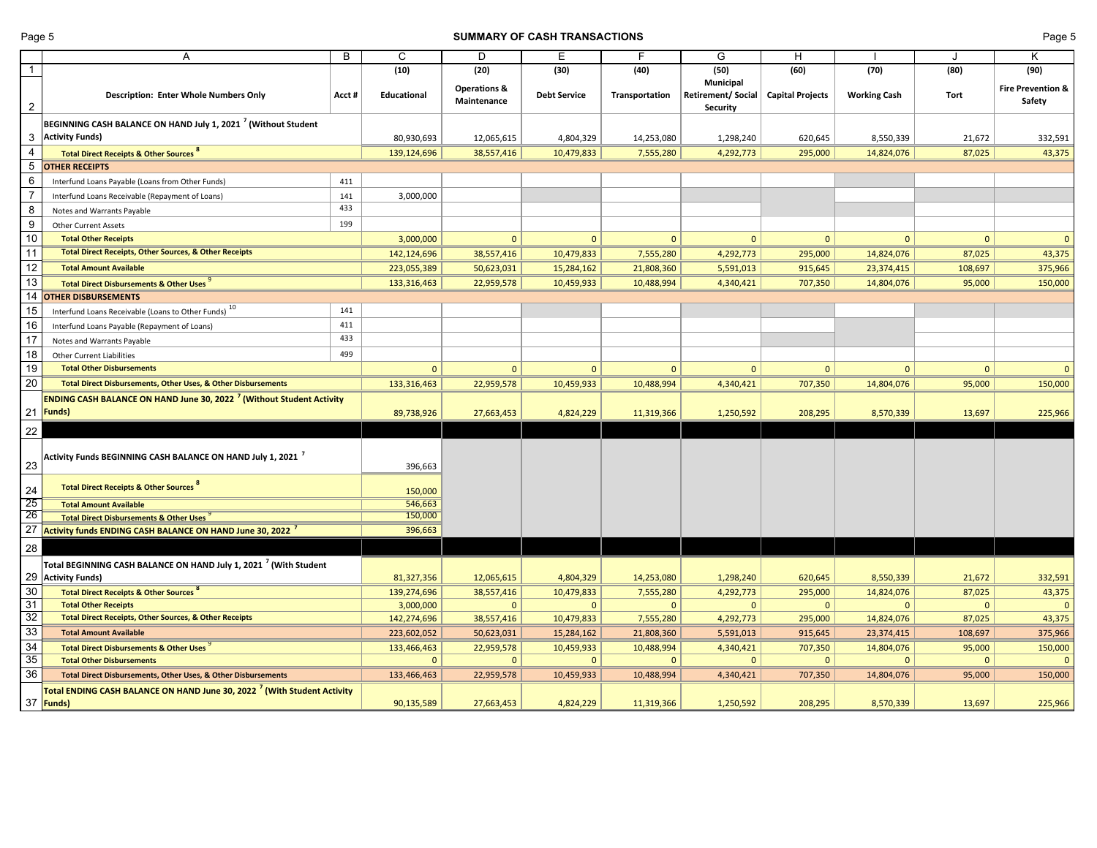#### Page 5 **SUMMARY OF CASH TRANSACTIONS** Page 5

|                 | A                                                                                      | B      | C             | D                                      | Ε                   | F              | G                                                        | H                       |                     |              | Κ                           |
|-----------------|----------------------------------------------------------------------------------------|--------|---------------|----------------------------------------|---------------------|----------------|----------------------------------------------------------|-------------------------|---------------------|--------------|-----------------------------|
| $\overline{1}$  |                                                                                        |        | (10)          | (20)                                   | (30)                | (40)           | (50)                                                     | (60)                    | (70)                | (80)         | (90)                        |
| $\overline{2}$  | <b>Description: Enter Whole Numbers Only</b>                                           | Acct # | Educational   | <b>Operations &amp;</b><br>Maintenance | <b>Debt Service</b> | Transportation | <b>Municipal</b><br>Retirement/Social<br><b>Security</b> | <b>Capital Projects</b> | <b>Working Cash</b> | Tort         | Fire Prevention &<br>Safety |
|                 | BEGINNING CASH BALANCE ON HAND July 1, 2021 <sup>7</sup> (Without Student              |        |               |                                        |                     |                |                                                          |                         |                     |              |                             |
| 3               | <b>Activity Funds)</b>                                                                 |        | 80,930,693    | 12,065,615                             | 4,804,329           | 14,253,080     | 1,298,240                                                | 620,645                 | 8,550,339           | 21,672       | 332,591                     |
| $\overline{4}$  | <b>Total Direct Receipts &amp; Other Sources 8</b>                                     |        | 139,124,696   | 38,557,416                             | 10,479,833          | 7,555,280      | 4,292,773                                                | 295,000                 | 14,824,076          | 87,025       | 43,375                      |
|                 | <b>OTHER RECEIPTS</b>                                                                  |        |               |                                        |                     |                |                                                          |                         |                     |              |                             |
| 6               | Interfund Loans Payable (Loans from Other Funds)                                       | 411    |               |                                        |                     |                |                                                          |                         |                     |              |                             |
| $\overline{7}$  | Interfund Loans Receivable (Repayment of Loans)                                        | 141    | 3,000,000     |                                        |                     |                |                                                          |                         |                     |              |                             |
| 8               | Notes and Warrants Payable                                                             | 433    |               |                                        |                     |                |                                                          |                         |                     |              |                             |
| 9               | <b>Other Current Assets</b>                                                            | 199    |               |                                        |                     |                |                                                          |                         |                     |              |                             |
| $10$            | <b>Total Other Receipts</b>                                                            |        | 3,000,000     | $\mathbf{0}$                           | $\mathbf{0}$        | $\mathbf{0}$   | $\mathbf{0}$                                             | $\mathbf{0}$            | $\mathbf{0}$        | $\mathbf{0}$ | $\mathbf{0}$                |
| 11              | <b>Total Direct Receipts, Other Sources, &amp; Other Receipts</b>                      |        | 142,124,696   | 38,557,416                             | 10,479,833          | 7,555,280      | 4,292,773                                                | 295,000                 | 14,824,076          | 87,025       | 43,375                      |
| $\overline{12}$ | <b>Total Amount Available</b>                                                          |        | 223,055,389   | 50,623,031                             | 15,284,162          | 21,808,360     | 5,591,013                                                | 915,645                 | 23,374,415          | 108,697      | 375,966                     |
| 13              | <b>Total Direct Disbursements &amp; Other Uses</b>                                     |        | 133, 316, 463 | 22,959,578                             | 10,459,933          | 10,488,994     | 4,340,421                                                | 707,350                 | 14,804,076          | 95,000       | 150,000                     |
| 14              | <b>OTHER DISBURSEMENTS</b>                                                             |        |               |                                        |                     |                |                                                          |                         |                     |              |                             |
| 15              | Interfund Loans Receivable (Loans to Other Funds) <sup>10</sup>                        | 141    |               |                                        |                     |                |                                                          |                         |                     |              |                             |
| 16              | Interfund Loans Payable (Repayment of Loans)                                           | 411    |               |                                        |                     |                |                                                          |                         |                     |              |                             |
| 17              | Notes and Warrants Payable                                                             | 433    |               |                                        |                     |                |                                                          |                         |                     |              |                             |
| 18              | <b>Other Current Liabilities</b>                                                       | 499    |               |                                        |                     |                |                                                          |                         |                     |              |                             |
| 19              | <b>Total Other Disbursements</b>                                                       |        | $\mathbf{0}$  | $\mathbf{0}$                           | $\mathbf{0}$        | $\mathbf{0}$   | $\mathbf{0}$                                             | $\mathbf{0}$            | $\mathbf{0}$        | $\mathbf{0}$ | $\mathbf{0}$                |
| 20              | Total Direct Disbursements, Other Uses, & Other Disbursements                          |        | 133,316,463   | 22,959,578                             | 10,459,933          | 10,488,994     | 4,340,421                                                | 707,350                 | 14,804,076          | 95,000       | 150,000                     |
|                 | <b>ENDING CASH BALANCE ON HAND June 30, 2022<sup>7</sup> (Without Student Activity</b> |        |               |                                        |                     |                |                                                          |                         |                     |              |                             |
|                 | 21 Funds)                                                                              |        | 89,738,926    | 27,663,453                             | 4,824,229           | 11,319,366     | 1,250,592                                                | 208,295                 | 8,570,339           | 13,697       | 225,966                     |
|                 |                                                                                        |        |               |                                        |                     |                |                                                          |                         |                     |              |                             |
| 22<br>23        | Activity Funds BEGINNING CASH BALANCE ON HAND July 1, 2021 $^{\,7}$                    |        | 396,663       |                                        |                     |                |                                                          |                         |                     |              |                             |
| 24              | <b>Total Direct Receipts &amp; Other Sources 8</b>                                     |        | 150,000       |                                        |                     |                |                                                          |                         |                     |              |                             |
| 25              | <b>Total Amount Available</b>                                                          |        | 546,663       |                                        |                     |                |                                                          |                         |                     |              |                             |
| 26              | <b>Total Direct Disbursements &amp; Other Uses</b>                                     |        | 150,000       |                                        |                     |                |                                                          |                         |                     |              |                             |
| 27              | Activity funds ENDING CASH BALANCE ON HAND June 30, 2022 <sup>7</sup>                  |        | 396,663       |                                        |                     |                |                                                          |                         |                     |              |                             |
| 28              |                                                                                        |        |               |                                        |                     |                |                                                          |                         |                     |              |                             |
|                 | Total BEGINNING CASH BALANCE ON HAND July 1, 2021 $^7$ (With Student                   |        |               |                                        |                     |                |                                                          |                         |                     |              |                             |
|                 | 29 Activity Funds)                                                                     |        | 81,327,356    | 12,065,615                             | 4,804,329           | 14,253,080     | 1,298,240                                                | 620,645                 | 8,550,339           | 21,672       | 332,591                     |
| 30              | <b>Total Direct Receipts &amp; Other Sources 8</b>                                     |        | 139,274,696   | 38,557,416                             | 10,479,833          | 7,555,280      | 4,292,773                                                | 295,000                 | 14,824,076          | 87,025       | 43,375                      |
| 31              | <b>Total Other Receipts</b>                                                            |        | 3,000,000     | $\mathbf{0}$                           | $\Omega$            | $\mathbf{0}$   | $\mathbf{0}$                                             | $\mathbf{0}$            | $\mathbf{0}$        | $\mathbf{0}$ | $\mathbf{0}$                |
| $\overline{32}$ | <b>Total Direct Receipts, Other Sources, &amp; Other Receipts</b>                      |        | 142,274,696   | 38,557,416                             | 10,479,833          | 7,555,280      | 4,292,773                                                | 295,000                 | 14,824,076          | 87,025       | 43,375                      |
| 33              | <b>Total Amount Available</b>                                                          |        | 223,602,052   | 50,623,031                             | 15,284,162          | 21,808,360     | 5,591,013                                                | 915,645                 | 23,374,415          | 108,697      | 375,966                     |
| 34              | <b>Total Direct Disbursements &amp; Other Uses</b>                                     |        | 133,466,463   | 22,959,578                             | 10,459,933          | 10,488,994     | 4,340,421                                                | 707,350                 | 14,804,076          | 95,000       | 150,000                     |
| 35              | <b>Total Other Disbursements</b>                                                       |        | $\mathbf{0}$  | $\mathbf{0}$                           | $\mathbf 0$         | $\Omega$       | $\mathbf{0}$                                             | $\mathbf{0}$            | $\mathbf{0}$        | $\mathbf{0}$ | $\mathbf{0}$                |
| 36              | Total Direct Disbursements, Other Uses, & Other Disbursements                          |        | 133,466,463   | 22,959,578                             | 10,459,933          | 10,488,994     | 4,340,421                                                | 707,350                 | 14,804,076          | 95,000       | 150,000                     |
|                 | Total ENDING CASH BALANCE ON HAND June 30, 2022 / (With Student Activity<br>37 Funds)  |        | 90,135,589    | 27,663,453                             | 4,824,229           | 11,319,366     | 1,250,592                                                | 208,295                 | 8,570,339           | 13,697       | 225,966                     |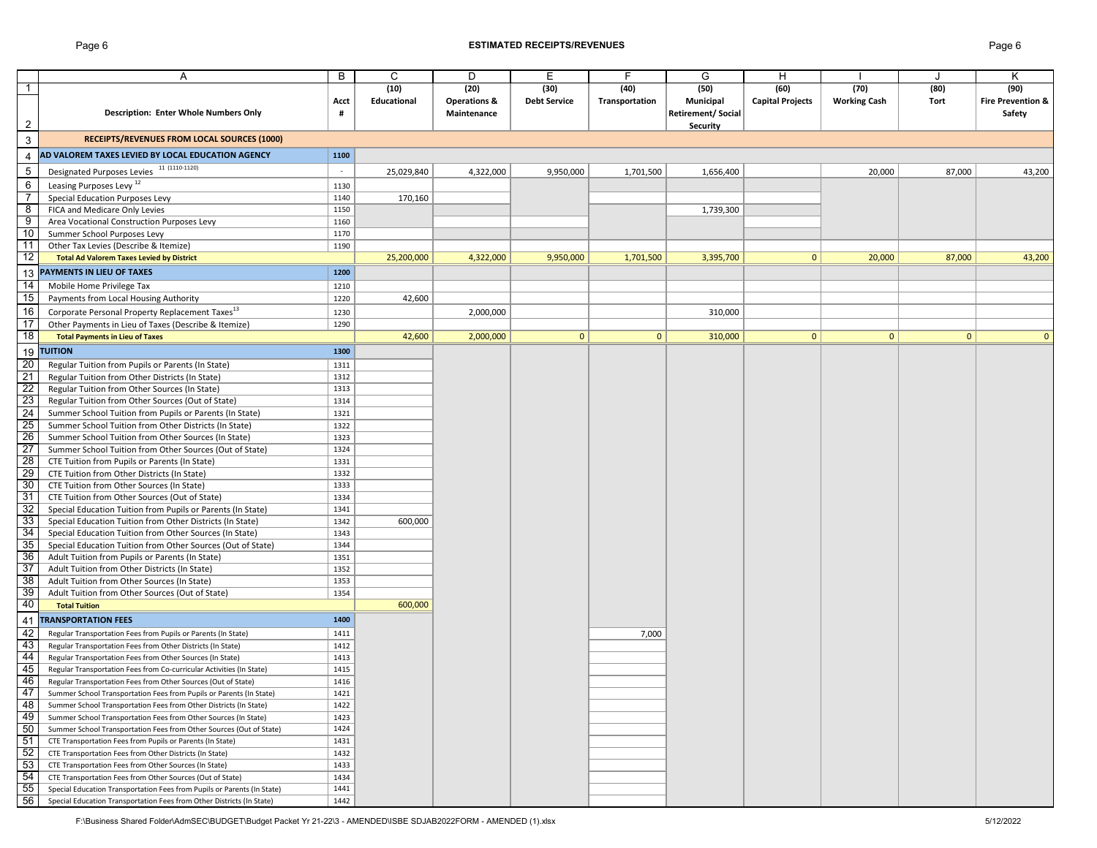## Page 6 **ESTIMATED RECEIPTS/REVENUES** Page 6

|                 | Α                                                                                                                                 | B            | C           | D                       | E                   | F.             | G                 | H                       |                     |              | κ                            |
|-----------------|-----------------------------------------------------------------------------------------------------------------------------------|--------------|-------------|-------------------------|---------------------|----------------|-------------------|-------------------------|---------------------|--------------|------------------------------|
| 1               |                                                                                                                                   |              | (10)        | (20)                    | (30)                | (40)           | (50)              | (60)                    | (70)                | (80)         | (90)                         |
|                 |                                                                                                                                   | Acct         | Educational | <b>Operations &amp;</b> | <b>Debt Service</b> | Transportation | Municipal         | <b>Capital Projects</b> | <b>Working Cash</b> | Tort         | <b>Fire Prevention &amp;</b> |
|                 | Description: Enter Whole Numbers Only                                                                                             | #            |             | Maintenance             |                     |                | Retirement/Social |                         |                     |              | Safety                       |
| $\overline{2}$  |                                                                                                                                   |              |             |                         |                     |                | Security          |                         |                     |              |                              |
| 3               | RECEIPTS/REVENUES FROM LOCAL SOURCES (1000)                                                                                       |              |             |                         |                     |                |                   |                         |                     |              |                              |
| 4               | AD VALOREM TAXES LEVIED BY LOCAL EDUCATION AGENCY                                                                                 | 1100         |             |                         |                     |                |                   |                         |                     |              |                              |
| $\sqrt{5}$      | Designated Purposes Levies 11 (1110-1120)                                                                                         | $\sim$       | 25,029,840  | 4,322,000               | 9,950,000           | 1,701,500      | 1,656,400         |                         | 20,000              | 87,000       | 43,200                       |
| 6               | Leasing Purposes Levy <sup>12</sup>                                                                                               | 1130         |             |                         |                     |                |                   |                         |                     |              |                              |
| $\overline{7}$  | Special Education Purposes Levy                                                                                                   | 1140         | 170,160     |                         |                     |                |                   |                         |                     |              |                              |
| 8               | FICA and Medicare Only Levies                                                                                                     | 1150         |             |                         |                     |                | 1,739,300         |                         |                     |              |                              |
| 9               | Area Vocational Construction Purposes Levy                                                                                        | 1160         |             |                         |                     |                |                   |                         |                     |              |                              |
| 10              | Summer School Purposes Levy                                                                                                       | 1170         |             |                         |                     |                |                   |                         |                     |              |                              |
| 11              | Other Tax Levies (Describe & Itemize)                                                                                             | 1190         |             |                         |                     |                |                   |                         |                     |              |                              |
| 12              | <b>Total Ad Valorem Taxes Levied by District</b>                                                                                  |              | 25,200,000  | 4,322,000               | 9,950,000           | 1,701,500      | 3,395,700         | $\mathbf{0}$            | 20,000              | 87,000       | 43,200                       |
|                 | 13 PAYMENTS IN LIEU OF TAXES                                                                                                      | 1200         |             |                         |                     |                |                   |                         |                     |              |                              |
| 14              | Mobile Home Privilege Tax                                                                                                         | 1210         |             |                         |                     |                |                   |                         |                     |              |                              |
| 15              | Payments from Local Housing Authority                                                                                             | 1220         | 42,600      |                         |                     |                |                   |                         |                     |              |                              |
|                 |                                                                                                                                   |              |             |                         |                     |                |                   |                         |                     |              |                              |
| 16              | Corporate Personal Property Replacement Taxes <sup>13</sup>                                                                       | 1230         |             | 2,000,000               |                     |                | 310,000           |                         |                     |              |                              |
| 17              | Other Payments in Lieu of Taxes (Describe & Itemize)                                                                              | 1290         |             |                         |                     |                |                   |                         |                     |              |                              |
| 18              | <b>Total Payments in Lieu of Taxes</b>                                                                                            |              | 42,600      | 2,000,000               | $\mathbf{0}$        | $\mathbf{0}$   | 310,000           | $\mathbf{0}$            | $\mathbf{0}$        | $\mathbf{0}$ |                              |
|                 | 19 TUITION                                                                                                                        | 1300         |             |                         |                     |                |                   |                         |                     |              |                              |
| 20              | Regular Tuition from Pupils or Parents (In State)                                                                                 | 1311         |             |                         |                     |                |                   |                         |                     |              |                              |
| 21              | Regular Tuition from Other Districts (In State)                                                                                   | 1312         |             |                         |                     |                |                   |                         |                     |              |                              |
| 22              | Regular Tuition from Other Sources (In State)                                                                                     | 1313         |             |                         |                     |                |                   |                         |                     |              |                              |
| 23              | Regular Tuition from Other Sources (Out of State)                                                                                 | 1314         |             |                         |                     |                |                   |                         |                     |              |                              |
| $\overline{24}$ | Summer School Tuition from Pupils or Parents (In State)                                                                           | 1321         |             |                         |                     |                |                   |                         |                     |              |                              |
| $\overline{25}$ | Summer School Tuition from Other Districts (In State)                                                                             | 1322         |             |                         |                     |                |                   |                         |                     |              |                              |
| 26              | Summer School Tuition from Other Sources (In State)                                                                               | 1323         |             |                         |                     |                |                   |                         |                     |              |                              |
| $\overline{27}$ | Summer School Tuition from Other Sources (Out of State)                                                                           | 1324         |             |                         |                     |                |                   |                         |                     |              |                              |
| $\overline{28}$ | CTE Tuition from Pupils or Parents (In State)                                                                                     | 1331         |             |                         |                     |                |                   |                         |                     |              |                              |
| 29              | CTE Tuition from Other Districts (In State)                                                                                       | 1332         |             |                         |                     |                |                   |                         |                     |              |                              |
| 30              | CTE Tuition from Other Sources (In State)                                                                                         | 1333         |             |                         |                     |                |                   |                         |                     |              |                              |
| 31              | CTE Tuition from Other Sources (Out of State)                                                                                     | 1334         |             |                         |                     |                |                   |                         |                     |              |                              |
| 32              | Special Education Tuition from Pupils or Parents (In State)                                                                       | 1341         |             |                         |                     |                |                   |                         |                     |              |                              |
| 33              | Special Education Tuition from Other Districts (In State)                                                                         | 1342         | 600,000     |                         |                     |                |                   |                         |                     |              |                              |
| 34<br>35        | Special Education Tuition from Other Sources (In State)                                                                           | 1343         |             |                         |                     |                |                   |                         |                     |              |                              |
| 36              | Special Education Tuition from Other Sources (Out of State)                                                                       | 1344         |             |                         |                     |                |                   |                         |                     |              |                              |
| 37              | Adult Tuition from Pupils or Parents (In State)                                                                                   | 1351<br>1352 |             |                         |                     |                |                   |                         |                     |              |                              |
| 38              | Adult Tuition from Other Districts (In State)<br>Adult Tuition from Other Sources (In State)                                      | 1353         |             |                         |                     |                |                   |                         |                     |              |                              |
| 39              |                                                                                                                                   | 1354         |             |                         |                     |                |                   |                         |                     |              |                              |
| 40              | Adult Tuition from Other Sources (Out of State)<br><b>Total Tuition</b>                                                           |              | 600,000     |                         |                     |                |                   |                         |                     |              |                              |
|                 | <b>TRANSPORTATION FEES</b>                                                                                                        | 1400         |             |                         |                     |                |                   |                         |                     |              |                              |
| 41<br>42        | Regular Transportation Fees from Pupils or Parents (In State)                                                                     | 1411         |             |                         |                     | 7,000          |                   |                         |                     |              |                              |
| 43              | Regular Transportation Fees from Other Districts (In State)                                                                       | 1412         |             |                         |                     |                |                   |                         |                     |              |                              |
| 44              |                                                                                                                                   | 1413         |             |                         |                     |                |                   |                         |                     |              |                              |
| 45              | Regular Transportation Fees from Other Sources (In State)<br>Regular Transportation Fees from Co-curricular Activities (In State) | 1415         |             |                         |                     |                |                   |                         |                     |              |                              |
| 46              | Regular Transportation Fees from Other Sources (Out of State)                                                                     | 1416         |             |                         |                     |                |                   |                         |                     |              |                              |
| 47              | Summer School Transportation Fees from Pupils or Parents (In State)                                                               | 1421         |             |                         |                     |                |                   |                         |                     |              |                              |
| 48              | Summer School Transportation Fees from Other Districts (In State)                                                                 | 1422         |             |                         |                     |                |                   |                         |                     |              |                              |
| 49              | Summer School Transportation Fees from Other Sources (In State)                                                                   | 1423         |             |                         |                     |                |                   |                         |                     |              |                              |
| 50              | Summer School Transportation Fees from Other Sources (Out of State)                                                               | 1424         |             |                         |                     |                |                   |                         |                     |              |                              |
| 51              | CTE Transportation Fees from Pupils or Parents (In State)                                                                         | 1431         |             |                         |                     |                |                   |                         |                     |              |                              |
| 52              | CTE Transportation Fees from Other Districts (In State)                                                                           | 1432         |             |                         |                     |                |                   |                         |                     |              |                              |
| 53              | CTE Transportation Fees from Other Sources (In State)                                                                             | 1433         |             |                         |                     |                |                   |                         |                     |              |                              |
| 54              | CTE Transportation Fees from Other Sources (Out of State)                                                                         | 1434         |             |                         |                     |                |                   |                         |                     |              |                              |
| 55              | Special Education Transportation Fees from Pupils or Parents (In State)                                                           | 1441         |             |                         |                     |                |                   |                         |                     |              |                              |
| 56              | Special Education Transportation Fees from Other Districts (In State)                                                             | 1442         |             |                         |                     |                |                   |                         |                     |              |                              |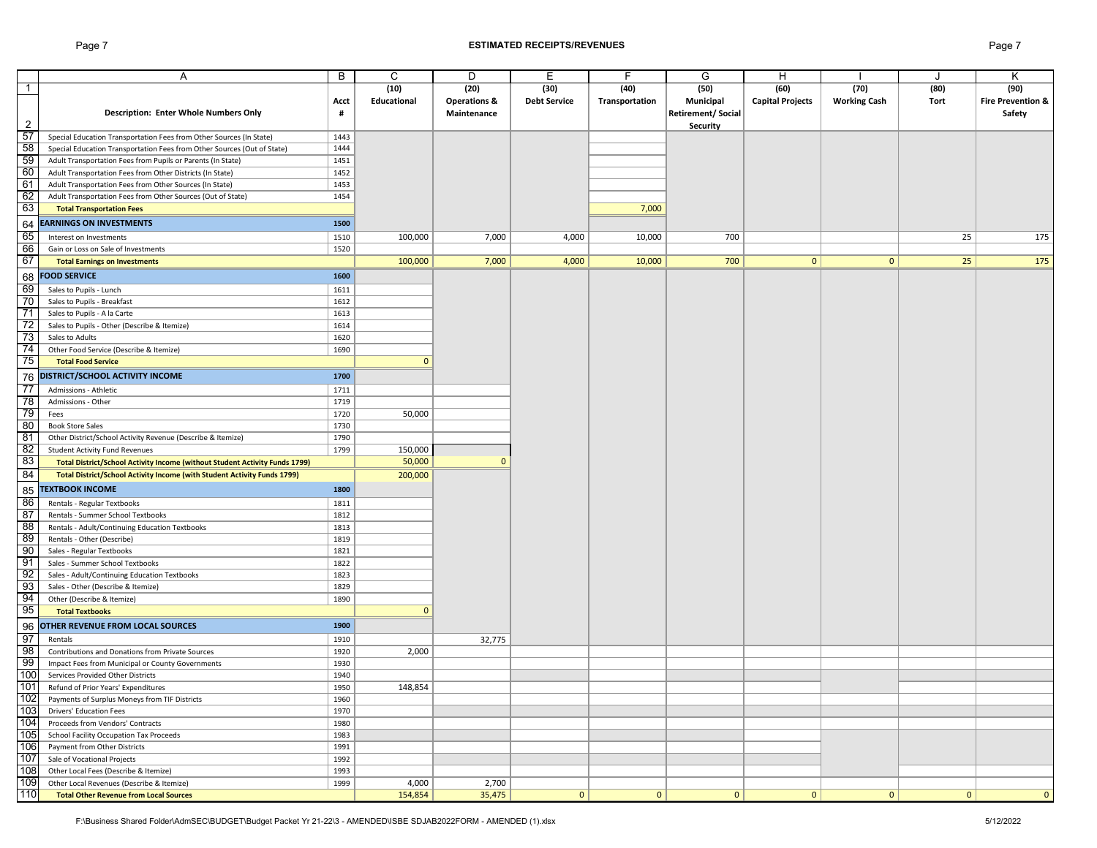#### Page 7 **ESTIMATED RECEIPTS/REVENUES** Page 7

|                | Α                                                                           | B    | C            | D                       | Ε                   | F              | G                        | H                       |                     |      | K                            |
|----------------|-----------------------------------------------------------------------------|------|--------------|-------------------------|---------------------|----------------|--------------------------|-------------------------|---------------------|------|------------------------------|
| $\overline{1}$ |                                                                             |      | (10)         | (20)                    | (30)                | (40)           | (50)                     | (60)                    | (70)                | (80) | (90)                         |
|                |                                                                             | Acct | Educational  | <b>Operations &amp;</b> | <b>Debt Service</b> | Transportation | Municipal                | <b>Capital Projects</b> | <b>Working Cash</b> | Tort | <b>Fire Prevention &amp;</b> |
|                | <b>Description: Enter Whole Numbers Only</b>                                | #    |              | Maintenance             |                     |                | <b>Retirement/Social</b> |                         |                     |      | Safety                       |
| $\overline{2}$ |                                                                             |      |              |                         |                     |                | Security                 |                         |                     |      |                              |
| 57             | Special Education Transportation Fees from Other Sources (In State)         | 1443 |              |                         |                     |                |                          |                         |                     |      |                              |
| 58             | Special Education Transportation Fees from Other Sources (Out of State)     | 1444 |              |                         |                     |                |                          |                         |                     |      |                              |
| 59             | Adult Transportation Fees from Pupils or Parents (In State)                 | 1451 |              |                         |                     |                |                          |                         |                     |      |                              |
| 60             | Adult Transportation Fees from Other Districts (In State)                   | 1452 |              |                         |                     |                |                          |                         |                     |      |                              |
| 61             | Adult Transportation Fees from Other Sources (In State)                     | 1453 |              |                         |                     |                |                          |                         |                     |      |                              |
| 62             | Adult Transportation Fees from Other Sources (Out of State)                 | 1454 |              |                         |                     |                |                          |                         |                     |      |                              |
| 63             | <b>Total Transportation Fees</b>                                            |      |              |                         |                     | 7,000          |                          |                         |                     |      |                              |
| 64             | <b>EARNINGS ON INVESTMENTS</b>                                              | 1500 |              |                         |                     |                |                          |                         |                     |      |                              |
| 65             | Interest on Investments                                                     | 1510 | 100,000      | 7,000                   | 4,000               | 10,000         | 700                      |                         |                     | 25   | 175                          |
| 66             | Gain or Loss on Sale of Investments                                         | 1520 |              |                         |                     |                |                          |                         |                     |      |                              |
| 67             | <b>Total Earnings on Investments</b>                                        |      | 100,000      | 7,000                   | 4,000               | 10,000         | 700                      | $\mathbf{0}$            | $\mathbf{0}$        | 25   | 175                          |
|                |                                                                             |      |              |                         |                     |                |                          |                         |                     |      |                              |
| 68             | <b>FOOD SERVICE</b>                                                         | 1600 |              |                         |                     |                |                          |                         |                     |      |                              |
| 69<br>70       | Sales to Pupils - Lunch                                                     | 1611 |              |                         |                     |                |                          |                         |                     |      |                              |
|                | Sales to Pupils - Breakfast                                                 | 1612 |              |                         |                     |                |                          |                         |                     |      |                              |
| $\frac{1}{1}$  | Sales to Pupils - A la Carte                                                | 1613 |              |                         |                     |                |                          |                         |                     |      |                              |
| 72             | Sales to Pupils - Other (Describe & Itemize)                                | 1614 |              |                         |                     |                |                          |                         |                     |      |                              |
| 73             | Sales to Adults                                                             | 1620 |              |                         |                     |                |                          |                         |                     |      |                              |
| 74             | Other Food Service (Describe & Itemize)                                     | 1690 |              |                         |                     |                |                          |                         |                     |      |                              |
| 75             | <b>Total Food Service</b>                                                   |      | $\mathbf{0}$ |                         |                     |                |                          |                         |                     |      |                              |
| 76             | DISTRICT/SCHOOL ACTIVITY INCOME                                             | 1700 |              |                         |                     |                |                          |                         |                     |      |                              |
| -77            | Admissions - Athletic                                                       | 1711 |              |                         |                     |                |                          |                         |                     |      |                              |
| - 78           | Admissions - Other                                                          | 1719 |              |                         |                     |                |                          |                         |                     |      |                              |
| 79             | Fees                                                                        | 1720 | 50,000       |                         |                     |                |                          |                         |                     |      |                              |
| 80             | <b>Book Store Sales</b>                                                     | 1730 |              |                         |                     |                |                          |                         |                     |      |                              |
| 81             | Other District/School Activity Revenue (Describe & Itemize)                 | 1790 |              |                         |                     |                |                          |                         |                     |      |                              |
| 82             | <b>Student Activity Fund Revenues</b>                                       | 1799 | 150,000      |                         |                     |                |                          |                         |                     |      |                              |
| 83             | Total District/School Activity Income (without Student Activity Funds 1799) |      | 50,000       | $\mathbf{0}$            |                     |                |                          |                         |                     |      |                              |
| 84             | Total District/School Activity Income (with Student Activity Funds 1799)    |      | 200,000      |                         |                     |                |                          |                         |                     |      |                              |
|                |                                                                             |      |              |                         |                     |                |                          |                         |                     |      |                              |
| 85             | <b>TEXTBOOK INCOME</b>                                                      | 1800 |              |                         |                     |                |                          |                         |                     |      |                              |
| 86             | Rentals - Regular Textbooks                                                 | 1811 |              |                         |                     |                |                          |                         |                     |      |                              |
| 87             | Rentals - Summer School Textbooks                                           | 1812 |              |                         |                     |                |                          |                         |                     |      |                              |
| 88             | Rentals - Adult/Continuing Education Textbooks                              | 1813 |              |                         |                     |                |                          |                         |                     |      |                              |
| 89             | Rentals - Other (Describe)                                                  | 1819 |              |                         |                     |                |                          |                         |                     |      |                              |
| 90             | Sales - Regular Textbooks                                                   | 1821 |              |                         |                     |                |                          |                         |                     |      |                              |
| 91             | Sales - Summer School Textbooks                                             | 1822 |              |                         |                     |                |                          |                         |                     |      |                              |
| 92             | Sales - Adult/Continuing Education Textbooks                                | 1823 |              |                         |                     |                |                          |                         |                     |      |                              |
| 93             | Sales - Other (Describe & Itemize)                                          | 1829 |              |                         |                     |                |                          |                         |                     |      |                              |
| 94<br>95       | Other (Describe & Itemize)                                                  | 1890 |              |                         |                     |                |                          |                         |                     |      |                              |
|                | <b>Total Textbooks</b>                                                      |      | $\mathbf{0}$ |                         |                     |                |                          |                         |                     |      |                              |
| 96             | OTHER REVENUE FROM LOCAL SOURCES                                            | 1900 |              |                         |                     |                |                          |                         |                     |      |                              |
| 97             | Rentals                                                                     | 1910 |              | 32,775                  |                     |                |                          |                         |                     |      |                              |
| 98             | Contributions and Donations from Private Sources                            | 1920 | 2,000        |                         |                     |                |                          |                         |                     |      |                              |
| 99             | Impact Fees from Municipal or County Governments                            | 1930 |              |                         |                     |                |                          |                         |                     |      |                              |
| 100            | Services Provided Other Districts                                           | 1940 |              |                         |                     |                |                          |                         |                     |      |                              |
| 101            | Refund of Prior Years' Expenditures                                         | 1950 | 148,854      |                         |                     |                |                          |                         |                     |      |                              |
| 102            | Payments of Surplus Moneys from TIF Districts                               | 1960 |              |                         |                     |                |                          |                         |                     |      |                              |
| 103            | <b>Drivers' Education Fees</b>                                              | 1970 |              |                         |                     |                |                          |                         |                     |      |                              |
| 104            | Proceeds from Vendors' Contracts                                            | 1980 |              |                         |                     |                |                          |                         |                     |      |                              |
| 105            | School Facility Occupation Tax Proceeds                                     | 1983 |              |                         |                     |                |                          |                         |                     |      |                              |
| 106            | Payment from Other Districts                                                | 1991 |              |                         |                     |                |                          |                         |                     |      |                              |
| 107            | Sale of Vocational Projects                                                 | 1992 |              |                         |                     |                |                          |                         |                     |      |                              |
| 108            | Other Local Fees (Describe & Itemize)                                       | 1993 |              |                         |                     |                |                          |                         |                     |      |                              |
| 109            | Other Local Revenues (Describe & Itemize)                                   | 1999 | 4,000        | 2,700                   |                     |                |                          |                         |                     |      |                              |
| 110            | <b>Total Other Revenue from Local Sources</b>                               |      | 154,854      | 35,475                  | 0                   | $\mathbf{0}$   | 0                        | 0                       | 0                   | 0    | $\mathbf{0}$                 |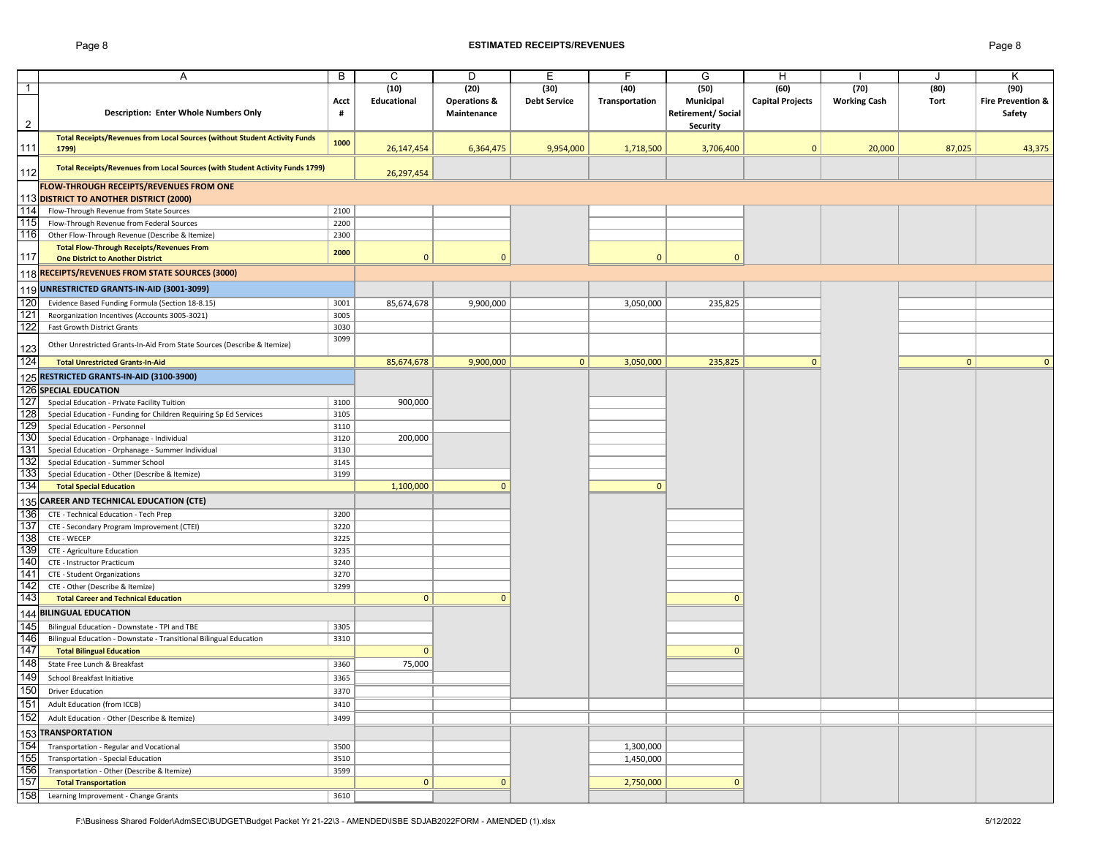#### Page 8 **ESTIMATED RECEIPTS/REVENUES** Page 8

|                | Α                                                                             | B    | C            | D                       | Е                   | F              | G                        | H                       |                     | J            | Κ                            |
|----------------|-------------------------------------------------------------------------------|------|--------------|-------------------------|---------------------|----------------|--------------------------|-------------------------|---------------------|--------------|------------------------------|
| $\mathbf{1}$   |                                                                               |      | (10)         | (20)                    | (30)                | (40)           | (50)                     | (60)                    | (70)                | (80)         | (90)                         |
|                |                                                                               | Acct | Educational  | <b>Operations &amp;</b> | <b>Debt Service</b> | Transportation | Municipal                | <b>Capital Projects</b> | <b>Working Cash</b> | <b>Tort</b>  | <b>Fire Prevention &amp;</b> |
|                | Description: Enter Whole Numbers Only                                         | #    |              | Maintenance             |                     |                | <b>Retirement/Social</b> |                         |                     |              | Safety                       |
| $\overline{2}$ |                                                                               |      |              |                         |                     |                | <b>Security</b>          |                         |                     |              |                              |
|                | Total Receipts/Revenues from Local Sources (without Student Activity Funds    | 1000 |              |                         |                     |                |                          |                         |                     |              |                              |
| 111            | 1799)                                                                         |      | 26, 147, 454 | 6,364,475               | 9,954,000           | 1,718,500      | 3,706,400                | $\mathbf{0}$            | 20,000              | 87,025       | 43,375                       |
|                | Total Receipts/Revenues from Local Sources (with Student Activity Funds 1799) |      |              |                         |                     |                |                          |                         |                     |              |                              |
| 112            |                                                                               |      | 26,297,454   |                         |                     |                |                          |                         |                     |              |                              |
|                | FLOW-THROUGH RECEIPTS/REVENUES FROM ONE                                       |      |              |                         |                     |                |                          |                         |                     |              |                              |
|                | 113 DISTRICT TO ANOTHER DISTRICT (2000)                                       |      |              |                         |                     |                |                          |                         |                     |              |                              |
| 114            | Flow-Through Revenue from State Sources                                       | 2100 |              |                         |                     |                |                          |                         |                     |              |                              |
| 115            | Flow-Through Revenue from Federal Sources                                     | 2200 |              |                         |                     |                |                          |                         |                     |              |                              |
| 116            | Other Flow-Through Revenue (Describe & Itemize)                               | 2300 |              |                         |                     |                |                          |                         |                     |              |                              |
|                | <b>Total Flow-Through Receipts/Revenues From</b>                              | 2000 |              |                         |                     |                |                          |                         |                     |              |                              |
| 117            | <b>One District to Another District</b>                                       |      | $\mathbf{0}$ | $\mathbf{0}$            |                     | $\mathbf{0}$   | $\mathbf{0}$             |                         |                     |              |                              |
|                | 118 RECEIPTS/REVENUES FROM STATE SOURCES (3000)                               |      |              |                         |                     |                |                          |                         |                     |              |                              |
|                | 119 UNRESTRICTED GRANTS-IN-AID (3001-3099)                                    |      |              |                         |                     |                |                          |                         |                     |              |                              |
| 120            | Evidence Based Funding Formula (Section 18-8.15)                              | 3001 | 85,674,678   | 9,900,000               |                     | 3,050,000      | 235,825                  |                         |                     |              |                              |
| 121            | Reorganization Incentives (Accounts 3005-3021)                                | 3005 |              |                         |                     |                |                          |                         |                     |              |                              |
| 122            | Fast Growth District Grants                                                   | 3030 |              |                         |                     |                |                          |                         |                     |              |                              |
|                |                                                                               | 3099 |              |                         |                     |                |                          |                         |                     |              |                              |
| 123            | Other Unrestricted Grants-In-Aid From State Sources (Describe & Itemize)      |      |              |                         |                     |                |                          |                         |                     |              |                              |
| 124            | <b>Total Unrestricted Grants-In-Aid</b>                                       |      | 85,674,678   | 9,900,000               | 0                   | 3,050,000      | 235,825                  | $\mathbf{0}$            |                     | $\mathbf{0}$ | $\mathbf 0$                  |
|                | 125 RESTRICTED GRANTS-IN-AID (3100-3900)                                      |      |              |                         |                     |                |                          |                         |                     |              |                              |
|                | 126 SPECIAL EDUCATION                                                         |      |              |                         |                     |                |                          |                         |                     |              |                              |
| 127            | Special Education - Private Facility Tuition                                  | 3100 | 900,000      |                         |                     |                |                          |                         |                     |              |                              |
| 128            | Special Education - Funding for Children Requiring Sp Ed Services             | 3105 |              |                         |                     |                |                          |                         |                     |              |                              |
| 129            | Special Education - Personnel                                                 | 3110 |              |                         |                     |                |                          |                         |                     |              |                              |
| 130            | Special Education - Orphanage - Individual                                    | 3120 | 200,000      |                         |                     |                |                          |                         |                     |              |                              |
| 131            | Special Education - Orphanage - Summer Individual                             | 3130 |              |                         |                     |                |                          |                         |                     |              |                              |
| 132            | Special Education - Summer School                                             | 3145 |              |                         |                     |                |                          |                         |                     |              |                              |
| 133            | Special Education - Other (Describe & Itemize)                                | 3199 |              |                         |                     |                |                          |                         |                     |              |                              |
| 134            | <b>Total Special Education</b>                                                |      | 1,100,000    | $\mathbf{0}$            |                     | $\mathbf{0}$   |                          |                         |                     |              |                              |
|                | 135 CAREER AND TECHNICAL EDUCATION (CTE)                                      |      |              |                         |                     |                |                          |                         |                     |              |                              |
| 136            | CTE - Technical Education - Tech Prep                                         | 3200 |              |                         |                     |                |                          |                         |                     |              |                              |
| 137            | CTE - Secondary Program Improvement (CTEI)                                    | 3220 |              |                         |                     |                |                          |                         |                     |              |                              |
| 138            | CTE - WECEP                                                                   | 3225 |              |                         |                     |                |                          |                         |                     |              |                              |
| 139            | CTE - Agriculture Education                                                   | 3235 |              |                         |                     |                |                          |                         |                     |              |                              |
| 140            | CTE - Instructor Practicum                                                    | 3240 |              |                         |                     |                |                          |                         |                     |              |                              |
| 141            | CTE - Student Organizations                                                   | 3270 |              |                         |                     |                |                          |                         |                     |              |                              |
| 142            | CTE - Other (Describe & Itemize)                                              | 3299 |              |                         |                     |                |                          |                         |                     |              |                              |
| 143            | <b>Total Career and Technical Education</b>                                   |      | $\mathbf{0}$ | $\mathbf{0}$            |                     |                | $\mathbf{0}$             |                         |                     |              |                              |
|                | 144 BILINGUAL EDUCATION                                                       |      |              |                         |                     |                |                          |                         |                     |              |                              |
| 145            | Bilingual Education - Downstate - TPI and TBE                                 | 3305 |              |                         |                     |                |                          |                         |                     |              |                              |
| 146            | Bilingual Education - Downstate - Transitional Bilingual Education            | 3310 |              |                         |                     |                |                          |                         |                     |              |                              |
| 147            | <b>Total Bilingual Education</b>                                              |      | $\mathbf{0}$ |                         |                     |                | $\Omega$                 |                         |                     |              |                              |
| 148            | State Free Lunch & Breakfast                                                  | 3360 | 75,000       |                         |                     |                |                          |                         |                     |              |                              |
| 149            | School Breakfast Initiative                                                   | 3365 |              |                         |                     |                |                          |                         |                     |              |                              |
| 150            | <b>Driver Education</b>                                                       | 3370 |              |                         |                     |                |                          |                         |                     |              |                              |
| 151            | Adult Education (from ICCB)                                                   | 3410 |              |                         |                     |                |                          |                         |                     |              |                              |
| 152            |                                                                               |      |              |                         |                     |                |                          |                         |                     |              |                              |
|                | Adult Education - Other (Describe & Itemize)                                  | 3499 |              |                         |                     |                |                          |                         |                     |              |                              |
|                | 153 TRANSPORTATION                                                            |      |              |                         |                     |                |                          |                         |                     |              |                              |
| 154            | Transportation - Regular and Vocational                                       | 3500 |              |                         |                     | 1,300,000      |                          |                         |                     |              |                              |
| 155            | Transportation - Special Education                                            | 3510 |              |                         |                     | 1,450,000      |                          |                         |                     |              |                              |
| 156            | Transportation - Other (Describe & Itemize)                                   | 3599 |              |                         |                     |                |                          |                         |                     |              |                              |
| 157            | <b>Total Transportation</b>                                                   |      | $\mathbf{0}$ | $\mathbf{0}$            |                     | 2,750,000      | $\mathbf{0}$             |                         |                     |              |                              |
| 158            | Learning Improvement - Change Grants                                          | 3610 |              |                         |                     |                |                          |                         |                     |              |                              |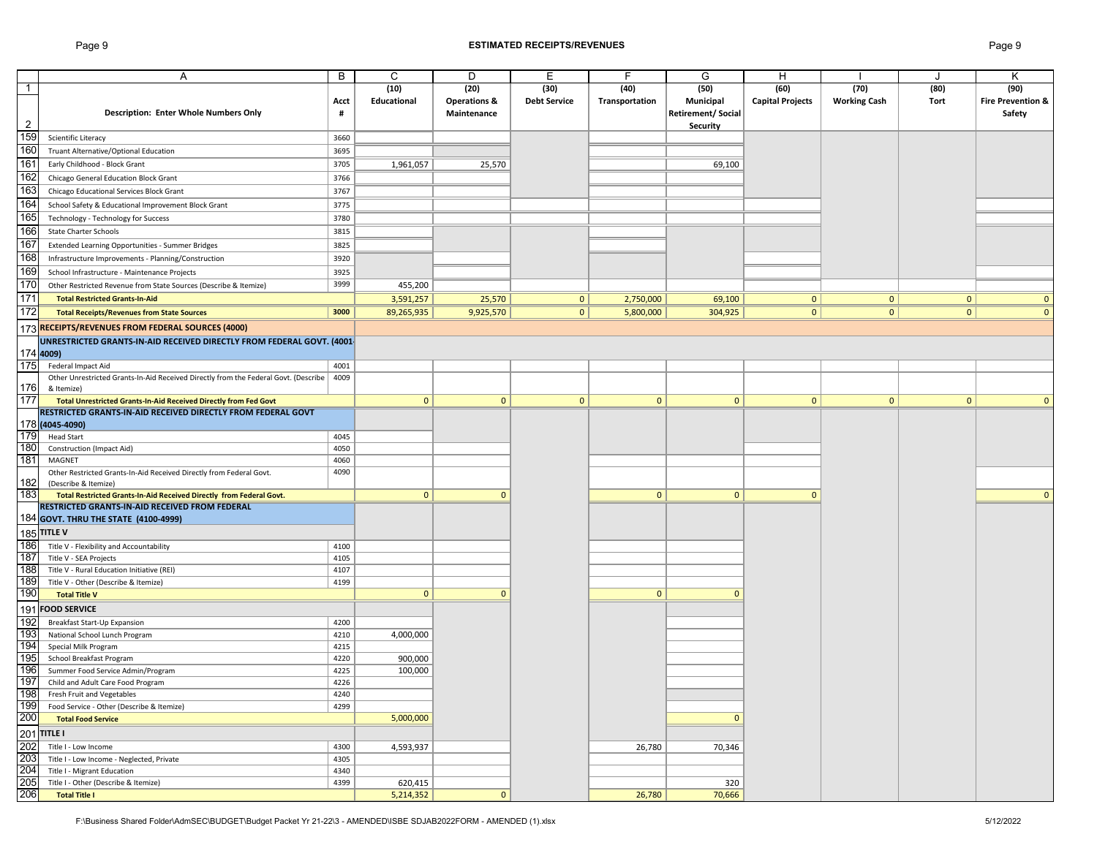## Page 9 **ESTIMATED RECEIPTS/REVENUES** Page 9

|                |                                                                                     |      |              |                         |                     | F.             |                          |                         |                     |              |                              |
|----------------|-------------------------------------------------------------------------------------|------|--------------|-------------------------|---------------------|----------------|--------------------------|-------------------------|---------------------|--------------|------------------------------|
|                | Α                                                                                   | B    | C            | D                       | E                   |                | G                        | H                       |                     |              | Κ                            |
| $\mathbf{1}$   |                                                                                     |      | (10)         | (20)                    | (30)                | (40)           | (50)                     | (60)                    | (70)                | (80)         | (90)                         |
|                |                                                                                     | Acct | Educational  | <b>Operations &amp;</b> | <b>Debt Service</b> | Transportation | Municipal                | <b>Capital Projects</b> | <b>Working Cash</b> | Tort         | <b>Fire Prevention &amp;</b> |
|                | Description: Enter Whole Numbers Only                                               | #    |              | Maintenance             |                     |                | <b>Retirement/Social</b> |                         |                     |              | Safety                       |
| $\overline{2}$ |                                                                                     |      |              |                         |                     |                | Security                 |                         |                     |              |                              |
| 159            | Scientific Literacy                                                                 | 3660 |              |                         |                     |                |                          |                         |                     |              |                              |
| 160            | Truant Alternative/Optional Education                                               | 3695 |              |                         |                     |                |                          |                         |                     |              |                              |
| 161            | Early Childhood - Block Grant                                                       | 3705 | 1,961,057    | 25,570                  |                     |                | 69,100                   |                         |                     |              |                              |
| 162            | Chicago General Education Block Grant                                               | 3766 |              |                         |                     |                |                          |                         |                     |              |                              |
| 163            |                                                                                     | 3767 |              |                         |                     |                |                          |                         |                     |              |                              |
|                | Chicago Educational Services Block Grant                                            |      |              |                         |                     |                |                          |                         |                     |              |                              |
| 164            | School Safety & Educational Improvement Block Grant                                 | 3775 |              |                         |                     |                |                          |                         |                     |              |                              |
| 165            | Technology - Technology for Success                                                 | 3780 |              |                         |                     |                |                          |                         |                     |              |                              |
| 166            | <b>State Charter Schools</b>                                                        | 3815 |              |                         |                     |                |                          |                         |                     |              |                              |
| 167            | Extended Learning Opportunities - Summer Bridges                                    | 3825 |              |                         |                     |                |                          |                         |                     |              |                              |
| 168            | Infrastructure Improvements - Planning/Construction                                 | 3920 |              |                         |                     |                |                          |                         |                     |              |                              |
| 169            | School Infrastructure - Maintenance Projects                                        | 3925 |              |                         |                     |                |                          |                         |                     |              |                              |
| 170            | Other Restricted Revenue from State Sources (Describe & Itemize)                    | 3999 | 455,200      |                         |                     |                |                          |                         |                     |              |                              |
| 171            | <b>Total Restricted Grants-In-Aid</b>                                               |      | 3,591,257    | 25,570                  | 0                   | 2,750,000      | 69,100                   | 0                       | 0                   | 0            | $\mathbf 0$                  |
| 172            |                                                                                     | 3000 |              |                         | 0                   |                |                          | 0 <sup>1</sup>          | 0                   | 0            |                              |
|                | <b>Total Receipts/Revenues from State Sources</b>                                   |      | 89,265,935   | 9,925,570               |                     | 5,800,000      | 304,925                  |                         |                     |              | $\mathbf{0}$                 |
|                | 173 RECEIPTS/REVENUES FROM FEDERAL SOURCES (4000)                                   |      |              |                         |                     |                |                          |                         |                     |              |                              |
|                | UNRESTRICTED GRANTS-IN-AID RECEIVED DIRECTLY FROM FEDERAL GOVT. (4001-              |      |              |                         |                     |                |                          |                         |                     |              |                              |
|                | 174 4009)                                                                           |      |              |                         |                     |                |                          |                         |                     |              |                              |
| 175            | Federal Impact Aid                                                                  | 4001 |              |                         |                     |                |                          |                         |                     |              |                              |
|                | Other Unrestricted Grants-In-Aid Received Directly from the Federal Govt. (Describe | 4009 |              |                         |                     |                |                          |                         |                     |              |                              |
| 1761           | & Itemize)                                                                          |      |              |                         |                     |                |                          |                         |                     |              |                              |
| 177            | Total Unrestricted Grants-In-Aid Received Directly from Fed Govt                    |      | $\mathbf{0}$ | $\mathbf{0}$            | $\mathbf{0}$        | $\mathbf{0}$   | $\mathbf{0}$             | $\overline{0}$          | $\mathbf{0}$        | $\mathbf{0}$ | $\mathbf{0}$                 |
|                | RESTRICTED GRANTS-IN-AID RECEIVED DIRECTLY FROM FEDERAL GOVT                        |      |              |                         |                     |                |                          |                         |                     |              |                              |
|                | 178 (4045-4090)                                                                     |      |              |                         |                     |                |                          |                         |                     |              |                              |
| 179            | <b>Head Start</b>                                                                   | 4045 |              |                         |                     |                |                          |                         |                     |              |                              |
| 180            | Construction (Impact Aid)                                                           | 4050 |              |                         |                     |                |                          |                         |                     |              |                              |
| 181            | MAGNET                                                                              | 4060 |              |                         |                     |                |                          |                         |                     |              |                              |
|                | Other Restricted Grants-In-Aid Received Directly from Federal Govt.                 | 4090 |              |                         |                     |                |                          |                         |                     |              |                              |
| 182            | (Describe & Itemize)                                                                |      |              |                         |                     |                |                          |                         |                     |              |                              |
| 183            | Total Restricted Grants-In-Aid Received Directly from Federal Govt.                 |      | 0            | $\mathbf{0}$            |                     | $\mathbf{0}$   | $\mathbf{0}$             | $\mathbf{0}$            |                     |              | $\mathbf{0}$                 |
|                | RESTRICTED GRANTS-IN-AID RECEIVED FROM FEDERAL                                      |      |              |                         |                     |                |                          |                         |                     |              |                              |
|                | 184 GOVT. THRU THE STATE (4100-4999)                                                |      |              |                         |                     |                |                          |                         |                     |              |                              |
|                | <b>185 TITLE V</b>                                                                  |      |              |                         |                     |                |                          |                         |                     |              |                              |
| 186            | Title V - Flexibility and Accountability                                            | 4100 |              |                         |                     |                |                          |                         |                     |              |                              |
| 187            | Title V - SEA Projects                                                              | 4105 |              |                         |                     |                |                          |                         |                     |              |                              |
| 188            | Title V - Rural Education Initiative (REI)                                          | 4107 |              |                         |                     |                |                          |                         |                     |              |                              |
| 189            | Title V - Other (Describe & Itemize)                                                | 4199 |              |                         |                     |                |                          |                         |                     |              |                              |
| 190            | <b>Total Title V</b>                                                                |      | $\mathbf{0}$ | $\mathbf{0}$            |                     | $\mathbf{0}$   | $\mathbf 0$              |                         |                     |              |                              |
|                | 191 FOOD SERVICE                                                                    |      |              |                         |                     |                |                          |                         |                     |              |                              |
| 192            | Breakfast Start-Up Expansion                                                        | 4200 |              |                         |                     |                |                          |                         |                     |              |                              |
| 193            | National School Lunch Program                                                       | 4210 | 4,000,000    |                         |                     |                |                          |                         |                     |              |                              |
| 194            | Special Milk Program                                                                | 4215 |              |                         |                     |                |                          |                         |                     |              |                              |
| 195            | School Breakfast Program                                                            | 4220 | 900,000      |                         |                     |                |                          |                         |                     |              |                              |
| 196            | Summer Food Service Admin/Program                                                   | 4225 | 100,000      |                         |                     |                |                          |                         |                     |              |                              |
| 197            | Child and Adult Care Food Program                                                   | 4226 |              |                         |                     |                |                          |                         |                     |              |                              |
|                | 198 Fresh Fruit and Vegetables                                                      | 4240 |              |                         |                     |                |                          |                         |                     |              |                              |
| 199            | Food Service - Other (Describe & Itemize)                                           | 4299 |              |                         |                     |                |                          |                         |                     |              |                              |
| 200            | <b>Total Food Service</b>                                                           |      | 5,000,000    |                         |                     |                | $\mathbf 0$              |                         |                     |              |                              |
|                |                                                                                     |      |              |                         |                     |                |                          |                         |                     |              |                              |
|                | 201 TITLE I                                                                         |      |              |                         |                     |                |                          |                         |                     |              |                              |
| 202            | Title I - Low Income                                                                | 4300 | 4,593,937    |                         |                     | 26,780         | 70,346                   |                         |                     |              |                              |
| 203            | Title I - Low Income - Neglected, Private                                           | 4305 |              |                         |                     |                |                          |                         |                     |              |                              |
| 204<br>205     | Title I - Migrant Education                                                         | 4340 |              |                         |                     |                |                          |                         |                     |              |                              |
|                | Title I - Other (Describe & Itemize)                                                | 4399 | 620,415      |                         |                     |                | 320                      |                         |                     |              |                              |
| 206            | <b>Total Title I</b>                                                                |      | 5,214,352    | $\mathbf{0}$            |                     | 26,780         | 70,666                   |                         |                     |              |                              |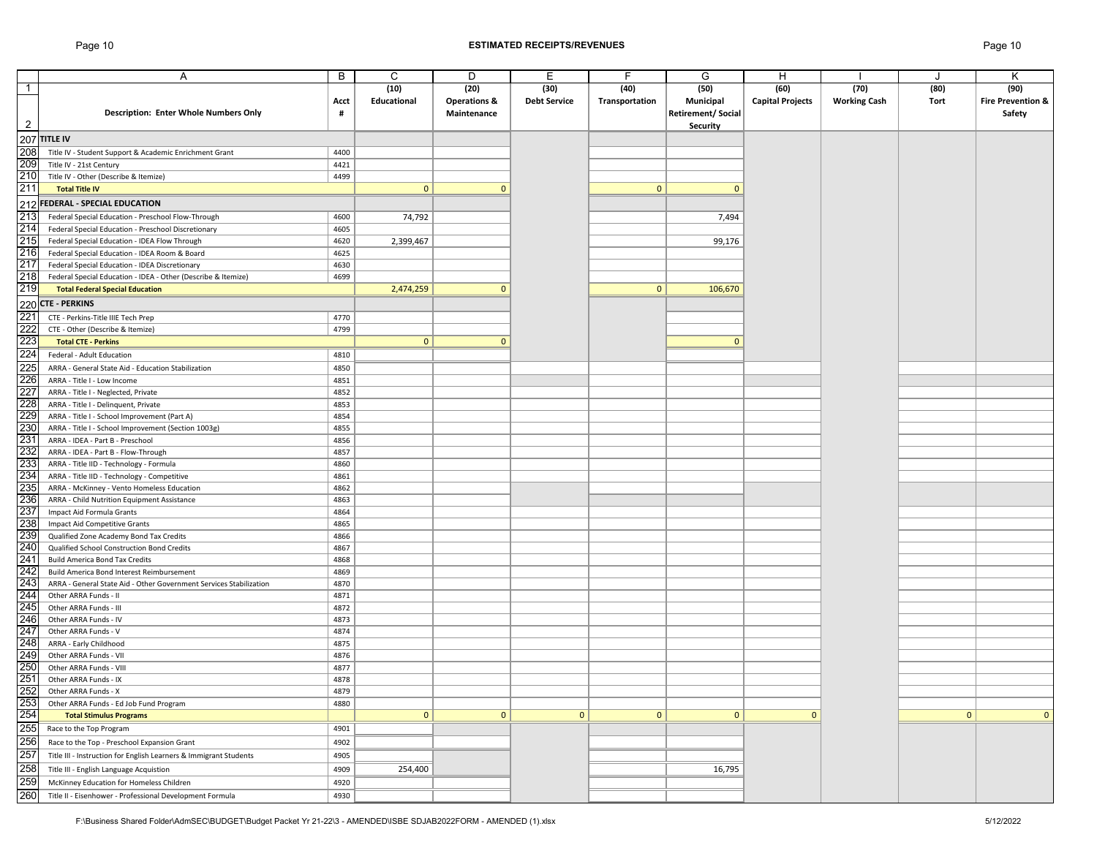## Page 10 **ESTIMATED RECEIPTS/REVENUES** Page 10

|                | A                                                                  | B    | C            | D                       | Е                   | F              | G                        | H                       |                     |              | Κ                            |
|----------------|--------------------------------------------------------------------|------|--------------|-------------------------|---------------------|----------------|--------------------------|-------------------------|---------------------|--------------|------------------------------|
| $\overline{1}$ |                                                                    |      | (10)         | (20)                    | (30)                | (40)           | (50)                     | (60)                    | (70)                | (80)         | (90)                         |
|                |                                                                    | Acct | Educational  | <b>Operations &amp;</b> | <b>Debt Service</b> | Transportation | Municipal                | <b>Capital Projects</b> | <b>Working Cash</b> | Tort         | <b>Fire Prevention &amp;</b> |
|                | Description: Enter Whole Numbers Only                              | #    |              | Maintenance             |                     |                | <b>Retirement/Social</b> |                         |                     |              | Safety                       |
| $\overline{c}$ |                                                                    |      |              |                         |                     |                | <b>Security</b>          |                         |                     |              |                              |
|                |                                                                    |      |              |                         |                     |                |                          |                         |                     |              |                              |
|                | <b>207 TITLE IV</b>                                                |      |              |                         |                     |                |                          |                         |                     |              |                              |
| 208            | Title IV - Student Support & Academic Enrichment Grant             | 4400 |              |                         |                     |                |                          |                         |                     |              |                              |
| 209            | Title IV - 21st Century                                            | 4421 |              |                         |                     |                |                          |                         |                     |              |                              |
| 210            | Title IV - Other (Describe & Itemize)                              | 4499 |              |                         |                     |                |                          |                         |                     |              |                              |
| 211            | <b>Total Title IV</b>                                              |      | $\mathbf{0}$ | $\mathbf{0}$            |                     | $\mathbf{0}$   | $\mathbf{0}$             |                         |                     |              |                              |
|                | 212 FEDERAL - SPECIAL EDUCATION                                    |      |              |                         |                     |                |                          |                         |                     |              |                              |
| 213            | Federal Special Education - Preschool Flow-Through                 | 4600 | 74,792       |                         |                     |                | 7,494                    |                         |                     |              |                              |
| 214            | Federal Special Education - Preschool Discretionary                | 4605 |              |                         |                     |                |                          |                         |                     |              |                              |
| 215            | Federal Special Education - IDEA Flow Through                      | 4620 | 2,399,467    |                         |                     |                | 99,176                   |                         |                     |              |                              |
| 216            | Federal Special Education - IDEA Room & Board                      | 4625 |              |                         |                     |                |                          |                         |                     |              |                              |
| 217            | Federal Special Education - IDEA Discretionary                     | 4630 |              |                         |                     |                |                          |                         |                     |              |                              |
| 218            | Federal Special Education - IDEA - Other (Describe & Itemize)      | 4699 |              |                         |                     |                |                          |                         |                     |              |                              |
| 219            | <b>Total Federal Special Education</b>                             |      | 2,474,259    | $\mathbf{0}$            |                     | $\mathbf{0}$   | 106,670                  |                         |                     |              |                              |
|                | 220 CTE - PERKINS                                                  |      |              |                         |                     |                |                          |                         |                     |              |                              |
|                |                                                                    |      |              |                         |                     |                |                          |                         |                     |              |                              |
| 221            | CTE - Perkins-Title IIIE Tech Prep                                 | 4770 |              |                         |                     |                |                          |                         |                     |              |                              |
| 222<br>223     | CTE - Other (Describe & Itemize)                                   | 4799 |              |                         |                     |                |                          |                         |                     |              |                              |
|                | <b>Total CTE - Perkins</b>                                         |      | $\mathbf{0}$ | $\mathbf{0}$            |                     |                | $\mathbf{0}$             |                         |                     |              |                              |
| 224            | Federal - Adult Education                                          | 4810 |              |                         |                     |                |                          |                         |                     |              |                              |
| 225            | ARRA - General State Aid - Education Stabilization                 | 4850 |              |                         |                     |                |                          |                         |                     |              |                              |
| 226            | ARRA - Title I - Low Income                                        | 4851 |              |                         |                     |                |                          |                         |                     |              |                              |
| 227            | ARRA - Title I - Neglected, Private                                | 4852 |              |                         |                     |                |                          |                         |                     |              |                              |
| 228            | ARRA - Title I - Delinquent, Private                               | 4853 |              |                         |                     |                |                          |                         |                     |              |                              |
| 229            | ARRA - Title I - School Improvement (Part A)                       | 4854 |              |                         |                     |                |                          |                         |                     |              |                              |
| 230            | ARRA - Title I - School Improvement (Section 1003g)                | 4855 |              |                         |                     |                |                          |                         |                     |              |                              |
| 231            | ARRA - IDEA - Part B - Preschool                                   | 4856 |              |                         |                     |                |                          |                         |                     |              |                              |
| 232            | ARRA - IDEA - Part B - Flow-Through                                | 4857 |              |                         |                     |                |                          |                         |                     |              |                              |
| 233            | ARRA - Title IID - Technology - Formula                            | 4860 |              |                         |                     |                |                          |                         |                     |              |                              |
| 234            | ARRA - Title IID - Technology - Competitive                        | 4861 |              |                         |                     |                |                          |                         |                     |              |                              |
| 235            | ARRA - McKinney - Vento Homeless Education                         | 4862 |              |                         |                     |                |                          |                         |                     |              |                              |
| 236            | ARRA - Child Nutrition Equipment Assistance                        | 4863 |              |                         |                     |                |                          |                         |                     |              |                              |
| 237            | Impact Aid Formula Grants                                          | 4864 |              |                         |                     |                |                          |                         |                     |              |                              |
| 238            | Impact Aid Competitive Grants                                      | 4865 |              |                         |                     |                |                          |                         |                     |              |                              |
| 239            | Qualified Zone Academy Bond Tax Credits                            | 4866 |              |                         |                     |                |                          |                         |                     |              |                              |
| 240            | Qualified School Construction Bond Credits                         | 4867 |              |                         |                     |                |                          |                         |                     |              |                              |
| 241            | <b>Build America Bond Tax Credits</b>                              | 4868 |              |                         |                     |                |                          |                         |                     |              |                              |
| 242            | Build America Bond Interest Reimbursement                          | 4869 |              |                         |                     |                |                          |                         |                     |              |                              |
| 243            | ARRA - General State Aid - Other Government Services Stabilization | 4870 |              |                         |                     |                |                          |                         |                     |              |                              |
| 244            | Other ARRA Funds - II                                              | 4871 |              |                         |                     |                |                          |                         |                     |              |                              |
| 245            | Other ARRA Funds - III                                             | 4872 |              |                         |                     |                |                          |                         |                     |              |                              |
| 246            | Other ARRA Funds - IV                                              | 4873 |              |                         |                     |                |                          |                         |                     |              |                              |
| 247            | Other ARRA Funds - V                                               | 4874 |              |                         |                     |                |                          |                         |                     |              |                              |
| 248            | ARRA - Early Childhood                                             | 4875 |              |                         |                     |                |                          |                         |                     |              |                              |
| 249            | Other ARRA Funds - VII                                             | 4876 |              |                         |                     |                |                          |                         |                     |              |                              |
| 250            | Other ARRA Funds - VIII                                            | 4877 |              |                         |                     |                |                          |                         |                     |              |                              |
| 251            | Other ARRA Funds - IX                                              | 4878 |              |                         |                     |                |                          |                         |                     |              |                              |
| 252            | Other ARRA Funds - X                                               | 4879 |              |                         |                     |                |                          |                         |                     |              |                              |
| 253            | Other ARRA Funds - Ed Job Fund Program                             | 4880 |              |                         |                     |                |                          |                         |                     |              |                              |
| 254            | <b>Total Stimulus Programs</b>                                     |      | $\mathbf{0}$ | $\mathbf{0}$            | $\mathbf 0$         | $\mathbf{0}$   | $\mathbf{0}$             | $\mathbf{0}$            |                     | $\mathbf{0}$ | $\mathbf{0}$                 |
| 255            | Race to the Top Program                                            | 4901 |              |                         |                     |                |                          |                         |                     |              |                              |
| 256            | Race to the Top - Preschool Expansion Grant                        | 4902 |              |                         |                     |                |                          |                         |                     |              |                              |
| 257            | Title III - Instruction for English Learners & Immigrant Students  | 4905 |              |                         |                     |                |                          |                         |                     |              |                              |
| 258            |                                                                    |      |              |                         |                     |                |                          |                         |                     |              |                              |
|                | Title III - English Language Acquistion                            | 4909 | 254,400      |                         |                     |                | 16,795                   |                         |                     |              |                              |
| 259            | McKinney Education for Homeless Children                           | 4920 |              |                         |                     |                |                          |                         |                     |              |                              |
| 260            | Title II - Eisenhower - Professional Development Formula           | 4930 |              |                         |                     |                |                          |                         |                     |              |                              |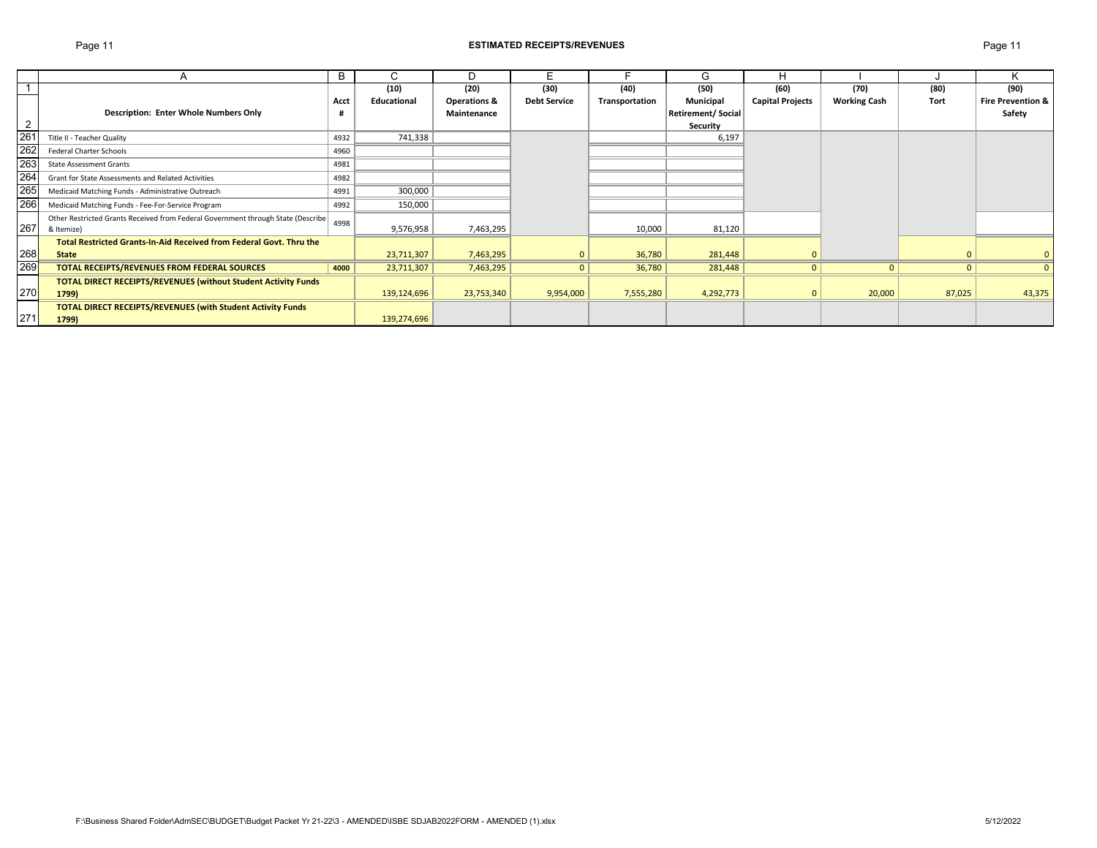## Page 11 **ESTIMATED RECEIPTS/REVENUES** Page 11

|                 |                                                                                  | B    | U           | D                       | E.                  |                | G                 |                         |                     |              | ĸ                            |
|-----------------|----------------------------------------------------------------------------------|------|-------------|-------------------------|---------------------|----------------|-------------------|-------------------------|---------------------|--------------|------------------------------|
|                 |                                                                                  |      | (10)        | (20)                    | (30)                | (40)           | (50)              | (60)                    | (70)                | (80)         | (90)                         |
|                 |                                                                                  | Acct | Educational | <b>Operations &amp;</b> | <b>Debt Service</b> | Transportation | Municipal         | <b>Capital Projects</b> | <b>Working Cash</b> | Tort         | <b>Fire Prevention &amp;</b> |
|                 | <b>Description: Enter Whole Numbers Only</b>                                     |      |             | Maintenance             |                     |                | Retirement/Social |                         |                     |              | Safety                       |
| 2               |                                                                                  |      |             |                         |                     |                | Security          |                         |                     |              |                              |
| 26 <sup>2</sup> | Title II - Teacher Quality                                                       | 4932 | 741,338     |                         |                     |                | 6,197             |                         |                     |              |                              |
| 262             | <b>Federal Charter Schools</b>                                                   | 4960 |             |                         |                     |                |                   |                         |                     |              |                              |
| 263             | <b>State Assessment Grants</b>                                                   | 4981 |             |                         |                     |                |                   |                         |                     |              |                              |
| 264             | Grant for State Assessments and Related Activities                               | 4982 |             |                         |                     |                |                   |                         |                     |              |                              |
| 265             | Medicaid Matching Funds - Administrative Outreach                                | 4991 | 300,000     |                         |                     |                |                   |                         |                     |              |                              |
| 266             | Medicaid Matching Funds - Fee-For-Service Program                                | 4992 | 150,000     |                         |                     |                |                   |                         |                     |              |                              |
|                 | Other Restricted Grants Received from Federal Government through State (Describe | 4998 |             |                         |                     |                |                   |                         |                     |              |                              |
| 267             | & Itemize)                                                                       |      | 9,576,958   | 7,463,295               |                     | 10,000         | 81,120            |                         |                     |              |                              |
|                 | Total Restricted Grants-In-Aid Received from Federal Govt. Thru the              |      |             |                         |                     |                |                   |                         |                     |              |                              |
| 268             | <b>State</b>                                                                     |      | 23,711,307  | 7,463,295               |                     | 36,780         | 281,448           | $\mathbf{0}$            |                     |              | $\mathbf{0}$                 |
| 269             | TOTAL RECEIPTS/REVENUES FROM FEDERAL SOURCES                                     | 4000 | 23,711,307  | 7,463,295               | $\mathbf{0}$        | 36,780         | 281,448           | $\overline{0}$          | $\mathbf{0}$        | $\mathbf{0}$ | $\mathbf{0}$                 |
|                 | <b>TOTAL DIRECT RECEIPTS/REVENUES (without Student Activity Funds</b>            |      |             |                         |                     |                |                   |                         |                     |              |                              |
| 270             | 1799)                                                                            |      | 139,124,696 | 23,753,340              | 9,954,000           | 7,555,280      | 4,292,773         | $\mathbf{0}$            | 20,000              | 87,025       | 43,375                       |
|                 | <b>TOTAL DIRECT RECEIPTS/REVENUES (with Student Activity Funds</b>               |      |             |                         |                     |                |                   |                         |                     |              |                              |
| 271             | 1799)                                                                            |      | 139,274,696 |                         |                     |                |                   |                         |                     |              |                              |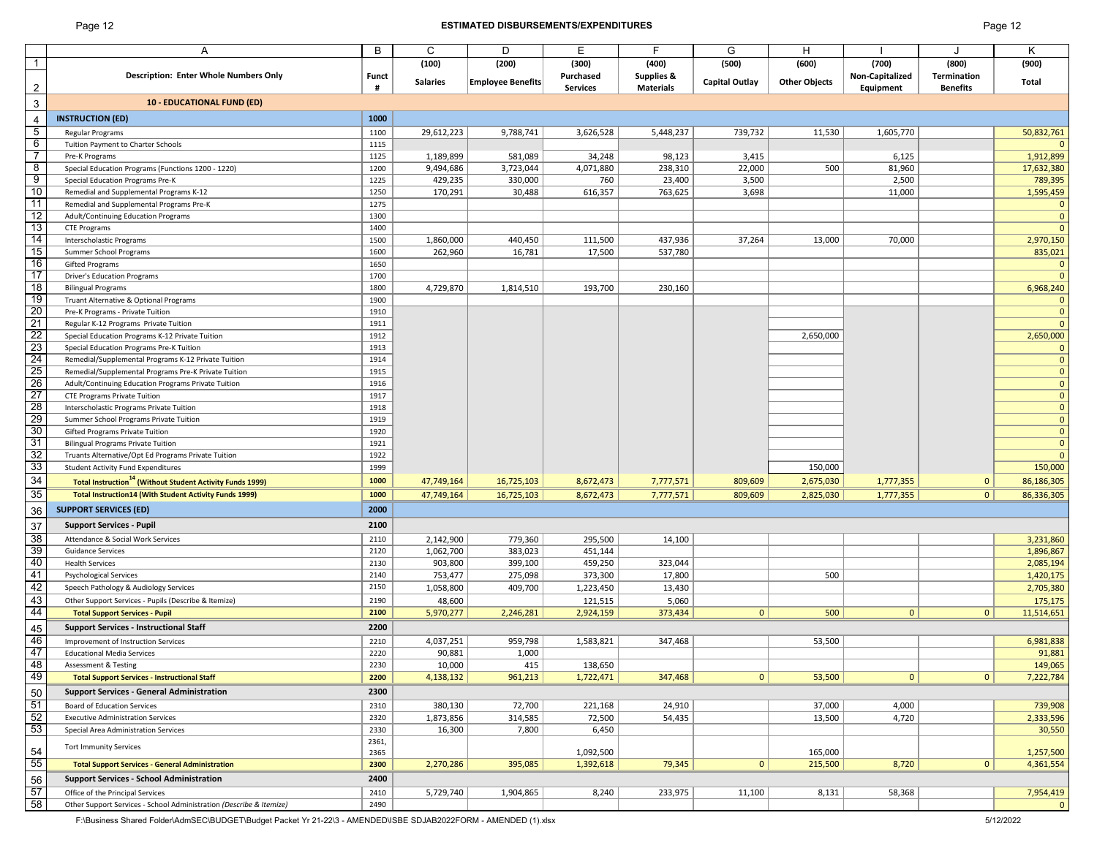## Page 12 **ESTIMATED DISBURSEMENTS/EXPENDITURES** Page 12

|                                                                                                                          | A                                                                           | B            | C                  | D                        | E                    | F                     | G              | н                    |                 |                 | Κ                          |
|--------------------------------------------------------------------------------------------------------------------------|-----------------------------------------------------------------------------|--------------|--------------------|--------------------------|----------------------|-----------------------|----------------|----------------------|-----------------|-----------------|----------------------------|
| $\mathbf{1}$                                                                                                             |                                                                             |              | (100)              | (200)                    | (300)                | (400)                 | (500)          | (600)                | (700)           | (800)           | (900)                      |
|                                                                                                                          | Description: Enter Whole Numbers Only                                       | <b>Funct</b> | <b>Salaries</b>    |                          | Purchased            | <b>Supplies &amp;</b> | Capital Outlay | <b>Other Objects</b> | Non-Capitalized | Termination     | Total                      |
| $\overline{\mathbf{c}}$                                                                                                  |                                                                             | #            |                    | <b>Employee Benefits</b> | <b>Services</b>      | <b>Materials</b>      |                |                      | Equipment       | <b>Benefits</b> |                            |
| $\ensuremath{\mathsf{3}}$                                                                                                | <b>10 - EDUCATIONAL FUND (ED)</b>                                           |              |                    |                          |                      |                       |                |                      |                 |                 |                            |
| $\overline{4}$                                                                                                           | <b>INSTRUCTION (ED)</b>                                                     | 1000         |                    |                          |                      |                       |                |                      |                 |                 |                            |
| $\overline{5}$                                                                                                           | Regular Programs                                                            | 1100         | 29,612,223         | 9,788,741                | 3,626,528            | 5,448,237             | 739,732        | 11,530               | 1,605,770       |                 | 50,832,761                 |
| $6\overline{6}$                                                                                                          | Tuition Payment to Charter Schools                                          | 1115         |                    |                          |                      |                       |                |                      |                 |                 |                            |
| $\overline{7}$                                                                                                           | Pre-K Programs                                                              | 1125         | 1,189,899          | 581,089                  | 34,248               | 98,123                | 3,415          |                      | 6,125           |                 | 1,912,899                  |
| $\frac{8}{9}$                                                                                                            | Special Education Programs (Functions 1200 - 1220)                          | 1200         | 9,494,686          | 3,723,044                | 4,071,880            | 238,310               | 22,000         | 500                  | 81,960          |                 | 17,632,380                 |
| 10                                                                                                                       | Special Education Programs Pre-K<br>Remedial and Supplemental Programs K-12 | 1225<br>1250 | 429,235<br>170,291 | 330,000<br>30,488        | 760<br>616,357       | 23,400<br>763,625     | 3,500<br>3,698 |                      | 2,500<br>11,000 |                 | 789,395<br>1,595,459       |
| 11                                                                                                                       | Remedial and Supplemental Programs Pre-K                                    | 1275         |                    |                          |                      |                       |                |                      |                 |                 | $\mathbf 0$                |
| 12                                                                                                                       | Adult/Continuing Education Programs                                         | 1300         |                    |                          |                      |                       |                |                      |                 |                 | $\overline{0}$             |
|                                                                                                                          | <b>CTE Programs</b>                                                         | 1400         |                    |                          |                      |                       |                |                      |                 |                 | $\overline{0}$             |
| 13<br>14                                                                                                                 | Interscholastic Programs                                                    | 1500         | 1,860,000          | 440,450                  | 111,500              | 437,936               | 37,264         | 13,000               | 70,000          |                 | 2,970,150                  |
| 15                                                                                                                       | Summer School Programs                                                      | 1600         | 262,960            | 16,781                   | 17,500               | 537,780               |                |                      |                 |                 | 835,021                    |
| 16                                                                                                                       | Gifted Programs                                                             | 1650         |                    |                          |                      |                       |                |                      |                 |                 | 0                          |
| 17                                                                                                                       | <b>Driver's Education Programs</b>                                          | 1700         |                    |                          |                      |                       |                |                      |                 |                 | $\Omega$                   |
| 18                                                                                                                       | <b>Bilingual Programs</b>                                                   | 1800         | 4,729,870          | 1,814,510                | 193,700              | 230,160               |                |                      |                 |                 | 6,968,240                  |
| 19                                                                                                                       | Truant Alternative & Optional Programs                                      | 1900         |                    |                          |                      |                       |                |                      |                 |                 | $\mathbf 0$                |
| 20<br>21                                                                                                                 | Pre-K Programs - Private Tuition<br>Regular K-12 Programs Private Tuition   | 1910<br>1911 |                    |                          |                      |                       |                |                      |                 |                 | $\overline{0}$<br>$\Omega$ |
|                                                                                                                          | Special Education Programs K-12 Private Tuition                             | 1912         |                    |                          |                      |                       |                | 2,650,000            |                 |                 | 2,650,000                  |
|                                                                                                                          | Special Education Programs Pre-K Tuition                                    | 1913         |                    |                          |                      |                       |                |                      |                 |                 | 0                          |
|                                                                                                                          | Remedial/Supplemental Programs K-12 Private Tuition                         | 1914         |                    |                          |                      |                       |                |                      |                 |                 | $\mathbf 0$                |
|                                                                                                                          | Remedial/Supplemental Programs Pre-K Private Tuition                        | 1915         |                    |                          |                      |                       |                |                      |                 |                 |                            |
| $\frac{22}{23} \frac{24}{25} \frac{1}{26} \frac{1}{27} \frac{1}{28} \frac{1}{29} \frac{1}{29} \frac{1}{29} \frac{1}{30}$ | Adult/Continuing Education Programs Private Tuition                         | 1916         |                    |                          |                      |                       |                |                      |                 |                 | $\mathbf 0$                |
|                                                                                                                          | <b>CTE Programs Private Tuition</b>                                         | 1917         |                    |                          |                      |                       |                |                      |                 |                 | $\mathbf 0$                |
|                                                                                                                          | Interscholastic Programs Private Tuition                                    | 1918         |                    |                          |                      |                       |                |                      |                 |                 | $\mathbf 0$                |
|                                                                                                                          | Summer School Programs Private Tuition                                      | 1919         |                    |                          |                      |                       |                |                      |                 |                 | $\mathbf 0$                |
|                                                                                                                          | Gifted Programs Private Tuition                                             | 1920         |                    |                          |                      |                       |                |                      |                 |                 | $\mathbf 0$                |
| 31                                                                                                                       | <b>Bilingual Programs Private Tuition</b>                                   | 1921         |                    |                          |                      |                       |                |                      |                 |                 | $\overline{0}$             |
|                                                                                                                          | Truants Alternative/Opt Ed Programs Private Tuition                         | 1922<br>1999 |                    |                          |                      |                       |                | 150,000              |                 |                 | $\Omega$                   |
| $\frac{32}{33}$<br>$\frac{33}{34}$                                                                                       | <b>Student Activity Fund Expenditures</b>                                   |              |                    |                          |                      |                       |                |                      |                 |                 | 150,000                    |
|                                                                                                                          | <b>Total Instruction<sup>14</sup></b> (Without Student Activity Funds 1999) | 1000         | 47,749,164         | 16,725,103               | 8,672,473            | 7,777,571             | 809,609        | 2,675,030            | 1,777,355       | $\mathbf{0}$    | 86,186,305                 |
| $\overline{35}$                                                                                                          | <b>Total Instruction14 (With Student Activity Funds 1999)</b>               | 1000         | 47,749,164         | 16,725,103               | 8,672,473            | 7,777,571             | 809,609        | 2,825,030            | 1,777,355       | 0               | 86,336,305                 |
| $\frac{36}{5}$                                                                                                           | <b>SUPPORT SERVICES (ED)</b>                                                | 2000         |                    |                          |                      |                       |                |                      |                 |                 |                            |
| 37                                                                                                                       | <b>Support Services - Pupil</b>                                             | 2100         |                    |                          |                      |                       |                |                      |                 |                 |                            |
| 38                                                                                                                       | Attendance & Social Work Services                                           | 2110         | 2,142,900          | 779,360                  | 295,500              | 14,100                |                |                      |                 |                 | 3,231,860                  |
| 39<br>40                                                                                                                 | <b>Guidance Services</b>                                                    | 2120         | 1,062,700          | 383,023                  | 451,144              |                       |                |                      |                 |                 | 1,896,867                  |
|                                                                                                                          | <b>Health Services</b><br><b>Psychological Services</b>                     | 2130<br>2140 | 903,800<br>753,477 | 399,100<br>275,098       | 459,250<br>373,300   | 323,044<br>17,800     |                | 500                  |                 |                 | 2,085,194<br>1,420,175     |
|                                                                                                                          | Speech Pathology & Audiology Services                                       | 2150         | 1,058,800          | 409,700                  |                      |                       |                |                      |                 |                 | 2,705,380                  |
| 41<br>42<br>43                                                                                                           | Other Support Services - Pupils (Describe & Itemize)                        | 2190         | 48,600             |                          | 1,223,450<br>121,515 | 13,430<br>5,060       |                |                      |                 |                 | 175,175                    |
| 44                                                                                                                       | <b>Total Support Services - Pupil</b>                                       | 2100         | 5,970,277          | 2,246,281                | 2,924,159            | 373,434               | $\overline{0}$ | 500                  | $\mathbf{0}$    | $\mathbf{0}$    | 11,514,651                 |
|                                                                                                                          | <b>Support Services - Instructional Staff</b>                               | 2200         |                    |                          |                      |                       |                |                      |                 |                 |                            |
| $\frac{45}{5}$<br>46                                                                                                     | Improvement of Instruction Services                                         | 2210         | 4,037,251          | 959,798                  | 1,583,821            | 347,468               |                | 53,500               |                 |                 | 6,981,838                  |
| 47                                                                                                                       | <b>Educational Media Services</b>                                           | 2220         | 90,881             | 1,000                    |                      |                       |                |                      |                 |                 | 91,881                     |
| 48                                                                                                                       | <b>Assessment &amp; Testing</b>                                             | 2230         | 10,000             | 415                      | 138,650              |                       |                |                      |                 |                 | 149,065                    |
| 49                                                                                                                       | <b>Total Support Services - Instructional Staff</b>                         | 2200         | 4,138,132          | 961,213                  | 1,722,471            | 347,468               | 0              | 53,500               | $\overline{0}$  | 0               | 7,222,784                  |
| 50                                                                                                                       | <b>Support Services - General Administration</b>                            | 2300         |                    |                          |                      |                       |                |                      |                 |                 |                            |
| 51                                                                                                                       | Board of Education Services                                                 | 2310         | 380,130            | 72,700                   | 221,168              | 24,910                |                | 37,000               | 4,000           |                 | 739,908                    |
|                                                                                                                          | <b>Executive Administration Services</b>                                    | 2320         | 1,873,856          | 314,585                  | 72,500               | 54,435                |                | 13,500               | 4,720           |                 | 2,333,596                  |
| 52<br>53                                                                                                                 | Special Area Administration Services                                        | 2330         | 16,300             | 7,800                    | 6,450                |                       |                |                      |                 |                 | 30,550                     |
|                                                                                                                          | <b>Tort Immunity Services</b>                                               | 2361,        |                    |                          |                      |                       |                |                      |                 |                 |                            |
| $\frac{54}{55}$                                                                                                          |                                                                             | 2365         |                    |                          | 1,092,500            |                       |                | 165,000              |                 |                 | 1,257,500                  |
|                                                                                                                          | <b>Total Support Services - General Administration</b>                      | 2300         | 2,270,286          | 395,085                  | 1,392,618            | 79,345                | 0              | 215,500              | 8,720           | 0               | 4,361,554                  |
| 56                                                                                                                       | <b>Support Services - School Administration</b>                             | 2400         |                    |                          |                      |                       |                |                      |                 |                 |                            |
| 57                                                                                                                       | Office of the Principal Services                                            | 2410         | 5,729,740          | 1,904,865                | 8,240                | 233,975               | 11,100         | 8,131                | 58,368          |                 | 7,954,419                  |
| 58                                                                                                                       | Other Support Services - School Administration (Describe & Itemize)         | 2490         |                    |                          |                      |                       |                |                      |                 |                 |                            |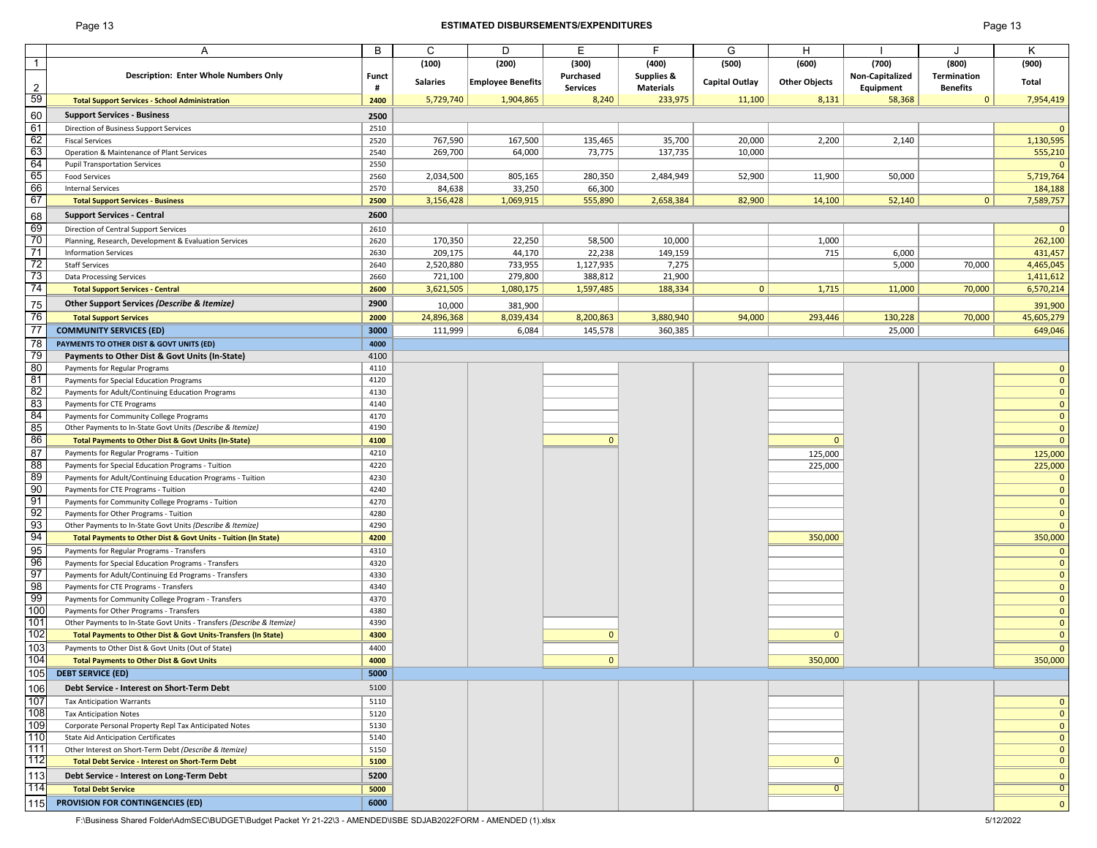## Page 13 **ESTIMATED DISBURSEMENTS/EXPENDITURES** Page 13

| Page 13 |  |
|---------|--|
|---------|--|

|                | Α                                                                                                               | B            | C                    | D                        | E                    | F                | G              | H                    |                 |                 | Κ                             |
|----------------|-----------------------------------------------------------------------------------------------------------------|--------------|----------------------|--------------------------|----------------------|------------------|----------------|----------------------|-----------------|-----------------|-------------------------------|
| $\mathbf{1}$   |                                                                                                                 |              | (100)                | (200)                    | (300)                | (400)            | (500)          | (600)                | (700)           | (800)           | (900)                         |
|                | <b>Description: Enter Whole Numbers Only</b>                                                                    | <b>Funct</b> |                      |                          | Purchased            | Supplies &       |                |                      | Non-Capitalized | Termination     |                               |
| $\overline{2}$ |                                                                                                                 | #            | <b>Salaries</b>      | <b>Employee Benefits</b> | <b>Services</b>      | <b>Materials</b> | Capital Outlay | <b>Other Objects</b> | Equipment       | <b>Benefits</b> | Total                         |
| 59             | <b>Total Support Services - School Administration</b>                                                           | 2400         | 5,729,740            | 1,904,865                | 8,240                | 233,975          | 11,100         | 8,131                | 58,368          | $\mathbf{0}$    | 7,954,419                     |
|                | <b>Support Services - Business</b>                                                                              |              |                      |                          |                      |                  |                |                      |                 |                 |                               |
| 60<br>61       |                                                                                                                 | 2500         |                      |                          |                      |                  |                |                      |                 |                 | $\Omega$                      |
| 62             | Direction of Business Support Services                                                                          | 2510         |                      |                          |                      |                  |                |                      |                 |                 |                               |
| 63             | <b>Fiscal Services</b><br>Operation & Maintenance of Plant Services                                             | 2520<br>2540 | 767,590              | 167,500<br>64,000        | 135,465<br>73,775    | 35,700           | 20,000         | 2,200                | 2,140           |                 | 1,130,595                     |
| 64             | <b>Pupil Transportation Services</b>                                                                            | 2550         | 269,700              |                          |                      | 137,735          | 10,000         |                      |                 |                 | 555,210<br>$\Omega$           |
| 65             | <b>Food Services</b>                                                                                            | 2560         | 2,034,500            | 805,165                  | 280,350              | 2,484,949        | 52,900         | 11,900               | 50,000          |                 | 5,719,764                     |
| 66             | <b>Internal Services</b>                                                                                        | 2570         | 84,638               | 33,250                   | 66,300               |                  |                |                      |                 |                 | 184,188                       |
| 67             | <b>Total Support Services - Business</b>                                                                        | 2500         | 3,156,428            | 1,069,915                | 555,890              | 2,658,384        | 82,900         | 14,100               | 52,140          | 0 <sup>1</sup>  | 7,589,757                     |
|                | <b>Support Services - Central</b>                                                                               | 2600         |                      |                          |                      |                  |                |                      |                 |                 |                               |
| 68             |                                                                                                                 |              |                      |                          |                      |                  |                |                      |                 |                 |                               |
| 69<br>70       | Direction of Central Support Services                                                                           | 2610         |                      |                          |                      |                  |                |                      |                 |                 | $\Omega$                      |
| 71             | Planning, Research, Development & Evaluation Services                                                           | 2620         | 170,350              | 22,250                   | 58,500               | 10,000           |                | 1,000                |                 |                 | 262,100                       |
| 72             | <b>Information Services</b>                                                                                     | 2630<br>2640 | 209,175<br>2,520,880 | 44,170<br>733,955        | 22,238               | 149,159<br>7,275 |                | 715                  | 6,000<br>5,000  | 70,000          | 431,457                       |
| 73             | <b>Staff Services</b>                                                                                           | 2660         | 721,100              | 279,800                  | 1,127,935<br>388,812 | 21,900           |                |                      |                 |                 | 4,465,045<br>1,411,612        |
| 74             | <b>Data Processing Services</b><br><b>Total Support Services - Central</b>                                      | 2600         | 3,621,505            | 1,080,175                | 1,597,485            | 188,334          | $\mathbf{0}$   | 1,715                | 11,000          | 70,000          | 6,570,214                     |
|                |                                                                                                                 |              |                      |                          |                      |                  |                |                      |                 |                 |                               |
| 75             | Other Support Services (Describe & Itemize)                                                                     | 2900         | 10,000               | 381,900                  |                      |                  |                |                      |                 |                 | 391,900                       |
| 76             | <b>Total Support Services</b>                                                                                   | 2000         | 24,896,368           | 8,039,434                | 8,200,863            | 3,880,940        | 94,000         | 293,446              | 130,228         | 70,000          | 45,605,279                    |
| 77             | <b>COMMUNITY SERVICES (ED)</b>                                                                                  | 3000         | 111,999              | 6,084                    | 145,578              | 360,385          |                |                      | 25,000          |                 | 649,046                       |
| 78             | PAYMENTS TO OTHER DIST & GOVT UNITS (ED)                                                                        | 4000         |                      |                          |                      |                  |                |                      |                 |                 |                               |
| 79             | Payments to Other Dist & Govt Units (In-State)                                                                  | 4100         |                      |                          |                      |                  |                |                      |                 |                 |                               |
| 80             | Payments for Regular Programs                                                                                   | 4110         |                      |                          |                      |                  |                |                      |                 |                 | $\mathbf 0$                   |
| 81             | Payments for Special Education Programs                                                                         | 4120         |                      |                          |                      |                  |                |                      |                 |                 | $\mathbf 0$                   |
| 82             | Payments for Adult/Continuing Education Programs                                                                | 4130         |                      |                          |                      |                  |                |                      |                 |                 | $\mathbf 0$                   |
| 83             | Payments for CTE Programs                                                                                       | 4140         |                      |                          |                      |                  |                |                      |                 |                 | $\mathbf 0$                   |
| 84<br>85       | Payments for Community College Programs<br>Other Payments to In-State Govt Units (Describe & Itemize)           | 4170<br>4190 |                      |                          |                      |                  |                |                      |                 |                 | $\mathbf 0$<br>$\overline{0}$ |
| 86             |                                                                                                                 |              |                      |                          | $\Omega$             |                  |                | $\Omega$             |                 |                 | $\mathbf 0$                   |
| 87             | <b>Total Payments to Other Dist &amp; Govt Units (In-State)</b>                                                 | 4100         |                      |                          |                      |                  |                |                      |                 |                 |                               |
| 88             | Payments for Regular Programs - Tuition                                                                         | 4210<br>4220 |                      |                          |                      |                  |                | 125,000              |                 |                 | 125,000                       |
| 89             | Payments for Special Education Programs - Tuition<br>Payments for Adult/Continuing Education Programs - Tuition | 4230         |                      |                          |                      |                  |                | 225,000              |                 |                 | 225,000<br>$\mathbf{0}$       |
| 90             | Payments for CTE Programs - Tuition                                                                             | 4240         |                      |                          |                      |                  |                |                      |                 |                 | $\mathbf 0$                   |
| 91             | Payments for Community College Programs - Tuition                                                               | 4270         |                      |                          |                      |                  |                |                      |                 |                 | $\mathbf 0$                   |
| 92             | Payments for Other Programs - Tuition                                                                           | 4280         |                      |                          |                      |                  |                |                      |                 |                 | $\mathbf 0$                   |
| 93             | Other Payments to In-State Govt Units (Describe & Itemize)                                                      | 4290         |                      |                          |                      |                  |                |                      |                 |                 | $\mathbf 0$                   |
| 94             | Total Payments to Other Dist & Govt Units - Tuition (In State)                                                  | 4200         |                      |                          |                      |                  |                | 350,000              |                 |                 | 350,000                       |
| 95             | Payments for Regular Programs - Transfers                                                                       | 4310         |                      |                          |                      |                  |                |                      |                 |                 | $\mathbf 0$                   |
| 96             | Payments for Special Education Programs - Transfers                                                             | 4320         |                      |                          |                      |                  |                |                      |                 |                 | $\pmb{0}$                     |
| 97             | Payments for Adult/Continuing Ed Programs - Transfers                                                           | 4330         |                      |                          |                      |                  |                |                      |                 |                 | $\mathbf 0$                   |
| 98             | Payments for CTE Programs - Transfers                                                                           | 4340         |                      |                          |                      |                  |                |                      |                 |                 | $\mathbf 0$                   |
| 99             | Payments for Community College Program - Transfers                                                              | 4370         |                      |                          |                      |                  |                |                      |                 |                 | $\mathbf 0$                   |
| 100            | Payments for Other Programs - Transfers                                                                         | 4380         |                      |                          |                      |                  |                |                      |                 |                 | $\mathbf 0$                   |
| 101            | Other Payments to In-State Govt Units - Transfers (Describe & Itemize)                                          | 4390         |                      |                          |                      |                  |                |                      |                 |                 | $\mathbf 0$                   |
| 102            | Total Payments to Other Dist & Govt Units-Transfers (In State)                                                  | 4300         |                      |                          | $\Omega$             |                  |                | $\Omega$             |                 |                 | $\mathbf 0$                   |
| 103            | Payments to Other Dist & Govt Units (Out of State)                                                              | 4400         |                      |                          |                      |                  |                |                      |                 |                 | $\mathbf{0}$                  |
| 104            | <b>Total Payments to Other Dist &amp; Govt Units</b>                                                            | 4000         |                      |                          | $\mathbf{0}$         |                  |                | 350,000              |                 |                 | 350,000                       |
| 105            | <b>DEBT SERVICE (ED)</b>                                                                                        | 5000         |                      |                          |                      |                  |                |                      |                 |                 |                               |
| 106            | Debt Service - Interest on Short-Term Debt                                                                      | 5100         |                      |                          |                      |                  |                |                      |                 |                 |                               |
| 107            | <b>Tax Anticipation Warrants</b>                                                                                | 5110         |                      |                          |                      |                  |                |                      |                 |                 | $\mathbf{0}$                  |
| 108            | <b>Tax Anticipation Notes</b>                                                                                   | 5120         |                      |                          |                      |                  |                |                      |                 |                 | $\mathbf 0$                   |
| 109            | Corporate Personal Property Repl Tax Anticipated Notes                                                          | 5130         |                      |                          |                      |                  |                |                      |                 |                 | $\mathbf 0$                   |
| 110            | <b>State Aid Anticipation Certificates</b>                                                                      | 5140         |                      |                          |                      |                  |                |                      |                 |                 | $\mathbf 0$                   |
| 111            | Other Interest on Short-Term Debt (Describe & Itemize)                                                          | 5150         |                      |                          |                      |                  |                |                      |                 |                 | $\mathbf 0$                   |
| 112            | <b>Total Debt Service - Interest on Short-Term Debt</b>                                                         | 5100         |                      |                          |                      |                  |                | $\Omega$             |                 |                 | $\mathbf 0$                   |
| 113            | Debt Service - Interest on Long-Term Debt                                                                       | 5200         |                      |                          |                      |                  |                |                      |                 |                 | $\mathbf 0$                   |
| 114            | <b>Total Debt Service</b>                                                                                       | 5000         |                      |                          |                      |                  |                | $\overline{0}$       |                 |                 | $\overline{0}$                |
|                |                                                                                                                 |              |                      |                          |                      |                  |                |                      |                 |                 |                               |
| 115            | <b>PROVISION FOR CONTINGENCIES (ED)</b>                                                                         | 6000         |                      |                          |                      |                  |                |                      |                 |                 | $\mathbf 0$                   |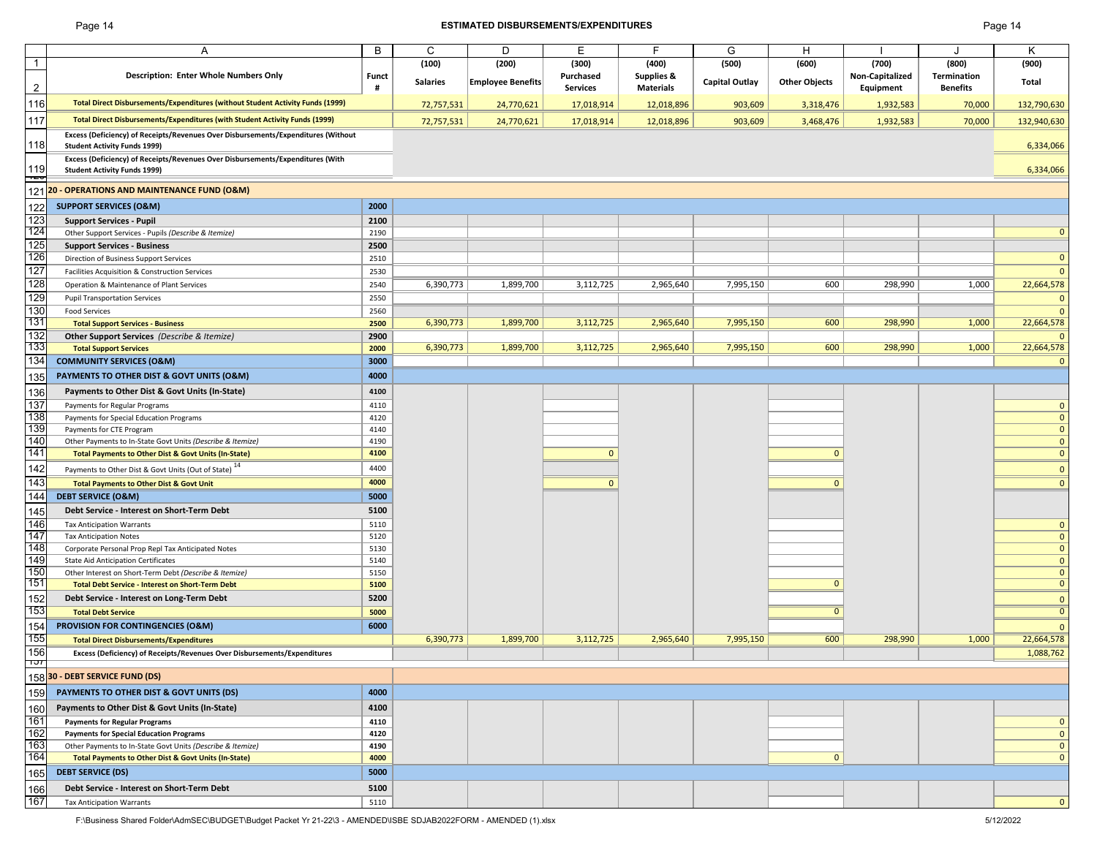## Page 14 **ESTIMATED DISBURSEMENTS/EXPENDITURES** Page 14

|                | A                                                                                                                        | B            | C               | D                 | E               | F                | G                     | H                    |                 |                 | Κ                            |
|----------------|--------------------------------------------------------------------------------------------------------------------------|--------------|-----------------|-------------------|-----------------|------------------|-----------------------|----------------------|-----------------|-----------------|------------------------------|
| $\overline{1}$ |                                                                                                                          |              | (100)           | (200)             | (300)           | (400)            | (500)                 | (600)                | (700)           | (800)           | (900)                        |
|                | <b>Description: Enter Whole Numbers Only</b>                                                                             | Funct        | <b>Salaries</b> | Employee Benefits | Purchased       | Supplies &       | <b>Capital Outlay</b> | <b>Other Objects</b> | Non-Capitalized | Termination     | Total                        |
| $\overline{2}$ |                                                                                                                          | #            |                 |                   | <b>Services</b> | <b>Materials</b> |                       |                      | Equipment       | <b>Benefits</b> |                              |
| 116            | <b>Total Direct Disbursements/Expenditures (without Student Activity Funds (1999)</b>                                    |              | 72,757,531      | 24,770,621        | 17,018,914      | 12,018,896       | 903,609               | 3,318,476            | 1,932,583       | 70,000          | 132,790,630                  |
| 117            | <b>Total Direct Disbursements/Expenditures (with Student Activity Funds (1999)</b>                                       |              | 72,757,531      | 24,770,621        | 17,018,914      | 12,018,896       | 903,609               | 3,468,476            | 1,932,583       | 70,000          | 132,940,630                  |
| 118            | Excess (Deficiency) of Receipts/Revenues Over Disbursements/Expenditures (Without<br><b>Student Activity Funds 1999)</b> |              |                 |                   |                 |                  |                       |                      |                 |                 | 6,334,066                    |
|                | Excess (Deficiency) of Receipts/Revenues Over Disbursements/Expenditures (With                                           |              |                 |                   |                 |                  |                       |                      |                 |                 |                              |
| 119<br>Ē       | <b>Student Activity Funds 1999)</b>                                                                                      |              |                 |                   |                 |                  |                       |                      |                 |                 | 6,334,066                    |
| 121            | 20 - OPERATIONS AND MAINTENANCE FUND (O&M)                                                                               |              |                 |                   |                 |                  |                       |                      |                 |                 |                              |
| 122            | <b>SUPPORT SERVICES (O&amp;M)</b>                                                                                        | 2000         |                 |                   |                 |                  |                       |                      |                 |                 |                              |
| 123            | <b>Support Services - Pupil</b>                                                                                          | 2100         |                 |                   |                 |                  |                       |                      |                 |                 |                              |
| 124            | Other Support Services - Pupils (Describe & Itemize)                                                                     | 2190         |                 |                   |                 |                  |                       |                      |                 |                 | $\mathbf{0}$                 |
| 125            | <b>Support Services - Business</b>                                                                                       | 2500         |                 |                   |                 |                  |                       |                      |                 |                 |                              |
| 126            | Direction of Business Support Services                                                                                   | 2510         |                 |                   |                 |                  |                       |                      |                 |                 | $\mathbf 0$                  |
| 127            | Facilities Acquisition & Construction Services                                                                           | 2530         |                 |                   |                 |                  |                       |                      |                 |                 | $\mathbf{0}$                 |
| 128            | Operation & Maintenance of Plant Services                                                                                | 2540         | 6,390,773       | 1,899,700         | 3,112,725       | 2,965,640        | 7,995,150             | 600                  | 298,990         | 1,000           | 22,664,578                   |
| 129            | <b>Pupil Transportation Services</b>                                                                                     | 2550         |                 |                   |                 |                  |                       |                      |                 |                 | $\mathbf{0}$                 |
| 130            | <b>Food Services</b>                                                                                                     | 2560         |                 |                   |                 |                  |                       |                      |                 |                 | $\mathbf{0}$                 |
| 131            | <b>Total Support Services - Business</b>                                                                                 | 2500         | 6,390,773       | 1,899,700         | 3,112,725       | 2,965,640        | 7,995,150             | 600                  | 298,990         | 1,000           | 22,664,578                   |
| 132            | <b>Other Support Services</b> (Describe & Itemize)                                                                       | 2900         |                 |                   |                 |                  |                       |                      |                 |                 | $\Omega$                     |
| 133            | <b>Total Support Services</b>                                                                                            | 2000         | 6,390,773       | 1,899,700         | 3,112,725       | 2,965,640        | 7,995,150             | 600                  | 298,990         | 1,000           | 22,664,578                   |
| 134            | <b>COMMUNITY SERVICES (O&amp;M)</b>                                                                                      | 3000         |                 |                   |                 |                  |                       |                      |                 |                 | $\Omega$                     |
| 135            | <b>PAYMENTS TO OTHER DIST &amp; GOVT UNITS (O&amp;M)</b>                                                                 | 4000         |                 |                   |                 |                  |                       |                      |                 |                 |                              |
| 136            | Payments to Other Dist & Govt Units (In-State)                                                                           | 4100         |                 |                   |                 |                  |                       |                      |                 |                 |                              |
| 137            | Payments for Regular Programs                                                                                            | 4110         |                 |                   |                 |                  |                       |                      |                 |                 | $\mathbf{0}$                 |
| 138            | Payments for Special Education Programs                                                                                  | 4120         |                 |                   |                 |                  |                       |                      |                 |                 | $\mathbf{0}$                 |
| 139            | Payments for CTE Program                                                                                                 | 4140         |                 |                   |                 |                  |                       |                      |                 |                 | $\mathbf{0}$                 |
| 140            | Other Payments to In-State Govt Units (Describe & Itemize)                                                               | 4190         |                 |                   |                 |                  |                       |                      |                 |                 | $\mathbf{0}$                 |
| 141            | Total Payments to Other Dist & Govt Units (In-State)                                                                     | 4100         |                 |                   | $\mathbf{0}$    |                  |                       | $\mathbf{0}$         |                 |                 | $\mathbf{0}$                 |
| 142            | Payments to Other Dist & Govt Units (Out of State) <sup>14</sup>                                                         | 4400         |                 |                   |                 |                  |                       |                      |                 |                 | $\mathbf{0}$                 |
| 143            | <b>Total Payments to Other Dist &amp; Govt Unit</b>                                                                      | 4000         |                 |                   | $\Omega$        |                  |                       | $\Omega$             |                 |                 | $\mathbf{0}$                 |
| 144            | <b>DEBT SERVICE (O&amp;M)</b>                                                                                            | 5000         |                 |                   |                 |                  |                       |                      |                 |                 |                              |
| 145            | Debt Service - Interest on Short-Term Debt                                                                               | 5100         |                 |                   |                 |                  |                       |                      |                 |                 |                              |
| 146            | <b>Tax Anticipation Warrants</b>                                                                                         | 5110         |                 |                   |                 |                  |                       |                      |                 |                 | $\mathbf{0}$                 |
| 147            | <b>Tax Anticipation Notes</b>                                                                                            | 5120         |                 |                   |                 |                  |                       |                      |                 |                 | $\overline{0}$               |
| 148            | Corporate Personal Prop Repl Tax Anticipated Notes                                                                       | 5130         |                 |                   |                 |                  |                       |                      |                 |                 | $\mathbf{0}$                 |
| 149            | <b>State Aid Anticipation Certificates</b>                                                                               | 5140         |                 |                   |                 |                  |                       |                      |                 |                 | $\mathbf{0}$                 |
| 150            | Other Interest on Short-Term Debt (Describe & Itemize)                                                                   | 5150         |                 |                   |                 |                  |                       |                      |                 |                 | $\mathbf{0}$                 |
| 151            | <b>Total Debt Service - Interest on Short-Term Debt</b>                                                                  | 5100         |                 |                   |                 |                  |                       | $\mathbf{0}$         |                 |                 | $\mathbf{0}$                 |
| 152            | Debt Service - Interest on Long-Term Debt                                                                                | 5200         |                 |                   |                 |                  |                       |                      |                 |                 | $\overline{0}$               |
| 153            | <b>Total Debt Service</b>                                                                                                | 5000         |                 |                   |                 |                  |                       | $\overline{0}$       |                 |                 | $\overline{0}$               |
| 154            | <b>PROVISION FOR CONTINGENCIES (O&amp;M)</b>                                                                             | 6000         |                 |                   |                 |                  |                       |                      |                 |                 | $\mathbf{0}$                 |
| 155            | <b>Total Direct Disbursements/Expenditures</b>                                                                           |              | 6,390,773       | 1,899,700         | 3,112,725       | 2,965,640        | 7,995,150             | 600                  | 298,990         | 1,000           | 22,664,578                   |
| 156            | Excess (Deficiency) of Receipts/Revenues Over Disbursements/Expenditures                                                 |              |                 |                   |                 |                  |                       |                      |                 |                 | 1,088,762                    |
| זסד            | 15830 - DEBT SERVICE FUND (DS)                                                                                           |              |                 |                   |                 |                  |                       |                      |                 |                 |                              |
|                | PAYMENTS TO OTHER DIST & GOVT UNITS (DS)                                                                                 | 4000         |                 |                   |                 |                  |                       |                      |                 |                 |                              |
| 159            |                                                                                                                          | 4100         |                 |                   |                 |                  |                       |                      |                 |                 |                              |
| 160<br>161     | Payments to Other Dist & Govt Units (In-State)                                                                           |              |                 |                   |                 |                  |                       |                      |                 |                 |                              |
| 162            | <b>Payments for Regular Programs</b><br><b>Payments for Special Education Programs</b>                                   | 4110<br>4120 |                 |                   |                 |                  |                       |                      |                 |                 | $\mathbf{0}$<br>$\mathbf{0}$ |
| 163            | Other Payments to In-State Govt Units (Describe & Itemize)                                                               | 4190         |                 |                   |                 |                  |                       |                      |                 |                 | $\mathbf{0}$                 |
| 164            | <b>Total Payments to Other Dist &amp; Govt Units (In-State)</b>                                                          | 4000         |                 |                   |                 |                  |                       | $\mathbf{0}$         |                 |                 | $\mathbf{0}$                 |
|                |                                                                                                                          | 5000         |                 |                   |                 |                  |                       |                      |                 |                 |                              |
| 165            | <b>DEBT SERVICE (DS)</b>                                                                                                 |              |                 |                   |                 |                  |                       |                      |                 |                 |                              |
| 166            | Debt Service - Interest on Short-Term Debt                                                                               | 5100         |                 |                   |                 |                  |                       |                      |                 |                 |                              |
| 167            | <b>Tax Anticipation Warrants</b>                                                                                         | 5110         |                 |                   |                 |                  |                       |                      |                 |                 | $\mathbf{0}$                 |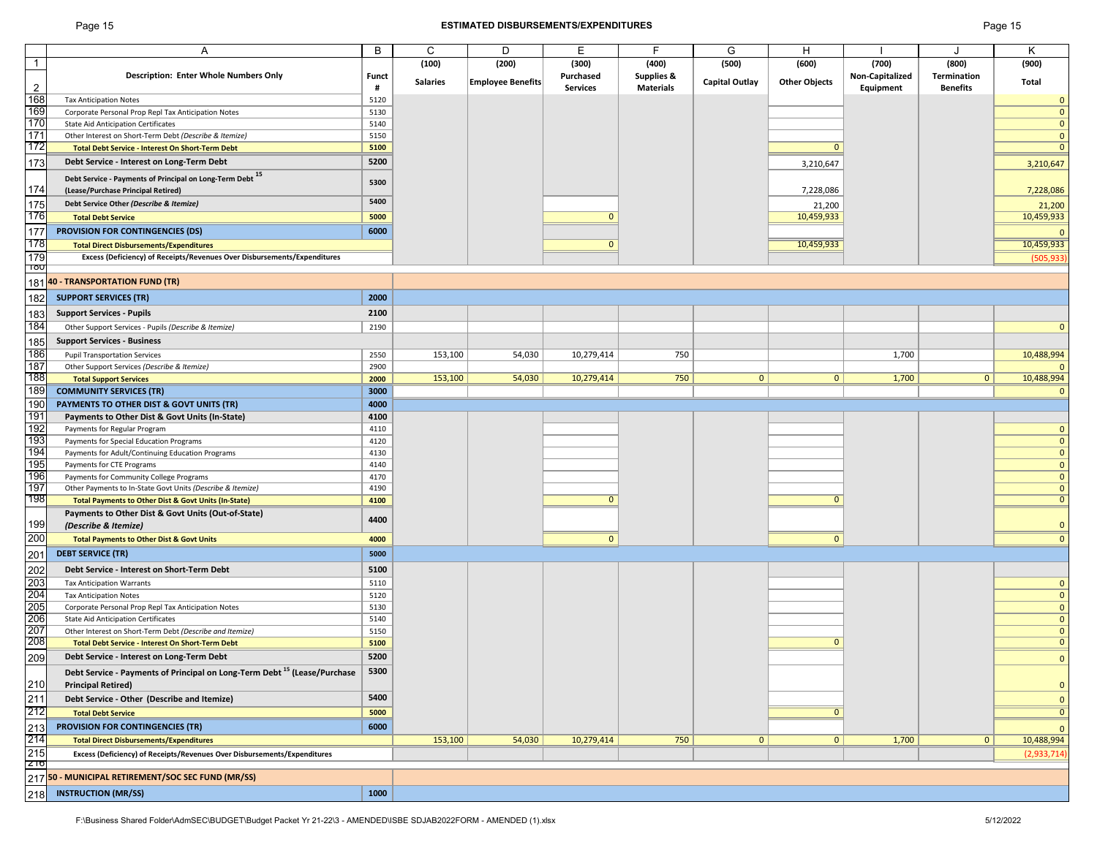## Page 15 **ESTIMATED DISBURSEMENTS/EXPENDITURES** Page 15

|                                        | A                                                                                    | B            | C               | D                        | Е               | F                     | G                     | Н                    |                 | J               | K                            |
|----------------------------------------|--------------------------------------------------------------------------------------|--------------|-----------------|--------------------------|-----------------|-----------------------|-----------------------|----------------------|-----------------|-----------------|------------------------------|
| $\overline{1}$                         |                                                                                      |              | (100)           | (200)                    | (300)           | (400)                 | (500)                 | (600)                | (700)           | (800)           | (900)                        |
|                                        | <b>Description: Enter Whole Numbers Only</b>                                         | <b>Funct</b> | <b>Salaries</b> | <b>Employee Benefits</b> | Purchased       | <b>Supplies &amp;</b> | <b>Capital Outlay</b> | <b>Other Objects</b> | Non-Capitalized | Termination     | Total                        |
| $\overline{2}$                         |                                                                                      | #            |                 |                          | <b>Services</b> | <b>Materials</b>      |                       |                      | Equipment       | <b>Benefits</b> |                              |
| 168                                    | <b>Tax Anticipation Notes</b>                                                        | 5120         |                 |                          |                 |                       |                       |                      |                 |                 | $\Omega$                     |
| 169                                    | Corporate Personal Prop Repl Tax Anticipation Notes                                  | 5130         |                 |                          |                 |                       |                       |                      |                 |                 | $\mathbf{0}$                 |
| 170                                    | <b>State Aid Anticipation Certificates</b>                                           | 5140         |                 |                          |                 |                       |                       |                      |                 |                 | $\mathbf{0}$                 |
| 171                                    | Other Interest on Short-Term Debt (Describe & Itemize)                               | 5150         |                 |                          |                 |                       |                       |                      |                 |                 | $\mathbf{0}$                 |
| 172                                    | <b>Total Debt Service - Interest On Short-Term Debt</b>                              | 5100         |                 |                          |                 |                       |                       | $\mathbf{0}$         |                 |                 | $\Omega$                     |
| 173                                    | Debt Service - Interest on Long-Term Debt                                            | 5200         |                 |                          |                 |                       |                       |                      |                 |                 |                              |
|                                        |                                                                                      |              |                 |                          |                 |                       |                       | 3,210,647            |                 |                 | 3,210,647                    |
|                                        | Debt Service - Payments of Principal on Long-Term Debt 15                            | 5300         |                 |                          |                 |                       |                       |                      |                 |                 |                              |
| 174                                    | (Lease/Purchase Principal Retired)                                                   |              |                 |                          |                 |                       |                       | 7,228,086            |                 |                 | 7,228,086                    |
| 175                                    | Debt Service Other (Describe & Itemize)                                              | 5400         |                 |                          |                 |                       |                       | 21,200               |                 |                 | 21,200                       |
| 176                                    | <b>Total Debt Service</b>                                                            | 5000         |                 |                          | $\Omega$        |                       |                       | 10,459,933           |                 |                 | 10,459,933                   |
| $\frac{177}{20}$                       |                                                                                      |              |                 |                          |                 |                       |                       |                      |                 |                 |                              |
| 178                                    | <b>PROVISION FOR CONTINGENCIES (DS)</b>                                              | 6000         |                 |                          |                 |                       |                       |                      |                 |                 |                              |
|                                        | <b>Total Direct Disbursements/Expenditures</b>                                       |              |                 |                          | $\Omega$        |                       |                       | 10,459,933           |                 |                 | 10,459,933                   |
| 179                                    | Excess (Deficiency) of Receipts/Revenues Over Disbursements/Expenditures             |              |                 |                          |                 |                       |                       |                      |                 |                 | (505, 933)                   |
| ျပ                                     |                                                                                      |              |                 |                          |                 |                       |                       |                      |                 |                 |                              |
|                                        | 181 40 - TRANSPORTATION FUND (TR)                                                    |              |                 |                          |                 |                       |                       |                      |                 |                 |                              |
| 182                                    | <b>SUPPORT SERVICES (TR)</b>                                                         | 2000         |                 |                          |                 |                       |                       |                      |                 |                 |                              |
|                                        |                                                                                      |              |                 |                          |                 |                       |                       |                      |                 |                 |                              |
| 183                                    | <b>Support Services - Pupils</b>                                                     | 2100         |                 |                          |                 |                       |                       |                      |                 |                 |                              |
| 184                                    | Other Support Services - Pupils (Describe & Itemize)                                 | 2190         |                 |                          |                 |                       |                       |                      |                 |                 | $\Omega$                     |
| 185                                    | <b>Support Services - Business</b>                                                   |              |                 |                          |                 |                       |                       |                      |                 |                 |                              |
| 186                                    | <b>Pupil Transportation Services</b>                                                 | 2550         | 153,100         | 54,030                   | 10,279,414      | 750                   |                       |                      | 1,700           |                 | 10,488,994                   |
| 187                                    | Other Support Services (Describe & Itemize)                                          | 2900         |                 |                          |                 |                       |                       |                      |                 |                 |                              |
| 188                                    | <b>Total Support Services</b>                                                        | 2000         | 153,100         | 54,030                   | 10,279,414      | 750                   | $\mathbf{0}$          | 0                    | 1,700           | 0               | 10,488,994                   |
| 189                                    |                                                                                      |              |                 |                          |                 |                       |                       |                      |                 |                 |                              |
|                                        | <b>COMMUNITY SERVICES (TR)</b>                                                       | 3000         |                 |                          |                 |                       |                       |                      |                 |                 |                              |
| 190                                    | <b>PAYMENTS TO OTHER DIST &amp; GOVT UNITS (TR)</b>                                  | 4000         |                 |                          |                 |                       |                       |                      |                 |                 |                              |
| 191                                    | Payments to Other Dist & Govt Units (In-State)                                       | 4100         |                 |                          |                 |                       |                       |                      |                 |                 |                              |
| 192                                    | Payments for Regular Program                                                         | 4110         |                 |                          |                 |                       |                       |                      |                 |                 | $\mathbf{0}$                 |
| 193                                    | Payments for Special Education Programs                                              | 4120         |                 |                          |                 |                       |                       |                      |                 |                 | $\mathbf{0}$                 |
| 194                                    | Payments for Adult/Continuing Education Programs                                     | 4130         |                 |                          |                 |                       |                       |                      |                 |                 | $\mathbf{0}$                 |
| 195                                    | Payments for CTE Programs                                                            | 4140         |                 |                          |                 |                       |                       |                      |                 |                 | $\mathbf{0}$                 |
| 196                                    | Payments for Community College Programs                                              | 4170         |                 |                          |                 |                       |                       |                      |                 |                 | $\mathbf{0}$                 |
| 197                                    | Other Payments to In-State Govt Units (Describe & Itemize)                           | 4190         |                 |                          |                 |                       |                       |                      |                 |                 | $\mathbf{0}$                 |
| 198                                    | <b>Total Payments to Other Dist &amp; Govt Units (In-State)</b>                      | 4100         |                 |                          | $\Omega$        |                       |                       | $\Omega$             |                 |                 | $\mathbf{0}$                 |
|                                        | Payments to Other Dist & Govt Units (Out-of-State)                                   |              |                 |                          |                 |                       |                       |                      |                 |                 |                              |
| 199                                    | (Describe & Itemize)                                                                 | 4400         |                 |                          |                 |                       |                       |                      |                 |                 | $\Omega$                     |
| 200                                    |                                                                                      |              |                 |                          |                 |                       |                       |                      |                 |                 |                              |
|                                        | <b>Total Payments to Other Dist &amp; Govt Units</b>                                 | 4000         |                 |                          | $\mathbf{0}$    |                       |                       | $\mathbf{0}$         |                 |                 | $\mathbf{0}$                 |
| 201                                    | <b>DEBT SERVICE (TR)</b>                                                             | 5000         |                 |                          |                 |                       |                       |                      |                 |                 |                              |
|                                        | Debt Service - Interest on Short-Term Debt                                           | 5100         |                 |                          |                 |                       |                       |                      |                 |                 |                              |
| $\frac{202}{203}$                      | <b>Tax Anticipation Warrants</b>                                                     | 5110         |                 |                          |                 |                       |                       |                      |                 |                 | $\mathbf{0}$                 |
|                                        | <b>Tax Anticipation Notes</b>                                                        | 5120         |                 |                          |                 |                       |                       |                      |                 |                 | $\mathbf 0$                  |
| 204<br>205<br>206                      | Corporate Personal Prop Repl Tax Anticipation Notes                                  | 5130         |                 |                          |                 |                       |                       |                      |                 |                 | $\mathbf{0}$                 |
|                                        | <b>State Aid Anticipation Certificates</b>                                           | 5140         |                 |                          |                 |                       |                       |                      |                 |                 | $\mathbf{0}$                 |
|                                        |                                                                                      |              |                 |                          |                 |                       |                       |                      |                 |                 |                              |
| 207<br>208                             | Other Interest on Short-Term Debt (Describe and Itemize)                             | 5150         |                 |                          |                 |                       |                       | $\mathbf{0}$         |                 |                 | $\mathbf{0}$<br>$\mathbf{0}$ |
|                                        | <b>Total Debt Service - Interest On Short-Term Debt</b>                              | 5100         |                 |                          |                 |                       |                       |                      |                 |                 |                              |
| 209                                    | Debt Service - Interest on Long-Term Debt                                            | 5200         |                 |                          |                 |                       |                       |                      |                 |                 | $\Omega$                     |
|                                        | Debt Service - Payments of Principal on Long-Term Debt <sup>15</sup> (Lease/Purchase | 5300         |                 |                          |                 |                       |                       |                      |                 |                 |                              |
|                                        | <b>Principal Retired)</b>                                                            |              |                 |                          |                 |                       |                       |                      |                 |                 | $\mathbf{0}$                 |
| $\frac{210}{211}$<br>212               | Debt Service - Other (Describe and Itemize)                                          | 5400         |                 |                          |                 |                       |                       |                      |                 |                 |                              |
|                                        |                                                                                      |              |                 |                          |                 |                       |                       |                      |                 |                 | $\mathbf{0}$                 |
|                                        | <b>Total Debt Service</b>                                                            | 5000         |                 |                          |                 |                       |                       | $\Omega$             |                 |                 | $\overline{0}$               |
|                                        | PROVISION FOR CONTINGENCIES (TR)                                                     | 6000         |                 |                          |                 |                       |                       |                      |                 |                 | $\Omega$                     |
|                                        | <b>Total Direct Disbursements/Expenditures</b>                                       |              | 153,100         | 54,030                   | 10,279,414      | 750                   | 0                     | $\mathbf{0}$         | 1,700           | 0               | 10,488,994                   |
| $\frac{213}{214}$<br>$\frac{215}{215}$ | Excess (Deficiency) of Receipts/Revenues Over Disbursements/Expenditures             |              |                 |                          |                 |                       |                       |                      |                 |                 | (2,933,714)                  |
|                                        |                                                                                      |              |                 |                          |                 |                       |                       |                      |                 |                 |                              |
|                                        | 217 50 - MUNICIPAL RETIREMENT/SOC SEC FUND (MR/SS)                                   |              |                 |                          |                 |                       |                       |                      |                 |                 |                              |
|                                        |                                                                                      |              |                 |                          |                 |                       |                       |                      |                 |                 |                              |
| 218                                    | <b>INSTRUCTION (MR/SS)</b>                                                           | 1000         |                 |                          |                 |                       |                       |                      |                 |                 |                              |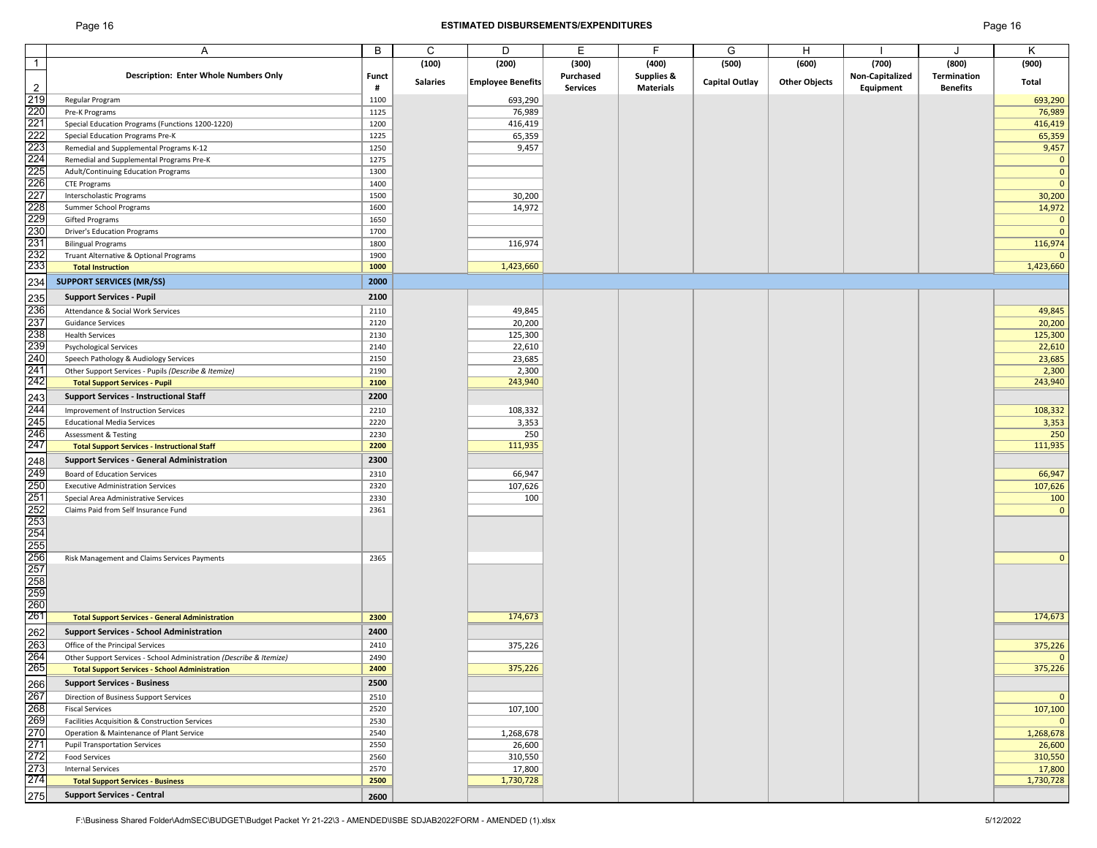## Page 16 **ESTIMATED DISBURSEMENTS/EXPENDITURES** Page 16

|                                                                           | A                                                                   | B            | C               | D                        | Е               | F                     | G                     | Н                    |                 | J               | K            |
|---------------------------------------------------------------------------|---------------------------------------------------------------------|--------------|-----------------|--------------------------|-----------------|-----------------------|-----------------------|----------------------|-----------------|-----------------|--------------|
|                                                                           |                                                                     |              |                 |                          |                 |                       |                       |                      |                 |                 |              |
| $\mathbf{1}$                                                              |                                                                     |              | (100)           | (200)                    | (300)           | (400)                 | (500)                 | (600)                | (700)           | (800)           | (900)        |
|                                                                           | <b>Description: Enter Whole Numbers Only</b>                        | <b>Funct</b> | <b>Salaries</b> | <b>Employee Benefits</b> | Purchased       | <b>Supplies &amp;</b> | <b>Capital Outlay</b> | <b>Other Objects</b> | Non-Capitalized | Termination     | Total        |
| $\overline{2}$                                                            |                                                                     | #            |                 |                          | <b>Services</b> | <b>Materials</b>      |                       |                      | Equipment       | <b>Benefits</b> |              |
| 219<br>2221<br>2223<br>224 225<br>229 229<br>229 229<br>232<br>232<br>232 | Regular Program                                                     | 1100         |                 | 693,290                  |                 |                       |                       |                      |                 |                 | 693,290      |
|                                                                           | Pre-K Programs                                                      | 1125         |                 | 76,989                   |                 |                       |                       |                      |                 |                 | 76,989       |
|                                                                           | Special Education Programs (Functions 1200-1220)                    | 1200         |                 | 416,419                  |                 |                       |                       |                      |                 |                 | 416,419      |
|                                                                           | Special Education Programs Pre-K                                    | 1225         |                 | 65,359                   |                 |                       |                       |                      |                 |                 | 65,359       |
|                                                                           | Remedial and Supplemental Programs K-12                             | 1250         |                 | 9,457                    |                 |                       |                       |                      |                 |                 | 9,457        |
|                                                                           | Remedial and Supplemental Programs Pre-K                            | 1275         |                 |                          |                 |                       |                       |                      |                 |                 | $\mathbf{0}$ |
|                                                                           | Adult/Continuing Education Programs                                 | 1300         |                 |                          |                 |                       |                       |                      |                 |                 | $\mathbf{0}$ |
|                                                                           | CTE Programs                                                        | 1400         |                 |                          |                 |                       |                       |                      |                 |                 | $\mathbf{0}$ |
|                                                                           | Interscholastic Programs                                            | 1500         |                 | 30,200                   |                 |                       |                       |                      |                 |                 | 30,200       |
|                                                                           | Summer School Programs                                              | 1600         |                 | 14,972                   |                 |                       |                       |                      |                 |                 | 14,972       |
|                                                                           |                                                                     | 1650         |                 |                          |                 |                       |                       |                      |                 |                 | $\mathbf{0}$ |
|                                                                           | Gifted Programs                                                     |              |                 |                          |                 |                       |                       |                      |                 |                 |              |
|                                                                           | <b>Driver's Education Programs</b>                                  | 1700         |                 |                          |                 |                       |                       |                      |                 |                 | $\mathbf{0}$ |
|                                                                           | <b>Bilingual Programs</b>                                           | 1800         |                 | 116,974                  |                 |                       |                       |                      |                 |                 | 116,974      |
|                                                                           | Truant Alternative & Optional Programs                              | 1900         |                 |                          |                 |                       |                       |                      |                 |                 |              |
|                                                                           | <b>Total Instruction</b>                                            | 1000         |                 | 1,423,660                |                 |                       |                       |                      |                 |                 | 1,423,660    |
| 234                                                                       | <b>SUPPORT SERVICES (MR/SS)</b>                                     | 2000         |                 |                          |                 |                       |                       |                      |                 |                 |              |
|                                                                           | <b>Support Services - Pupil</b>                                     | 2100         |                 |                          |                 |                       |                       |                      |                 |                 |              |
| 235<br>236<br>237<br>238<br>239<br>240<br>241<br>242                      | Attendance & Social Work Services                                   | 2110         |                 | 49,845                   |                 |                       |                       |                      |                 |                 |              |
|                                                                           |                                                                     |              |                 |                          |                 |                       |                       |                      |                 |                 | 49,845       |
|                                                                           | <b>Guidance Services</b>                                            | 2120         |                 | 20,200                   |                 |                       |                       |                      |                 |                 | 20,200       |
|                                                                           | <b>Health Services</b>                                              | 2130         |                 | 125,300                  |                 |                       |                       |                      |                 |                 | 125,300      |
|                                                                           | <b>Psychological Services</b>                                       | 2140         |                 | 22,610                   |                 |                       |                       |                      |                 |                 | 22,610       |
|                                                                           | Speech Pathology & Audiology Services                               | 2150         |                 | 23,685                   |                 |                       |                       |                      |                 |                 | 23,685       |
|                                                                           | Other Support Services - Pupils (Describe & Itemize)                | 2190         |                 | 2,300                    |                 |                       |                       |                      |                 |                 | 2,300        |
|                                                                           | <b>Total Support Services - Pupil</b>                               | 2100         |                 | 243,940                  |                 |                       |                       |                      |                 |                 | 243,940      |
| 243<br>243<br>245<br>246<br>247                                           | <b>Support Services - Instructional Staff</b>                       | 2200         |                 |                          |                 |                       |                       |                      |                 |                 |              |
|                                                                           | Improvement of Instruction Services                                 | 2210         |                 | 108,332                  |                 |                       |                       |                      |                 |                 | 108,332      |
|                                                                           | <b>Educational Media Services</b>                                   | 2220         |                 | 3,353                    |                 |                       |                       |                      |                 |                 | 3,353        |
|                                                                           | <b>Assessment &amp; Testing</b>                                     | 2230         |                 | 250                      |                 |                       |                       |                      |                 |                 | 250          |
|                                                                           |                                                                     | 2200         |                 | 111,935                  |                 |                       |                       |                      |                 |                 | 111,935      |
|                                                                           | <b>Total Support Services - Instructional Staff</b>                 |              |                 |                          |                 |                       |                       |                      |                 |                 |              |
|                                                                           | <b>Support Services - General Administration</b>                    | 2300         |                 |                          |                 |                       |                       |                      |                 |                 |              |
|                                                                           | Board of Education Services                                         | 2310         |                 | 66,947                   |                 |                       |                       |                      |                 |                 | 66,947       |
|                                                                           | <b>Executive Administration Services</b>                            | 2320         |                 | 107,626                  |                 |                       |                       |                      |                 |                 | 107,626      |
|                                                                           | Special Area Administrative Services                                | 2330         |                 | 100                      |                 |                       |                       |                      |                 |                 | 100          |
|                                                                           | Claims Paid from Self Insurance Fund                                | 2361         |                 |                          |                 |                       |                       |                      |                 |                 | $\mathbf{0}$ |
|                                                                           |                                                                     |              |                 |                          |                 |                       |                       |                      |                 |                 |              |
|                                                                           |                                                                     |              |                 |                          |                 |                       |                       |                      |                 |                 |              |
|                                                                           |                                                                     |              |                 |                          |                 |                       |                       |                      |                 |                 |              |
|                                                                           | Risk Management and Claims Services Payments                        | 2365         |                 |                          |                 |                       |                       |                      |                 |                 | $\mathbf{0}$ |
|                                                                           |                                                                     |              |                 |                          |                 |                       |                       |                      |                 |                 |              |
|                                                                           |                                                                     |              |                 |                          |                 |                       |                       |                      |                 |                 |              |
|                                                                           |                                                                     |              |                 |                          |                 |                       |                       |                      |                 |                 |              |
|                                                                           |                                                                     |              |                 |                          |                 |                       |                       |                      |                 |                 |              |
|                                                                           | <b>Total Support Services - General Administration</b>              | 2300         |                 | 174,673                  |                 |                       |                       |                      |                 |                 | 174,673      |
|                                                                           |                                                                     |              |                 |                          |                 |                       |                       |                      |                 |                 |              |
| 262<br>263<br>264                                                         | <b>Support Services - School Administration</b>                     | 2400         |                 |                          |                 |                       |                       |                      |                 |                 |              |
|                                                                           | Office of the Principal Services                                    | 2410         |                 | 375,226                  |                 |                       |                       |                      |                 |                 | 375,226      |
|                                                                           | Other Support Services - School Administration (Describe & Itemize) | 2490         |                 |                          |                 |                       |                       |                      |                 |                 | $\mathbf{0}$ |
| 265                                                                       | <b>Total Support Services - School Administration</b>               | 2400         |                 | 375,226                  |                 |                       |                       |                      |                 |                 | 375,226      |
|                                                                           | <b>Support Services - Business</b>                                  | 2500         |                 |                          |                 |                       |                       |                      |                 |                 |              |
| 266<br>267<br>268<br>269<br>270<br>271<br>272<br>273<br>274               | Direction of Business Support Services                              | 2510         |                 |                          |                 |                       |                       |                      |                 |                 | $\mathbf{0}$ |
|                                                                           | <b>Fiscal Services</b>                                              | 2520         |                 | 107,100                  |                 |                       |                       |                      |                 |                 | 107,100      |
|                                                                           |                                                                     | 2530         |                 |                          |                 |                       |                       |                      |                 |                 | $\Omega$     |
|                                                                           | Facilities Acquisition & Construction Services                      |              |                 |                          |                 |                       |                       |                      |                 |                 |              |
|                                                                           | Operation & Maintenance of Plant Service                            | 2540         |                 | 1,268,678                |                 |                       |                       |                      |                 |                 | 1,268,678    |
|                                                                           | <b>Pupil Transportation Services</b>                                | 2550         |                 | 26,600                   |                 |                       |                       |                      |                 |                 | 26,600       |
|                                                                           | <b>Food Services</b>                                                | 2560         |                 | 310,550                  |                 |                       |                       |                      |                 |                 | 310,550      |
|                                                                           | <b>Internal Services</b>                                            | 2570         |                 | 17,800                   |                 |                       |                       |                      |                 |                 | 17,800       |
|                                                                           | <b>Total Support Services - Business</b>                            | 2500         |                 | 1,730,728                |                 |                       |                       |                      |                 |                 | 1,730,728    |
| 275                                                                       | <b>Support Services - Central</b>                                   | 2600         |                 |                          |                 |                       |                       |                      |                 |                 |              |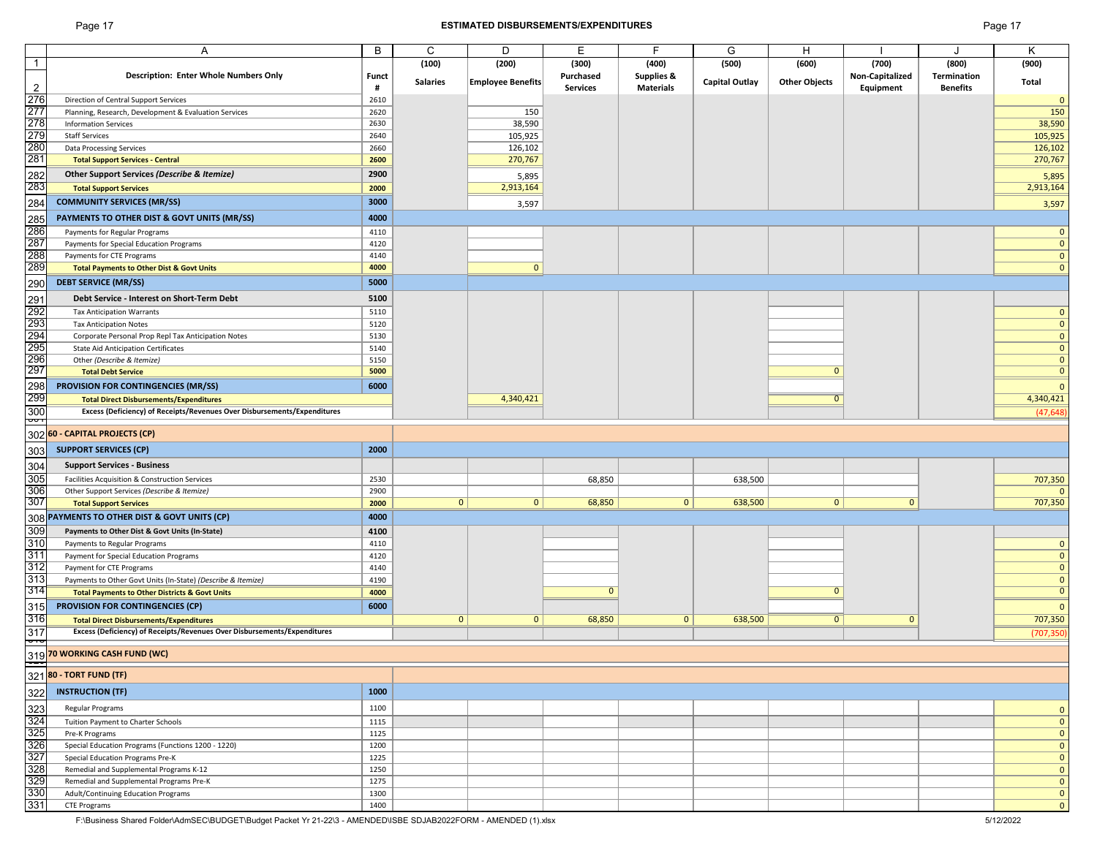## Page 17 **ESTIMATED DISBURSEMENTS/EXPENDITURES** Page 17

|                                                                                     | Α                                                                        | B     | C               | D                        | Е               | F                     | G              | H                    |                 | J               | K              |
|-------------------------------------------------------------------------------------|--------------------------------------------------------------------------|-------|-----------------|--------------------------|-----------------|-----------------------|----------------|----------------------|-----------------|-----------------|----------------|
| $\overline{1}$                                                                      |                                                                          |       | (100)           | (200)                    | (300)           | (400)                 | (500)          | (600)                | (700)           | (800)           | (900)          |
|                                                                                     | <b>Description: Enter Whole Numbers Only</b>                             | Funct |                 |                          | Purchased       | <b>Supplies &amp;</b> |                |                      | Non-Capitalized | Termination     |                |
|                                                                                     |                                                                          | #     | <b>Salaries</b> | <b>Employee Benefits</b> | <b>Services</b> | <b>Materials</b>      | Capital Outlay | <b>Other Objects</b> |                 | <b>Benefits</b> | Total          |
|                                                                                     |                                                                          |       |                 |                          |                 |                       |                |                      | Equipment       |                 |                |
|                                                                                     | Direction of Central Support Services                                    | 2610  |                 |                          |                 |                       |                |                      |                 |                 | $\mathbf{0}$   |
|                                                                                     | Planning, Research, Development & Evaluation Services                    | 2620  |                 | 150                      |                 |                       |                |                      |                 |                 | 150            |
|                                                                                     | <b>Information Services</b>                                              | 2630  |                 | 38,590                   |                 |                       |                |                      |                 |                 | 38,590         |
|                                                                                     | <b>Staff Services</b>                                                    | 2640  |                 | 105,925                  |                 |                       |                |                      |                 |                 | 105,925        |
|                                                                                     | Data Processing Services                                                 | 2660  |                 | 126,102                  |                 |                       |                |                      |                 |                 | 126,102        |
|                                                                                     |                                                                          |       |                 |                          |                 |                       |                |                      |                 |                 |                |
|                                                                                     | <b>Total Support Services - Central</b>                                  | 2600  |                 | 270,767                  |                 |                       |                |                      |                 |                 | 270,767        |
|                                                                                     | Other Support Services (Describe & Itemize)                              | 2900  |                 | 5,895                    |                 |                       |                |                      |                 |                 | 5,895          |
|                                                                                     | <b>Total Support Services</b>                                            | 2000  |                 | 2,913,164                |                 |                       |                |                      |                 |                 | 2,913,164      |
|                                                                                     |                                                                          |       |                 |                          |                 |                       |                |                      |                 |                 |                |
|                                                                                     | <b>COMMUNITY SERVICES (MR/SS)</b>                                        | 3000  |                 | 3,597                    |                 |                       |                |                      |                 |                 | 3,597          |
|                                                                                     | PAYMENTS TO OTHER DIST & GOVT UNITS (MR/SS)                              | 4000  |                 |                          |                 |                       |                |                      |                 |                 |                |
|                                                                                     |                                                                          | 4110  |                 |                          |                 |                       |                |                      |                 |                 | $\mathbf{0}$   |
|                                                                                     | Payments for Regular Programs                                            |       |                 |                          |                 |                       |                |                      |                 |                 |                |
|                                                                                     | Payments for Special Education Programs                                  | 4120  |                 |                          |                 |                       |                |                      |                 |                 | $\mathbf{0}$   |
|                                                                                     | Payments for CTE Programs                                                | 4140  |                 |                          |                 |                       |                |                      |                 |                 | $\mathbf{0}$   |
|                                                                                     | <b>Total Payments to Other Dist &amp; Govt Units</b>                     | 4000  |                 | $\mathbf{0}$             |                 |                       |                |                      |                 |                 | $\mathbf{0}$   |
| 290                                                                                 | <b>DEBT SERVICE (MR/SS)</b>                                              | 5000  |                 |                          |                 |                       |                |                      |                 |                 |                |
|                                                                                     |                                                                          |       |                 |                          |                 |                       |                |                      |                 |                 |                |
| 291<br>292<br>293<br>295<br>295<br>297<br>298<br>299<br>300<br>300                  | Debt Service - Interest on Short-Term Debt                               | 5100  |                 |                          |                 |                       |                |                      |                 |                 |                |
|                                                                                     | <b>Tax Anticipation Warrants</b>                                         | 5110  |                 |                          |                 |                       |                |                      |                 |                 | $\mathbf{0}$   |
|                                                                                     |                                                                          | 5120  |                 |                          |                 |                       |                |                      |                 |                 | $\mathbf{0}$   |
|                                                                                     | <b>Tax Anticipation Notes</b>                                            |       |                 |                          |                 |                       |                |                      |                 |                 |                |
|                                                                                     | Corporate Personal Prop Repl Tax Anticipation Notes                      | 5130  |                 |                          |                 |                       |                |                      |                 |                 | $\mathbf{0}$   |
|                                                                                     | <b>State Aid Anticipation Certificates</b>                               | 5140  |                 |                          |                 |                       |                |                      |                 |                 | $\mathbf{0}$   |
|                                                                                     | Other (Describe & Itemize)                                               | 5150  |                 |                          |                 |                       |                |                      |                 |                 | $\mathbf{0}$   |
|                                                                                     | <b>Total Debt Service</b>                                                | 5000  |                 |                          |                 |                       |                | $\mathbf{0}$         |                 |                 | $\mathbf{0}$   |
|                                                                                     | <b>PROVISION FOR CONTINGENCIES (MR/SS)</b>                               | 6000  |                 |                          |                 |                       |                |                      |                 |                 | $\mathbf{0}$   |
|                                                                                     |                                                                          |       |                 |                          |                 |                       |                |                      |                 |                 |                |
|                                                                                     | <b>Total Direct Disbursements/Expenditures</b>                           |       |                 | 4,340,421                |                 |                       |                | $\overline{0}$       |                 |                 | 4,340,421      |
|                                                                                     | Excess (Deficiency) of Receipts/Revenues Over Disbursements/Expenditures |       |                 |                          |                 |                       |                |                      |                 |                 | (47, 648)      |
|                                                                                     |                                                                          |       |                 |                          |                 |                       |                |                      |                 |                 |                |
| 302                                                                                 | 60 - CAPITAL PROJECTS (CP)                                               |       |                 |                          |                 |                       |                |                      |                 |                 |                |
| 303                                                                                 | <b>SUPPORT SERVICES (CP)</b>                                             | 2000  |                 |                          |                 |                       |                |                      |                 |                 |                |
|                                                                                     |                                                                          |       |                 |                          |                 |                       |                |                      |                 |                 |                |
|                                                                                     | <b>Support Services - Business</b>                                       |       |                 |                          |                 |                       |                |                      |                 |                 |                |
| 304<br>305<br>306<br>307                                                            | Facilities Acquisition & Construction Services                           | 2530  |                 |                          | 68,850          |                       | 638,500        |                      |                 |                 | 707,350        |
|                                                                                     | Other Support Services (Describe & Itemize)                              | 2900  |                 |                          |                 |                       |                |                      |                 |                 | $\Omega$       |
|                                                                                     |                                                                          |       | 0 <sup>1</sup>  | $\mathbf{0}$             | 68,850          | $\mathbf{0}$          | 638,500        | 0                    | $\mathbf 0$     |                 | 707,350        |
|                                                                                     | <b>Total Support Services</b>                                            | 2000  |                 |                          |                 |                       |                |                      |                 |                 |                |
| 308                                                                                 | PAYMENTS TO OTHER DIST & GOVT UNITS (CP)                                 | 4000  |                 |                          |                 |                       |                |                      |                 |                 |                |
|                                                                                     | Payments to Other Dist & Govt Units (In-State)                           | 4100  |                 |                          |                 |                       |                |                      |                 |                 |                |
|                                                                                     | Payments to Regular Programs                                             | 4110  |                 |                          |                 |                       |                |                      |                 |                 | $\mathbf{0}$   |
|                                                                                     |                                                                          |       |                 |                          |                 |                       |                |                      |                 |                 | $\mathbf{0}$   |
|                                                                                     | Payment for Special Education Programs                                   | 4120  |                 |                          |                 |                       |                |                      |                 |                 |                |
|                                                                                     | Payment for CTE Programs                                                 | 4140  |                 |                          |                 |                       |                |                      |                 |                 | $\mathbf{0}$   |
| 309<br>310<br>311<br>312<br>313<br>313<br>314                                       | Payments to Other Govt Units (In-State) (Describe & Itemize)             | 4190  |                 |                          |                 |                       |                |                      |                 |                 | $\mathbf{0}$   |
|                                                                                     | <b>Total Payments to Other Districts &amp; Govt Units</b>                | 4000  |                 |                          | $\mathbf{0}$    |                       |                | $\mathbf{0}$         |                 |                 | $\overline{0}$ |
|                                                                                     | <b>PROVISION FOR CONTINGENCIES (CP)</b>                                  | 6000  |                 |                          |                 |                       |                |                      |                 |                 | $\mathbf{0}$   |
|                                                                                     |                                                                          |       |                 |                          |                 |                       |                |                      |                 |                 |                |
|                                                                                     | <b>Total Direct Disbursements/Expenditures</b>                           |       | $\mathbf{0}$    | $\mathbf 0$              | 68,850          | $\mathbf{0}$          | 638,500        | $\overline{0}$       | $\mathbf{0}$    |                 | 707,350        |
|                                                                                     | Excess (Deficiency) of Receipts/Revenues Over Disbursements/Expenditures |       |                 |                          |                 |                       |                |                      |                 |                 | (707, 350)     |
| $\begin{array}{r}\n 315 \\  \hline\n 316 \\  \hline\n 317 \\  \hline\n \end{array}$ |                                                                          |       |                 |                          |                 |                       |                |                      |                 |                 |                |
|                                                                                     | 319 70 WORKING CASH FUND (WC)                                            |       |                 |                          |                 |                       |                |                      |                 |                 |                |
|                                                                                     | $\frac{1}{321}$ 80 - TORT FUND (TF)                                      |       |                 |                          |                 |                       |                |                      |                 |                 |                |
|                                                                                     |                                                                          |       |                 |                          |                 |                       |                |                      |                 |                 |                |
|                                                                                     | <b>INSTRUCTION (TF)</b>                                                  | 1000  |                 |                          |                 |                       |                |                      |                 |                 |                |
| 322<br>323<br>324<br>325<br>326<br>327<br>328<br>329<br>330<br>331                  |                                                                          |       |                 |                          |                 |                       |                |                      |                 |                 |                |
|                                                                                     | Regular Programs                                                         | 1100  |                 |                          |                 |                       |                |                      |                 |                 | $\mathbf{0}$   |
|                                                                                     | Tuition Payment to Charter Schools                                       | 1115  |                 |                          |                 |                       |                |                      |                 |                 | $\mathbf{0}$   |
|                                                                                     | Pre-K Programs                                                           | 1125  |                 |                          |                 |                       |                |                      |                 |                 | $\mathbf{0}$   |
|                                                                                     | Special Education Programs (Functions 1200 - 1220)                       | 1200  |                 |                          |                 |                       |                |                      |                 |                 | $\mathbf{0}$   |
|                                                                                     | Special Education Programs Pre-K                                         | 1225  |                 |                          |                 |                       |                |                      |                 |                 | $\mathbf{0}$   |
|                                                                                     |                                                                          |       |                 |                          |                 |                       |                |                      |                 |                 |                |
|                                                                                     | Remedial and Supplemental Programs K-12                                  | 1250  |                 |                          |                 |                       |                |                      |                 |                 | $\mathbf{0}$   |
|                                                                                     | Remedial and Supplemental Programs Pre-K                                 | 1275  |                 |                          |                 |                       |                |                      |                 |                 | $\mathbf{0}$   |
|                                                                                     | Adult/Continuing Education Programs                                      | 1300  |                 |                          |                 |                       |                |                      |                 |                 | $\mathbf{0}$   |
|                                                                                     | <b>CTE Programs</b>                                                      | 1400  |                 |                          |                 |                       |                |                      |                 |                 | $\mathbf 0$    |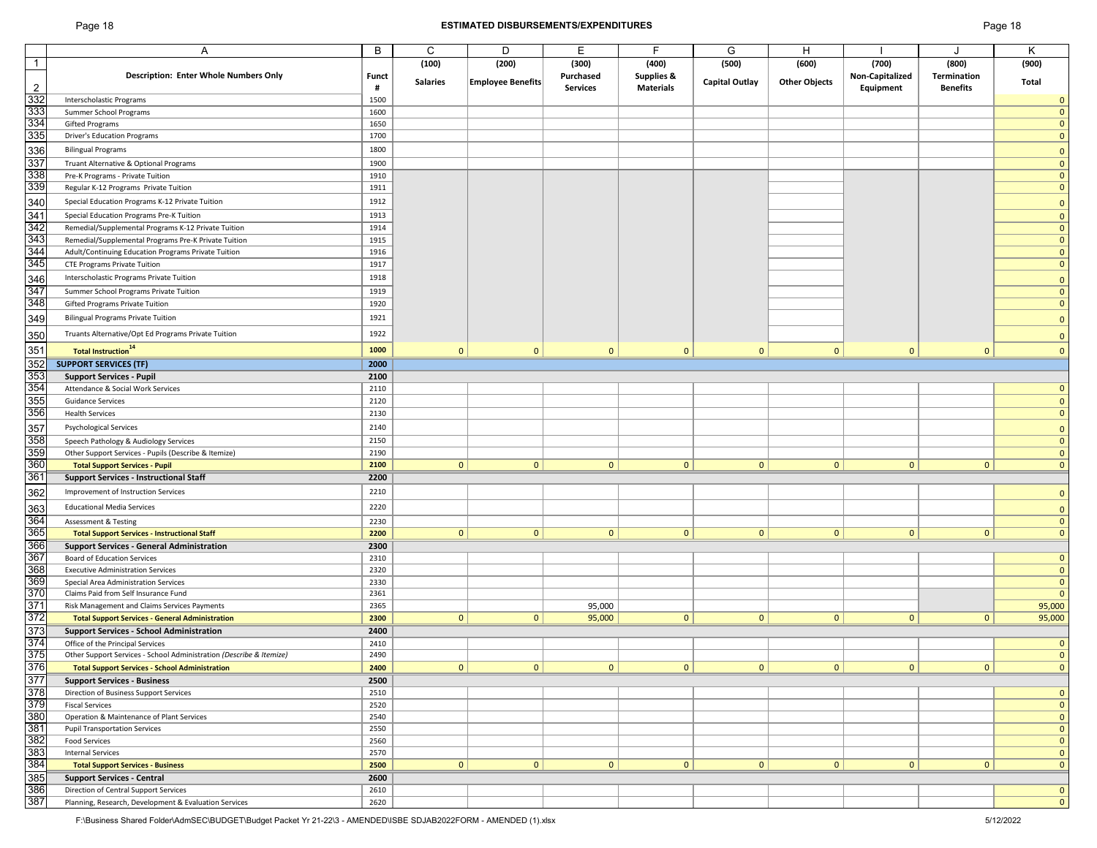## Page 18 **ESTIMATED DISBURSEMENTS/EXPENDITURES** Page 18

|                |                                                                     | B     | C               | D                        | E.              | E                | G              | Н                    |                 | $\cdot$         | Κ            |
|----------------|---------------------------------------------------------------------|-------|-----------------|--------------------------|-----------------|------------------|----------------|----------------------|-----------------|-----------------|--------------|
|                | Α                                                                   |       |                 |                          |                 |                  |                |                      |                 |                 |              |
| $\vert$ 1      |                                                                     |       | (100)           | (200)                    | (300)           | (400)            | (500)          | (600)                | (700)           | (800)           | (900)        |
|                | Description: Enter Whole Numbers Only                               | Funct |                 |                          | Purchased       | Supplies &       |                |                      | Non-Capitalized | Termination     |              |
| $\overline{2}$ |                                                                     | #     | <b>Salaries</b> | <b>Employee Benefits</b> | <b>Services</b> | <b>Materials</b> | Capital Outlay | <b>Other Objects</b> | Equipment       | <b>Benefits</b> | Total        |
| 332            | Interscholastic Programs                                            | 1500  |                 |                          |                 |                  |                |                      |                 |                 | $\mathbf 0$  |
|                |                                                                     |       |                 |                          |                 |                  |                |                      |                 |                 |              |
| 333            | Summer School Programs                                              | 1600  |                 |                          |                 |                  |                |                      |                 |                 | $\mathbf{0}$ |
| 334            | Gifted Programs                                                     | 1650  |                 |                          |                 |                  |                |                      |                 |                 | $\mathbf{0}$ |
| 335            | <b>Driver's Education Programs</b>                                  | 1700  |                 |                          |                 |                  |                |                      |                 |                 | $\mathbf{0}$ |
|                | <b>Bilingual Programs</b>                                           | 1800  |                 |                          |                 |                  |                |                      |                 |                 |              |
| 336            |                                                                     |       |                 |                          |                 |                  |                |                      |                 |                 | $\mathbf{0}$ |
| 337            | Truant Alternative & Optional Programs                              | 1900  |                 |                          |                 |                  |                |                      |                 |                 | $\mathbf{0}$ |
| 338            | Pre-K Programs - Private Tuition                                    | 1910  |                 |                          |                 |                  |                |                      |                 |                 | $\mathbf{0}$ |
| 339            | Regular K-12 Programs Private Tuition                               | 1911  |                 |                          |                 |                  |                |                      |                 |                 | $\mathbf{0}$ |
|                |                                                                     |       |                 |                          |                 |                  |                |                      |                 |                 |              |
| 340            | Special Education Programs K-12 Private Tuition                     | 1912  |                 |                          |                 |                  |                |                      |                 |                 | $\mathbf{0}$ |
| 341            | Special Education Programs Pre-K Tuition                            | 1913  |                 |                          |                 |                  |                |                      |                 |                 | $\mathbf{0}$ |
| 342            | Remedial/Supplemental Programs K-12 Private Tuition                 | 1914  |                 |                          |                 |                  |                |                      |                 |                 | $\mathbf{0}$ |
| 343            | Remedial/Supplemental Programs Pre-K Private Tuition                | 1915  |                 |                          |                 |                  |                |                      |                 |                 | $\mathbf{0}$ |
| 344            |                                                                     |       |                 |                          |                 |                  |                |                      |                 |                 |              |
|                | Adult/Continuing Education Programs Private Tuition                 | 1916  |                 |                          |                 |                  |                |                      |                 |                 | $\mathbf{0}$ |
| 345            | <b>CTE Programs Private Tuition</b>                                 | 1917  |                 |                          |                 |                  |                |                      |                 |                 | $\mathbf{0}$ |
| 346            | Interscholastic Programs Private Tuition                            | 1918  |                 |                          |                 |                  |                |                      |                 |                 | $\mathbf{0}$ |
| 347            |                                                                     | 1919  |                 |                          |                 |                  |                |                      |                 |                 | $\mathbf{0}$ |
|                | Summer School Programs Private Tuition                              |       |                 |                          |                 |                  |                |                      |                 |                 |              |
| 348            | Gifted Programs Private Tuition                                     | 1920  |                 |                          |                 |                  |                |                      |                 |                 | $\mathbf{0}$ |
| 349            | <b>Bilingual Programs Private Tuition</b>                           | 1921  |                 |                          |                 |                  |                |                      |                 |                 | $\mathbf{0}$ |
|                |                                                                     |       |                 |                          |                 |                  |                |                      |                 |                 |              |
| 350            | Truants Alternative/Opt Ed Programs Private Tuition                 | 1922  |                 |                          |                 |                  |                |                      |                 |                 | $\mathbf{0}$ |
| 351            | <b>Total Instruction</b> <sup>14</sup>                              | 1000  | $\mathbf{0}$    | $\mathbf{0}$             | $\mathbf{0}$    | $\mathbf{0}$     | $\mathbf{0}$   | $\mathbf{0}$         | $\mathbf{0}$    | $\mathbf 0$     | $\mathbf{0}$ |
|                |                                                                     |       |                 |                          |                 |                  |                |                      |                 |                 |              |
| 352            | <b>SUPPORT SERVICES (TF)</b>                                        | 2000  |                 |                          |                 |                  |                |                      |                 |                 |              |
| 353            | <b>Support Services - Pupil</b>                                     | 2100  |                 |                          |                 |                  |                |                      |                 |                 |              |
| 354            | Attendance & Social Work Services                                   | 2110  |                 |                          |                 |                  |                |                      |                 |                 | $\mathbf{0}$ |
| 355            | <b>Guidance Services</b>                                            | 2120  |                 |                          |                 |                  |                |                      |                 |                 | $\mathbf{0}$ |
|                |                                                                     |       |                 |                          |                 |                  |                |                      |                 |                 |              |
| 356            | <b>Health Services</b>                                              | 2130  |                 |                          |                 |                  |                |                      |                 |                 | $\mathbf{0}$ |
| 357            | <b>Psychological Services</b>                                       | 2140  |                 |                          |                 |                  |                |                      |                 |                 | $\Omega$     |
| 358            | Speech Pathology & Audiology Services                               | 2150  |                 |                          |                 |                  |                |                      |                 |                 | $\mathbf{0}$ |
| 359            |                                                                     |       |                 |                          |                 |                  |                |                      |                 |                 |              |
|                | Other Support Services - Pupils (Describe & Itemize)                | 2190  |                 |                          |                 |                  |                |                      |                 |                 | $\mathbf{0}$ |
| 360            | <b>Total Support Services - Pupil</b>                               | 2100  | 0               | $\mathbf{0}$             | 0               | $\mathbf{0}$     | 0              | $\overline{0}$       | $\mathbf{0}$    | $\mathbf{0}$    | $\mathbf{0}$ |
| 361            | <b>Support Services - Instructional Staff</b>                       | 2200  |                 |                          |                 |                  |                |                      |                 |                 |              |
|                | Improvement of Instruction Services                                 | 2210  |                 |                          |                 |                  |                |                      |                 |                 |              |
| 362            |                                                                     |       |                 |                          |                 |                  |                |                      |                 |                 | $\mathbf{0}$ |
| 363            | <b>Educational Media Services</b>                                   | 2220  |                 |                          |                 |                  |                |                      |                 |                 | $\mathbf 0$  |
|                | <b>Assessment &amp; Testing</b>                                     | 2230  |                 |                          |                 |                  |                |                      |                 |                 | $\mathbf{0}$ |
| 364<br>365     |                                                                     |       |                 |                          |                 |                  |                |                      |                 |                 |              |
|                | <b>Total Support Services - Instructional Staff</b>                 | 2200  | 0               | $\mathbf{0}$             | $\mathbf{0}$    | $\mathbf{0}$     | 0              | $\mathbf{0}$         | $\mathbf{0}$    | $\mathbf{0}$    | $\mathbf{0}$ |
| 366            | <b>Support Services - General Administration</b>                    | 2300  |                 |                          |                 |                  |                |                      |                 |                 |              |
| 367            | Board of Education Services                                         | 2310  |                 |                          |                 |                  |                |                      |                 |                 | $\mathbf{0}$ |
| 368            | <b>Executive Administration Services</b>                            | 2320  |                 |                          |                 |                  |                |                      |                 |                 | $\mathbf 0$  |
| 369            | Special Area Administration Services                                | 2330  |                 |                          |                 |                  |                |                      |                 |                 | $\mathbf 0$  |
| 370            | Claims Paid from Self Insurance Fund                                | 2361  |                 |                          |                 |                  |                |                      |                 |                 | $\mathbf{0}$ |
|                |                                                                     |       |                 |                          |                 |                  |                |                      |                 |                 |              |
| 371            | Risk Management and Claims Services Payments                        | 2365  |                 |                          | 95,000          |                  |                |                      |                 |                 | 95,000       |
| 372            | <b>Total Support Services - General Administration</b>              | 2300  | $\mathbf{0}$    | $\mathbf{0}$             | 95,000          | $\mathbf{0}$     | $\mathbf{0}$   | $\mathbf{0}$         | $\mathbf{0}$    | $\mathbf{0}$    | 95,000       |
| 373            | <b>Support Services - School Administration</b>                     | 2400  |                 |                          |                 |                  |                |                      |                 |                 |              |
| 374            | Office of the Principal Services                                    | 2410  |                 |                          |                 |                  |                |                      |                 |                 | $\mathbf 0$  |
|                |                                                                     |       |                 |                          |                 |                  |                |                      |                 |                 |              |
| 375            | Other Support Services - School Administration (Describe & Itemize) | 2490  |                 |                          |                 |                  |                |                      |                 |                 | $\mathbf 0$  |
| 376            | <b>Total Support Services - School Administration</b>               | 2400  | 0               | 0                        | $\overline{0}$  | 0                | 0              | $\mathbf{0}$         | 0               | 0               | $\mathbf 0$  |
| 377            | <b>Support Services - Business</b>                                  | 2500  |                 |                          |                 |                  |                |                      |                 |                 |              |
| 378            | Direction of Business Support Services                              | 2510  |                 |                          |                 |                  |                |                      |                 |                 | $\mathbf{0}$ |
| 379            |                                                                     | 2520  |                 |                          |                 |                  |                |                      |                 |                 | $\mathbf 0$  |
|                | <b>Fiscal Services</b>                                              |       |                 |                          |                 |                  |                |                      |                 |                 |              |
| 380            | Operation & Maintenance of Plant Services                           | 2540  |                 |                          |                 |                  |                |                      |                 |                 | $\mathbf 0$  |
| 381            | <b>Pupil Transportation Services</b>                                | 2550  |                 |                          |                 |                  |                |                      |                 |                 | $\mathbf 0$  |
| 382            | <b>Food Services</b>                                                | 2560  |                 |                          |                 |                  |                |                      |                 |                 | $\mathbf{0}$ |
| 383            | <b>Internal Services</b>                                            | 2570  |                 |                          |                 |                  |                |                      |                 |                 | $\mathbf{0}$ |
| 384            |                                                                     | 2500  | 0               | $\mathbf{0}$             | 0               | $\mathbf{0}$     | 0              | $\mathbf{0}$         | $\mathbf{0}$    | $\mathbf{0}$    | $\mathbf 0$  |
|                | <b>Total Support Services - Business</b>                            |       |                 |                          |                 |                  |                |                      |                 |                 |              |
| 385            | <b>Support Services - Central</b>                                   | 2600  |                 |                          |                 |                  |                |                      |                 |                 |              |
| 386            | Direction of Central Support Services                               | 2610  |                 |                          |                 |                  |                |                      |                 |                 | $\mathbf{0}$ |
| 387            | Planning, Research, Development & Evaluation Services               | 2620  |                 |                          |                 |                  |                |                      |                 |                 | $\mathbf{0}$ |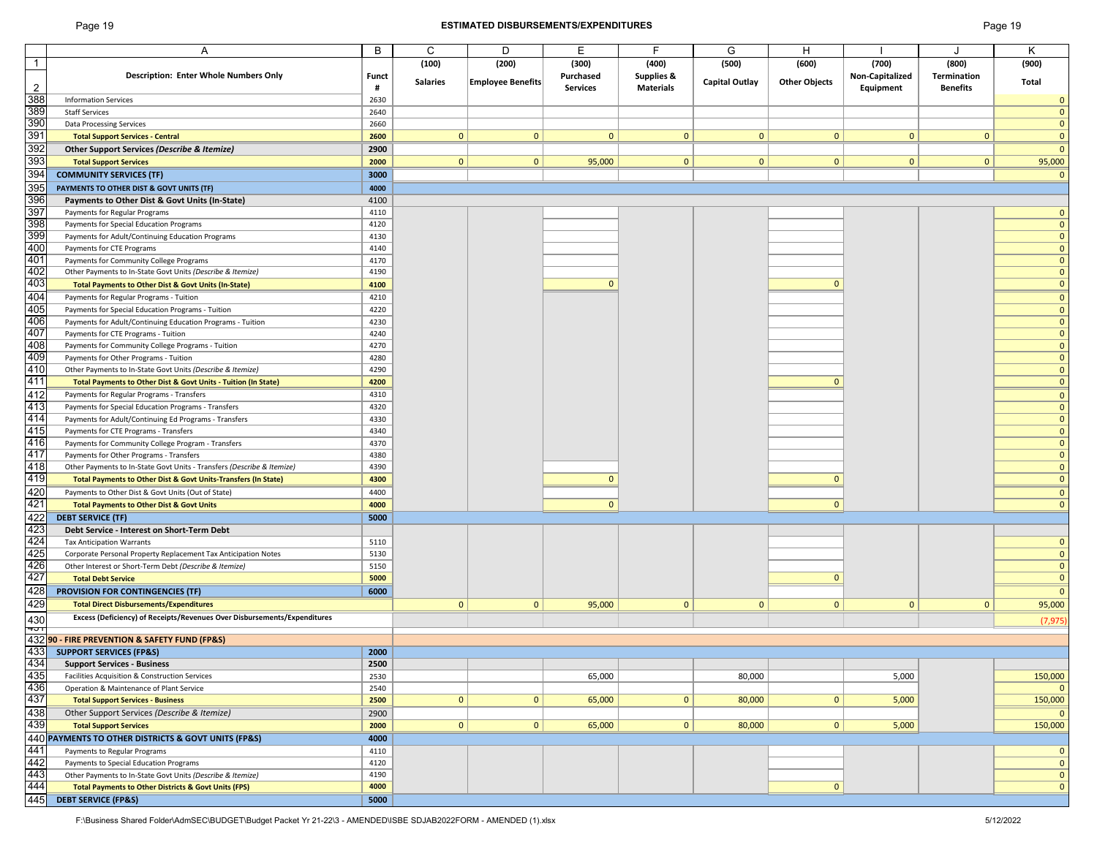## Page 19 **ESTIMATED DISBURSEMENTS/EXPENDITURES** Page 19

|                                                       |                                                                                | B            | C               | D                        | E               | F                | G                     | Н                    |                 |                 | K            |
|-------------------------------------------------------|--------------------------------------------------------------------------------|--------------|-----------------|--------------------------|-----------------|------------------|-----------------------|----------------------|-----------------|-----------------|--------------|
|                                                       | A                                                                              |              |                 |                          |                 |                  |                       |                      |                 |                 |              |
| $\overline{1}$                                        |                                                                                |              | (100)           | (200)                    | (300)           | (400)            | (500)                 | (600)                | (700)           | (800)           | (900)        |
|                                                       | <b>Description: Enter Whole Numbers Only</b>                                   | <b>Funct</b> |                 |                          | Purchased       | Supplies &       |                       |                      | Non-Capitalized | Termination     |              |
| $\overline{2}$                                        |                                                                                | #            | <b>Salaries</b> | <b>Employee Benefits</b> | <b>Services</b> | <b>Materials</b> | <b>Capital Outlay</b> | <b>Other Objects</b> | Equipment       | <b>Benefits</b> | Total        |
| 388                                                   | <b>Information Services</b>                                                    | 2630         |                 |                          |                 |                  |                       |                      |                 |                 | $\mathbf 0$  |
|                                                       |                                                                                |              |                 |                          |                 |                  |                       |                      |                 |                 |              |
| 389                                                   | <b>Staff Services</b>                                                          | 2640         |                 |                          |                 |                  |                       |                      |                 |                 | $\mathbf{0}$ |
|                                                       | <b>Data Processing Services</b>                                                | 2660         |                 |                          |                 |                  |                       |                      |                 |                 | $\mathbf{0}$ |
| 390<br>391                                            | <b>Total Support Services - Central</b>                                        | 2600         | $\mathbf{0}$    | $\mathbf{0}$             | $\mathbf{0}$    | $\mathbf{0}$     | $\mathbf{0}$          | $\mathbf{0}$         | $\mathbf{0}$    | $\mathbf{0}$    | $\mathbf{0}$ |
| 392<br>393<br>394                                     | Other Support Services (Describe & Itemize)                                    | 2900         |                 |                          |                 |                  |                       |                      |                 |                 | $\mathbf{0}$ |
|                                                       |                                                                                |              |                 |                          |                 |                  |                       |                      |                 |                 |              |
|                                                       | <b>Total Support Services</b>                                                  | 2000         | $\mathbf{0}$    | $\mathbf{0}$             | 95,000          | $\mathbf{0}$     | $\mathbf{0}$          | $\mathbf{0}$         | $\mathbf{0}$    | $\mathbf{0}$    | 95,000       |
|                                                       | <b>COMMUNITY SERVICES (TF)</b>                                                 | 3000         |                 |                          |                 |                  |                       |                      |                 |                 | $\mathbf 0$  |
| 395                                                   | PAYMENTS TO OTHER DIST & GOVT UNITS (TF)                                       | 4000         |                 |                          |                 |                  |                       |                      |                 |                 |              |
|                                                       |                                                                                |              |                 |                          |                 |                  |                       |                      |                 |                 |              |
| 396                                                   | Payments to Other Dist & Govt Units (In-State)                                 | 4100         |                 |                          |                 |                  |                       |                      |                 |                 |              |
| 397                                                   | Payments for Regular Programs                                                  | 4110         |                 |                          |                 |                  |                       |                      |                 |                 | $\mathbf{0}$ |
| $\frac{1}{398}$                                       | Payments for Special Education Programs                                        | 4120         |                 |                          |                 |                  |                       |                      |                 |                 | $\mathbf{0}$ |
|                                                       | Payments for Adult/Continuing Education Programs                               | 4130         |                 |                          |                 |                  |                       |                      |                 |                 | $\mathbf{0}$ |
| 400                                                   | Payments for CTE Programs                                                      | 4140         |                 |                          |                 |                  |                       |                      |                 |                 | $\mathbf{0}$ |
| 401                                                   |                                                                                |              |                 |                          |                 |                  |                       |                      |                 |                 |              |
|                                                       | Payments for Community College Programs                                        | 4170         |                 |                          |                 |                  |                       |                      |                 |                 | $\mathbf{0}$ |
| 402<br>403                                            | Other Payments to In-State Govt Units (Describe & Itemize)                     | 4190         |                 |                          |                 |                  |                       |                      |                 |                 | $\mathbf{0}$ |
|                                                       | Total Payments to Other Dist & Govt Units (In-State)                           | 4100         |                 |                          | $\mathbf{0}$    |                  |                       | $\mathbf{0}$         |                 |                 | $\mathbf{0}$ |
| 404                                                   | Payments for Regular Programs - Tuition                                        | 4210         |                 |                          |                 |                  |                       |                      |                 |                 | $\mathbf{0}$ |
|                                                       |                                                                                |              |                 |                          |                 |                  |                       |                      |                 |                 |              |
| 405                                                   | Payments for Special Education Programs - Tuition                              | 4220         |                 |                          |                 |                  |                       |                      |                 |                 | $\mathbf{0}$ |
| 406                                                   | Payments for Adult/Continuing Education Programs - Tuition                     | 4230         |                 |                          |                 |                  |                       |                      |                 |                 | $\mathbf{0}$ |
| 407                                                   | Payments for CTE Programs - Tuition                                            | 4240         |                 |                          |                 |                  |                       |                      |                 |                 | $\mathbf{0}$ |
| 408                                                   | Payments for Community College Programs - Tuition                              | 4270         |                 |                          |                 |                  |                       |                      |                 |                 | $\mathbf{0}$ |
| 409                                                   | Payments for Other Programs - Tuition                                          | 4280         |                 |                          |                 |                  |                       |                      |                 |                 | $\mathbf{0}$ |
| 410                                                   |                                                                                |              |                 |                          |                 |                  |                       |                      |                 |                 |              |
|                                                       | Other Payments to In-State Govt Units (Describe & Itemize)                     | 4290         |                 |                          |                 |                  |                       |                      |                 |                 | $\mathbf{0}$ |
| 411                                                   | Total Payments to Other Dist & Govt Units - Tuition (In State)                 | 4200         |                 |                          |                 |                  |                       | $\Omega$             |                 |                 | $\mathbf{0}$ |
| 412                                                   | Payments for Regular Programs - Transfers                                      | 4310         |                 |                          |                 |                  |                       |                      |                 |                 | $\mathbf{0}$ |
| 413                                                   | Payments for Special Education Programs - Transfers                            | 4320         |                 |                          |                 |                  |                       |                      |                 |                 | $\mathbf{0}$ |
| 414                                                   |                                                                                |              |                 |                          |                 |                  |                       |                      |                 |                 |              |
|                                                       | Payments for Adult/Continuing Ed Programs - Transfers                          | 4330         |                 |                          |                 |                  |                       |                      |                 |                 | $\mathbf{0}$ |
| 415                                                   | Payments for CTE Programs - Transfers                                          | 4340         |                 |                          |                 |                  |                       |                      |                 |                 | $\mathbf{0}$ |
| 416                                                   | Payments for Community College Program - Transfers                             | 4370         |                 |                          |                 |                  |                       |                      |                 |                 | $\mathbf{0}$ |
| 417                                                   | Payments for Other Programs - Transfers                                        | 4380         |                 |                          |                 |                  |                       |                      |                 |                 | $\mathbf{0}$ |
| 418                                                   |                                                                                | 4390         |                 |                          |                 |                  |                       |                      |                 |                 | $\mathbf{0}$ |
| 419                                                   | Other Payments to In-State Govt Units - Transfers (Describe & Itemize)         |              |                 |                          |                 |                  |                       |                      |                 |                 |              |
|                                                       | Total Payments to Other Dist & Govt Units-Transfers (In State)                 | 4300         |                 |                          | $\mathbf{0}$    |                  |                       | $\mathbf{0}$         |                 |                 | $\mathbf{0}$ |
| 420<br>421                                            | Payments to Other Dist & Govt Units (Out of State)                             | 4400         |                 |                          |                 |                  |                       |                      |                 |                 | $\mathbf{0}$ |
|                                                       | <b>Total Payments to Other Dist &amp; Govt Units</b>                           | 4000         |                 |                          | $\mathbf{0}$    |                  |                       | $\mathbf{0}$         |                 |                 | $\mathbf{0}$ |
| 422                                                   |                                                                                |              |                 |                          |                 |                  |                       |                      |                 |                 |              |
|                                                       | <b>DEBT SERVICE (TF)</b>                                                       | 5000         |                 |                          |                 |                  |                       |                      |                 |                 |              |
| 423<br>424                                            | Debt Service - Interest on Short-Term Debt                                     |              |                 |                          |                 |                  |                       |                      |                 |                 |              |
|                                                       | <b>Tax Anticipation Warrants</b>                                               | 5110         |                 |                          |                 |                  |                       |                      |                 |                 | $\mathbf{0}$ |
| 425                                                   | Corporate Personal Property Replacement Tax Anticipation Notes                 | 5130         |                 |                          |                 |                  |                       |                      |                 |                 | $\mathbf{0}$ |
| 426                                                   | Other Interest or Short-Term Debt (Describe & Itemize)                         | 5150         |                 |                          |                 |                  |                       |                      |                 |                 | $\mathbf{0}$ |
| 427                                                   |                                                                                |              |                 |                          |                 |                  |                       |                      |                 |                 |              |
|                                                       | <b>Total Debt Service</b>                                                      | 5000         |                 |                          |                 |                  |                       | $\mathbf{0}$         |                 |                 | $\mathbf 0$  |
| 428                                                   | <b>PROVISION FOR CONTINGENCIES (TF)</b>                                        | 6000         |                 |                          |                 |                  |                       |                      |                 |                 | $\mathbf{0}$ |
| 429                                                   | <b>Total Direct Disbursements/Expenditures</b>                                 |              | $\mathbf{0}$    | $\mathbf{0}$             | 95,000          | $\mathbf{0}$     | $\mathbf{0}$          | $\mathbf{0}$         | $\mathbf{0}$    | $\mathbf{0}$    | 95,000       |
|                                                       |                                                                                |              |                 |                          |                 |                  |                       |                      |                 |                 |              |
| 430                                                   | Excess (Deficiency) of Receipts/Revenues Over Disbursements/Expenditures       |              |                 |                          |                 |                  |                       |                      |                 |                 | (7, 975)     |
|                                                       | work<br>  432 <mark>  90 - FIRE PREVENTION &amp; SAFETY FUND (FP&amp;S)</mark> |              |                 |                          |                 |                  |                       |                      |                 |                 |              |
|                                                       |                                                                                |              |                 |                          |                 |                  |                       |                      |                 |                 |              |
| 433                                                   | <b>SUPPORT SERVICES (FP&amp;S)</b>                                             | 2000         |                 |                          |                 |                  |                       |                      |                 |                 |              |
| $\frac{434}{435}$                                     | <b>Support Services - Business</b>                                             | 2500         |                 |                          |                 |                  |                       |                      |                 |                 |              |
|                                                       |                                                                                |              |                 |                          |                 |                  |                       |                      |                 |                 |              |
|                                                       | Facilities Acquisition & Construction Services                                 | 2530         |                 |                          | 65,000          |                  | 80,000                |                      | 5,000           |                 | 150,000      |
|                                                       | Operation & Maintenance of Plant Service                                       | 2540         |                 |                          |                 |                  |                       |                      |                 |                 | $\mathbf{0}$ |
|                                                       | <b>Total Support Services - Business</b>                                       | 2500         | $\mathbf 0$     | $\mathbf{0}$             | 65,000          | $\mathbf{0}$     | 80,000                | $\mathbf{0}$         | 5,000           |                 | 150,000      |
| $\frac{436}{437}$ $\frac{438}{439}$                   | Other Support Services (Describe & Itemize)                                    | 2900         |                 |                          |                 |                  |                       |                      |                 |                 | $\mathbf{0}$ |
|                                                       |                                                                                |              | $\mathbf{0}$    | $\mathbf{0}$             |                 | $\mathbf{0}$     |                       | 0                    |                 |                 |              |
|                                                       | <b>Total Support Services</b>                                                  | 2000         |                 |                          | 65,000          |                  | 80,000                |                      | 5,000           |                 | 150,000      |
|                                                       | 440 PAYMENTS TO OTHER DISTRICTS & GOVT UNITS (FP&S)                            | 4000         |                 |                          |                 |                  |                       |                      |                 |                 |              |
| $\frac{441}{442}$ $\frac{443}{444}$ $\frac{444}{445}$ | Payments to Regular Programs                                                   | 4110         |                 |                          |                 |                  |                       |                      |                 |                 | $\mathbf{0}$ |
|                                                       | Payments to Special Education Programs                                         | 4120         |                 |                          |                 |                  |                       |                      |                 |                 | $\mathbf{0}$ |
|                                                       | Other Payments to In-State Govt Units (Describe & Itemize)                     | 4190         |                 |                          |                 |                  |                       |                      |                 |                 | $\mathbf{0}$ |
|                                                       |                                                                                |              |                 |                          |                 |                  |                       |                      |                 |                 |              |
|                                                       | <b>Total Payments to Other Districts &amp; Govt Units (FPS)</b>                | 4000         |                 |                          |                 |                  |                       | $\mathbf{0}$         |                 |                 | $\mathbf{0}$ |
|                                                       | <b>DEBT SERVICE (FP&amp;S)</b>                                                 | 5000         |                 |                          |                 |                  |                       |                      |                 |                 |              |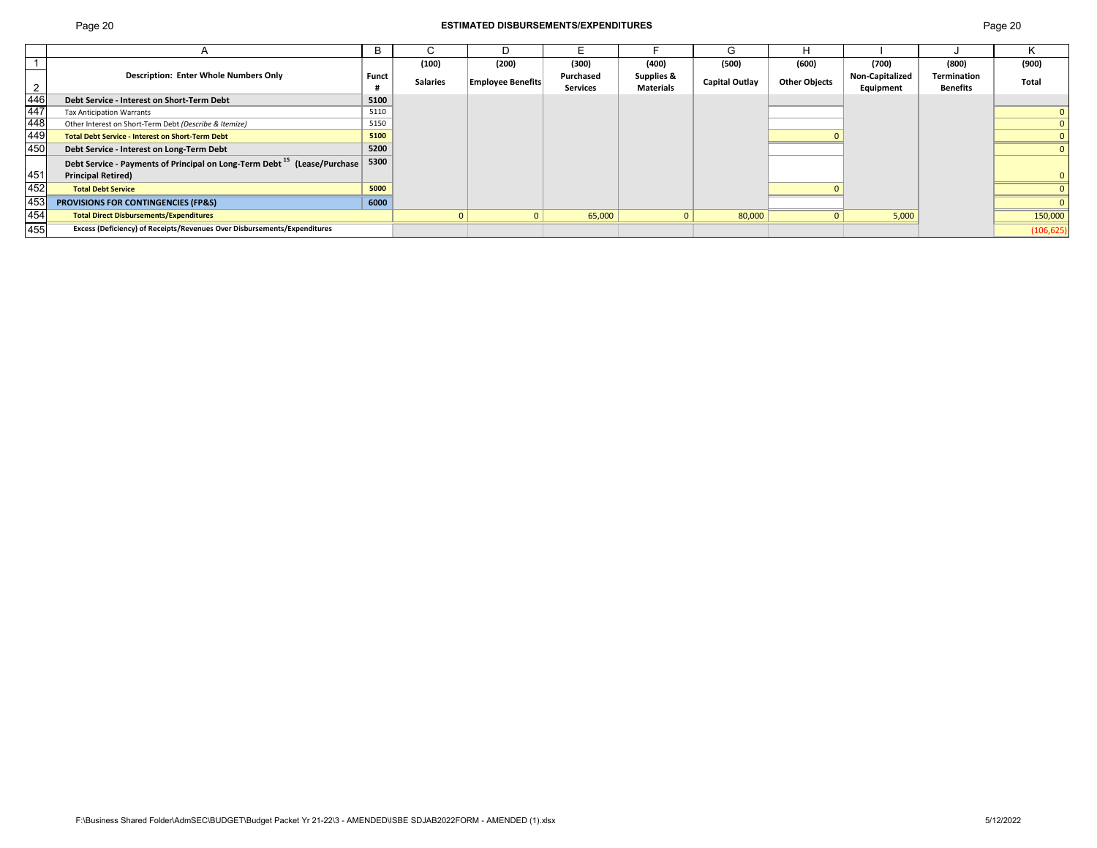## Page 20 **ESTIMATED DISBURSEMENTS/EXPENDITURES** Page 20

|                                     |                                                                                      | в            |                 | D                        |                 |                  | G                     |                      |                        |                 |            |
|-------------------------------------|--------------------------------------------------------------------------------------|--------------|-----------------|--------------------------|-----------------|------------------|-----------------------|----------------------|------------------------|-----------------|------------|
|                                     |                                                                                      |              | (100)           | (200)                    | (300)           | (400)            | (500)                 | (600)                | (700)                  | (800)           | (900)      |
|                                     | <b>Description: Enter Whole Numbers Only</b>                                         | <b>Funct</b> | <b>Salaries</b> | <b>Employee Benefits</b> | Purchased       | Supplies &       | <b>Capital Outlay</b> | <b>Other Objects</b> | <b>Non-Capitalized</b> | Termination     | Total      |
| $\overline{2}$                      |                                                                                      |              |                 |                          | <b>Services</b> | <b>Materials</b> |                       |                      | Equipment              | <b>Benefits</b> |            |
|                                     | Debt Service - Interest on Short-Term Debt                                           | 5100         |                 |                          |                 |                  |                       |                      |                        |                 |            |
|                                     | <b>Tax Anticipation Warrants</b>                                                     | 5110         |                 |                          |                 |                  |                       |                      |                        |                 |            |
|                                     | Other Interest on Short-Term Debt (Describe & Itemize)                               | 5150         |                 |                          |                 |                  |                       |                      |                        |                 |            |
| $\frac{446}{447}$ $\frac{448}{449}$ | <b>Total Debt Service - Interest on Short-Term Debt</b>                              | 5100         |                 |                          |                 |                  |                       |                      |                        |                 |            |
| 450                                 | Debt Service - Interest on Long-Term Debt                                            | 5200         |                 |                          |                 |                  |                       |                      |                        |                 |            |
|                                     | Debt Service - Payments of Principal on Long-Term Debt <sup>15</sup> (Lease/Purchase | 5300         |                 |                          |                 |                  |                       |                      |                        |                 |            |
| 451                                 | <b>Principal Retired)</b>                                                            |              |                 |                          |                 |                  |                       |                      |                        |                 |            |
| 452                                 | <b>Total Debt Service</b>                                                            | 5000         |                 |                          |                 |                  |                       |                      |                        |                 |            |
| 453                                 | PROVISIONS FOR CONTINGENCIES (FP&S)                                                  | 6000         |                 |                          |                 |                  |                       |                      |                        |                 |            |
| 454                                 | <b>Total Direct Disbursements/Expenditures</b>                                       |              |                 |                          | 65,000          | $\Omega$         | 80,000                | $\mathbf{0}$         | 5,000                  |                 | 150,000    |
| 455                                 | Excess (Deficiency) of Receipts/Revenues Over Disbursements/Expenditures             |              |                 |                          |                 |                  |                       |                      |                        |                 | (106, 625) |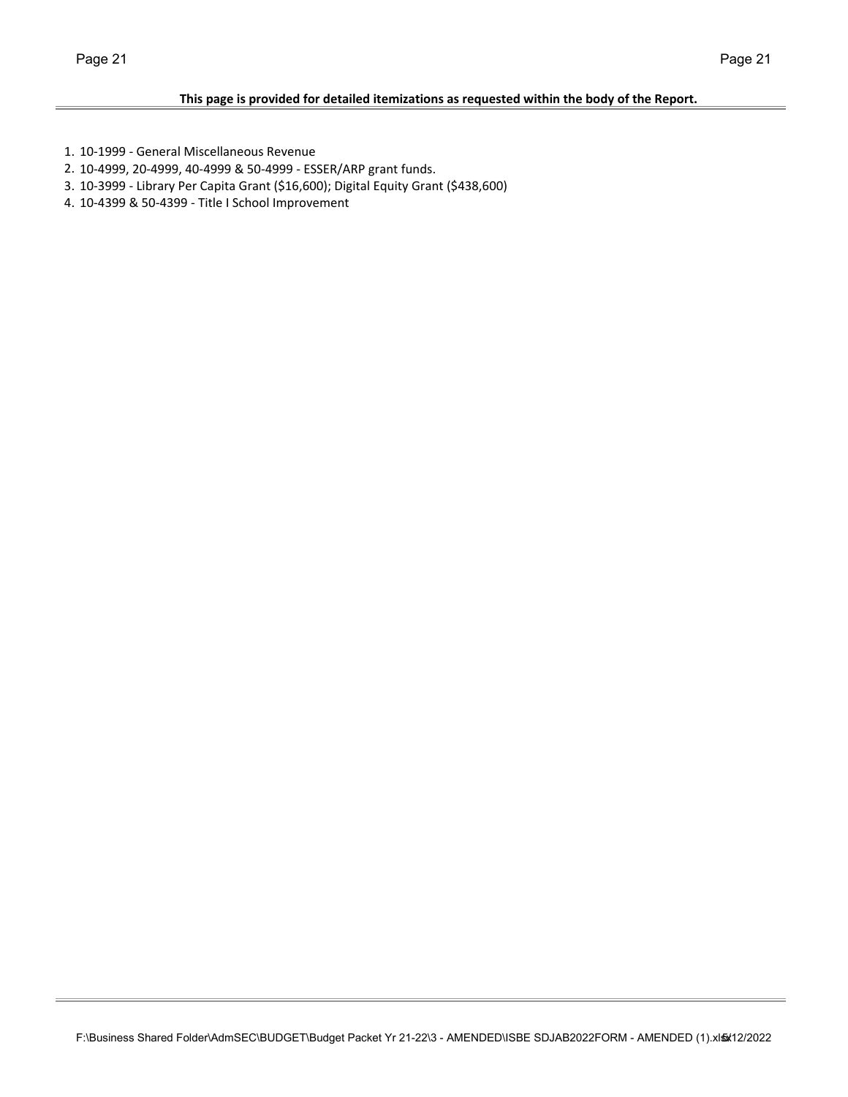- 1. 10‐1999 ‐ General Miscellaneous Revenue
- 2. 10‐4999, 20‐4999, 40‐4999 & 50‐4999 ‐ ESSER/ARP grant funds.
- 3. 10‐3999 ‐ Library Per Capita Grant (\$16,600); Digital Equity Grant (\$438,600)
- 4. 10‐4399 & 50‐4399 ‐ Title I School Improvement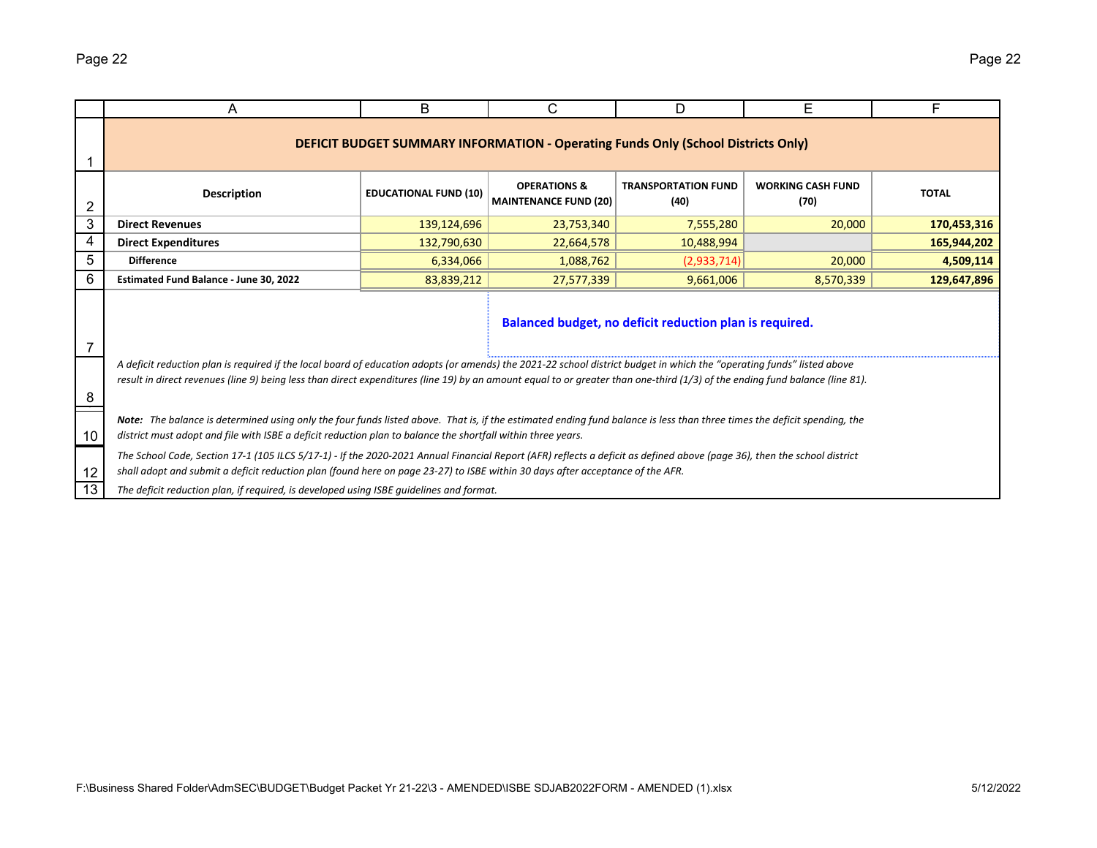|                | A                                                                                                                                                                                                                                                                                                                                                      | B                            | C                                                                                        | D                                                       | Е                                | F            |  |  |  |  |  |  |  |  |
|----------------|--------------------------------------------------------------------------------------------------------------------------------------------------------------------------------------------------------------------------------------------------------------------------------------------------------------------------------------------------------|------------------------------|------------------------------------------------------------------------------------------|---------------------------------------------------------|----------------------------------|--------------|--|--|--|--|--|--|--|--|
|                |                                                                                                                                                                                                                                                                                                                                                        |                              | <b>DEFICIT BUDGET SUMMARY INFORMATION - Operating Funds Only (School Districts Only)</b> |                                                         |                                  |              |  |  |  |  |  |  |  |  |
| $\overline{2}$ | <b>Description</b>                                                                                                                                                                                                                                                                                                                                     | <b>EDUCATIONAL FUND (10)</b> | <b>OPERATIONS &amp;</b><br><b>MAINTENANCE FUND (20)</b>                                  | <b>TRANSPORTATION FUND</b><br>(40)                      | <b>WORKING CASH FUND</b><br>(70) | <b>TOTAL</b> |  |  |  |  |  |  |  |  |
| 3              | <b>Direct Revenues</b>                                                                                                                                                                                                                                                                                                                                 | 139,124,696                  | 23,753,340                                                                               | 7,555,280                                               | 20,000                           | 170,453,316  |  |  |  |  |  |  |  |  |
| 4              | <b>Direct Expenditures</b>                                                                                                                                                                                                                                                                                                                             | 132,790,630                  | 22,664,578                                                                               | 10,488,994                                              |                                  | 165,944,202  |  |  |  |  |  |  |  |  |
| 5              | <b>Difference</b><br>6,334,066<br>4,509,114<br>1,088,762<br>(2,933,714)<br>20,000                                                                                                                                                                                                                                                                      |                              |                                                                                          |                                                         |                                  |              |  |  |  |  |  |  |  |  |
| 6              | Estimated Fund Balance - June 30, 2022<br>83,839,212<br>27,577,339<br>9,661,006<br>129,647,896<br>8,570,339                                                                                                                                                                                                                                            |                              |                                                                                          |                                                         |                                  |              |  |  |  |  |  |  |  |  |
| 7              |                                                                                                                                                                                                                                                                                                                                                        |                              |                                                                                          | Balanced budget, no deficit reduction plan is required. |                                  |              |  |  |  |  |  |  |  |  |
| 8              | A deficit reduction plan is required if the local board of education adopts (or amends) the 2021-22 school district budget in which the "operating funds" listed above<br>result in direct revenues (line 9) being less than direct expenditures (line 19) by an amount equal to or greater than one-third (1/3) of the ending fund balance (line 81). |                              |                                                                                          |                                                         |                                  |              |  |  |  |  |  |  |  |  |
| 10             | Note: The balance is determined using only the four funds listed above. That is, if the estimated ending fund balance is less than three times the deficit spending, the<br>district must adopt and file with ISBE a deficit reduction plan to balance the shortfall within three years.                                                               |                              |                                                                                          |                                                         |                                  |              |  |  |  |  |  |  |  |  |
| 12             | The School Code, Section 17-1 (105 ILCS 5/17-1) - If the 2020-2021 Annual Financial Report (AFR) reflects a deficit as defined above (page 36), then the school district<br>shall adopt and submit a deficit reduction plan (found here on page 23-27) to ISBE within 30 days after acceptance of the AFR.                                             |                              |                                                                                          |                                                         |                                  |              |  |  |  |  |  |  |  |  |
| 13             | The deficit reduction plan, if required, is developed using ISBE quidelines and format.                                                                                                                                                                                                                                                                |                              |                                                                                          |                                                         |                                  |              |  |  |  |  |  |  |  |  |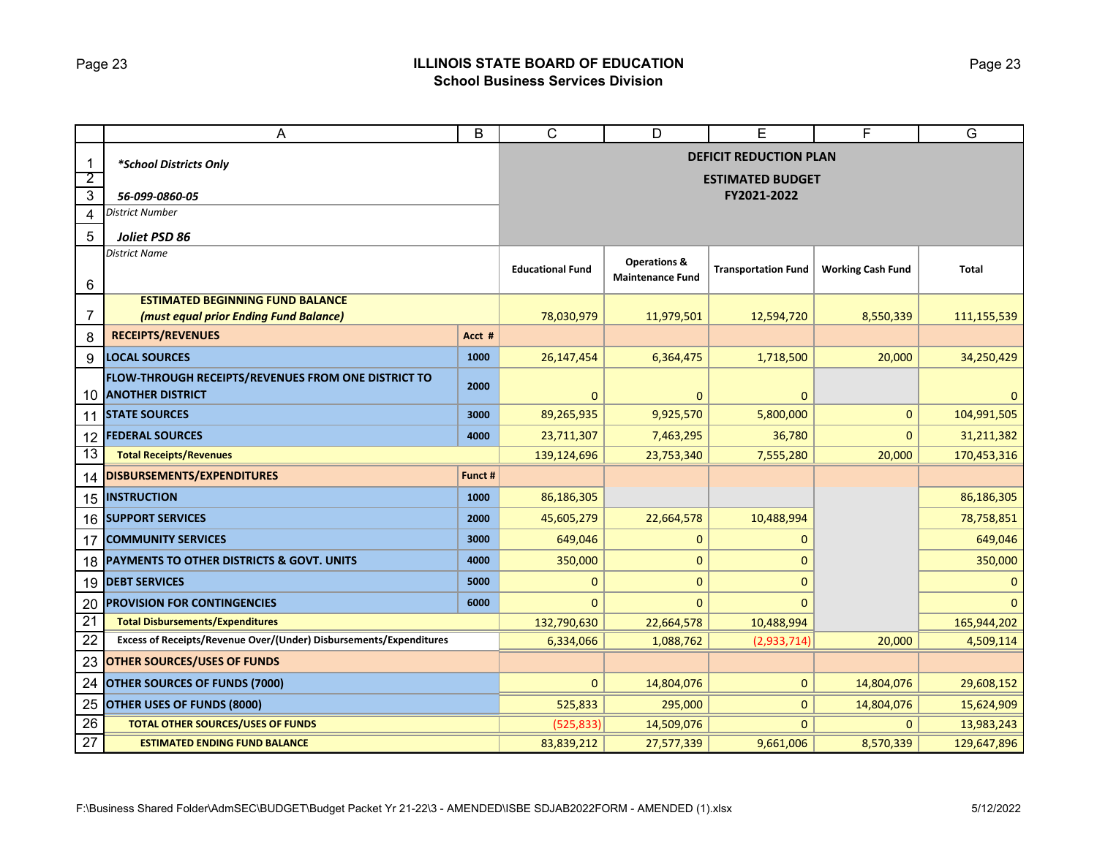# Page 23 **ILLINOIS STATE BOARD OF EDUCATION School Business Services Division**

|                               | A                                                                          | B       | C                       | D                                                  | E                                                        | F                        | $\overline{G}$ |
|-------------------------------|----------------------------------------------------------------------------|---------|-------------------------|----------------------------------------------------|----------------------------------------------------------|--------------------------|----------------|
| $\mathbf 1$<br>$\overline{2}$ | *School Districts Only                                                     |         |                         |                                                    | <b>DEFICIT REDUCTION PLAN</b><br><b>ESTIMATED BUDGET</b> |                          |                |
| 3                             | 56-099-0860-05                                                             |         |                         |                                                    | FY2021-2022                                              |                          |                |
| 4                             | <b>District Number</b>                                                     |         |                         |                                                    |                                                          |                          |                |
| 5                             | Joliet PSD 86                                                              |         |                         |                                                    |                                                          |                          |                |
| $\,6$                         | <b>District Name</b>                                                       |         | <b>Educational Fund</b> | <b>Operations &amp;</b><br><b>Maintenance Fund</b> | <b>Transportation Fund</b>                               | <b>Working Cash Fund</b> | <b>Total</b>   |
|                               | <b>ESTIMATED BEGINNING FUND BALANCE</b>                                    |         |                         |                                                    |                                                          |                          |                |
| 7                             | (must equal prior Ending Fund Balance)                                     |         | 78,030,979              | 11,979,501                                         | 12,594,720                                               | 8,550,339                | 111,155,539    |
| 8                             | <b>RECEIPTS/REVENUES</b>                                                   | Acct #  |                         |                                                    |                                                          |                          |                |
| 9                             | <b>LOCAL SOURCES</b>                                                       | 1000    | 26,147,454              | 6,364,475                                          | 1,718,500                                                | 20,000                   | 34,250,429     |
|                               | FLOW-THROUGH RECEIPTS/REVENUES FROM ONE DISTRICT TO<br>10 ANOTHER DISTRICT | 2000    | 0                       | $\mathbf{0}$                                       | $\mathbf 0$                                              |                          | 0              |
| 11                            | <b>STATE SOURCES</b>                                                       | 3000    | 89,265,935              | 9,925,570                                          | 5,800,000                                                | $\mathbf{0}$             | 104,991,505    |
| 12                            | <b>FEDERAL SOURCES</b>                                                     | 4000    | 23,711,307              | 7,463,295                                          | 36,780                                                   | $\mathbf{0}$             | 31,211,382     |
| 13                            | <b>Total Receipts/Revenues</b>                                             |         | 139,124,696             | 23,753,340                                         | 7,555,280                                                | 20,000                   | 170,453,316    |
| 14                            | DISBURSEMENTS/EXPENDITURES                                                 | Funct # |                         |                                                    |                                                          |                          |                |
| 15                            | <b>INSTRUCTION</b>                                                         | 1000    | 86,186,305              |                                                    |                                                          |                          | 86,186,305     |
|                               | 16 SUPPORT SERVICES                                                        | 2000    | 45,605,279              | 22,664,578                                         | 10,488,994                                               |                          | 78,758,851     |
| 17                            | <b>COMMUNITY SERVICES</b>                                                  | 3000    | 649,046                 | $\mathbf{0}$                                       | 0                                                        |                          | 649,046        |
| 18                            | PAYMENTS TO OTHER DISTRICTS & GOVT. UNITS                                  | 4000    | 350,000                 | $\mathbf 0$                                        | $\Omega$                                                 |                          | 350,000        |
| 19                            | <b>DEBT SERVICES</b>                                                       | 5000    | $\mathbf 0$             | $\mathbf{0}$                                       | $\Omega$                                                 |                          | 0              |
| 20                            | <b>PROVISION FOR CONTINGENCIES</b>                                         | 6000    | 0                       | $\mathbf{0}$                                       | $\mathbf{0}$                                             |                          | $\Omega$       |
| 21                            | <b>Total Disbursements/Expenditures</b>                                    |         | 132,790,630             | 22,664,578                                         | 10,488,994                                               |                          | 165,944,202    |
| 22                            | Excess of Receipts/Revenue Over/(Under) Disbursements/Expenditures         |         | 6,334,066               | 1,088,762                                          | (2,933,714)                                              | 20,000                   | 4,509,114      |
| 23                            | <b>OTHER SOURCES/USES OF FUNDS</b>                                         |         |                         |                                                    |                                                          |                          |                |
| 24                            | <b>OTHER SOURCES OF FUNDS (7000)</b>                                       |         | $\mathbf{0}$            | 14,804,076                                         | $\mathbf{0}$                                             | 14,804,076               | 29,608,152     |
| 25                            | OTHER USES OF FUNDS (8000)                                                 |         | 525,833                 | 295,000                                            | $\mathbf{0}$                                             | 14,804,076               | 15,624,909     |
| 26                            | <b>TOTAL OTHER SOURCES/USES OF FUNDS</b>                                   |         | (525, 833)              | 14,509,076                                         | $\mathbf{0}$                                             | $\mathbf{0}$             | 13,983,243     |
| 27                            | <b>ESTIMATED ENDING FUND BALANCE</b>                                       |         | 83,839,212              | 27,577,339                                         | 9,661,006                                                | 8,570,339                | 129,647,896    |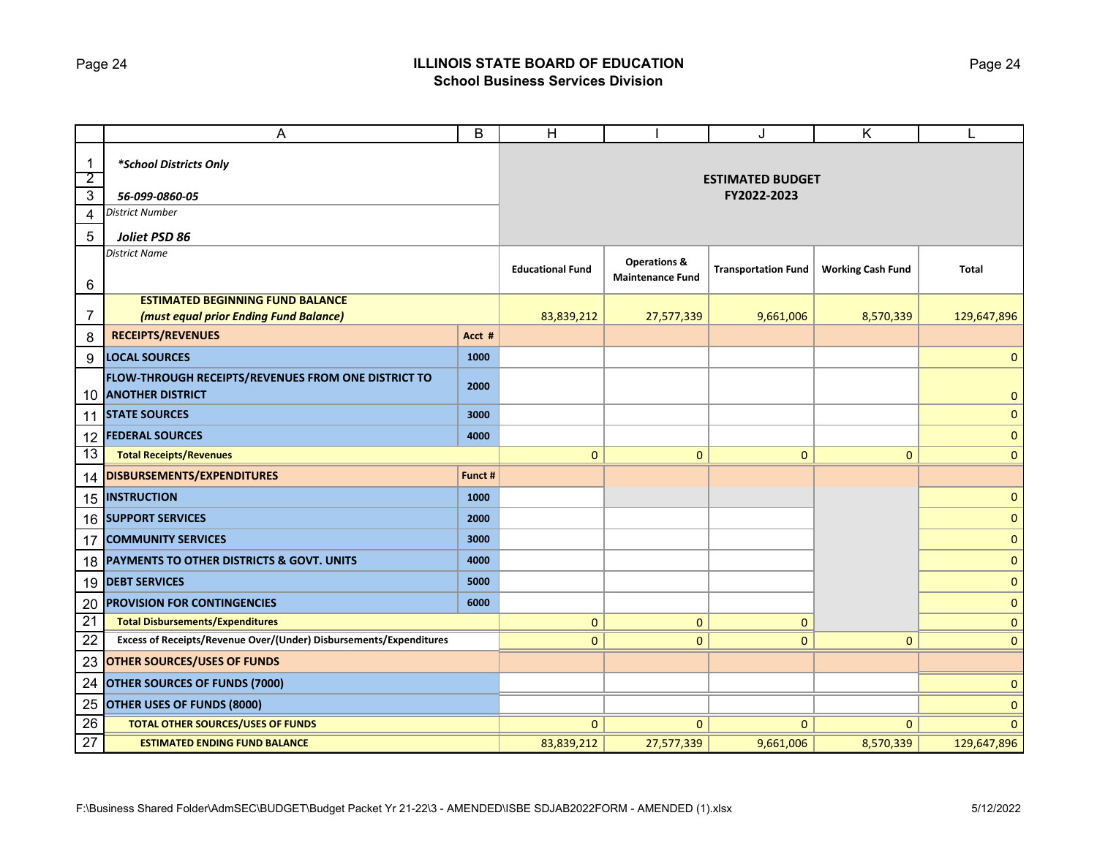# Page 24 **ILLINOIS STATE BOARD OF EDUCATION School Business Services Division**

|                 | A                                                                              | B       | H                       |                                                    | J                          | Κ                        |              |
|-----------------|--------------------------------------------------------------------------------|---------|-------------------------|----------------------------------------------------|----------------------------|--------------------------|--------------|
| $\mathbf{1}$    | *School Districts Only                                                         |         |                         |                                                    |                            |                          |              |
| $\overline{2}$  |                                                                                |         |                         |                                                    | <b>ESTIMATED BUDGET</b>    |                          |              |
| $\overline{3}$  | 56-099-0860-05                                                                 |         |                         |                                                    | FY2022-2023                |                          |              |
| 4               | District Number                                                                |         |                         |                                                    |                            |                          |              |
| 5               | Joliet PSD 86                                                                  |         |                         |                                                    |                            |                          |              |
| 6               | <b>District Name</b>                                                           |         | <b>Educational Fund</b> | <b>Operations &amp;</b><br><b>Maintenance Fund</b> | <b>Transportation Fund</b> | <b>Working Cash Fund</b> | <b>Total</b> |
|                 | <b>ESTIMATED BEGINNING FUND BALANCE</b>                                        |         |                         |                                                    |                            |                          |              |
| 7               | (must equal prior Ending Fund Balance)                                         |         | 83,839,212              | 27,577,339                                         | 9,661,006                  | 8,570,339                | 129,647,896  |
| 8               | <b>RECEIPTS/REVENUES</b>                                                       | Acct #  |                         |                                                    |                            |                          |              |
| 9               | <b>LOCAL SOURCES</b>                                                           | 1000    |                         |                                                    |                            |                          | $\mathbf 0$  |
| 10              | FLOW-THROUGH RECEIPTS/REVENUES FROM ONE DISTRICT TO<br><b>ANOTHER DISTRICT</b> | 2000    |                         |                                                    |                            |                          | $\mathbf{0}$ |
|                 | 11 STATE SOURCES                                                               | 3000    |                         |                                                    |                            |                          | $\mathbf 0$  |
| 12              | <b>FEDERAL SOURCES</b>                                                         | 4000    |                         |                                                    |                            |                          | $\mathbf{0}$ |
| 13              | <b>Total Receipts/Revenues</b>                                                 |         | 0                       | $\mathbf{0}$                                       | 0                          | $\mathbf{0}$             | $\mathbf{0}$ |
| 14              | DISBURSEMENTS/EXPENDITURES                                                     | Funct # |                         |                                                    |                            |                          |              |
|                 | <b>15 INSTRUCTION</b>                                                          | 1000    |                         |                                                    |                            |                          | $\mathbf 0$  |
|                 | <b>16 SUPPORT SERVICES</b>                                                     | 2000    |                         |                                                    |                            |                          | $\mathbf 0$  |
| 17              | <b>COMMUNITY SERVICES</b>                                                      | 3000    |                         |                                                    |                            |                          | $\mathbf{0}$ |
| 18              | PAYMENTS TO OTHER DISTRICTS & GOVT. UNITS                                      | 4000    |                         |                                                    |                            |                          | $\mathbf 0$  |
|                 | 19 DEBT SERVICES                                                               | 5000    |                         |                                                    |                            |                          | $\mathbf 0$  |
| 20              | <b>PROVISION FOR CONTINGENCIES</b>                                             | 6000    |                         |                                                    |                            |                          | $\mathbf{0}$ |
| $\overline{21}$ | <b>Total Disbursements/Expenditures</b>                                        |         | 0                       | $\mathbf{0}$                                       | 0                          |                          | $\mathbf{0}$ |
| 22              | Excess of Receipts/Revenue Over/(Under) Disbursements/Expenditures             |         | $\mathbf{0}$            | $\mathbf{0}$                                       | $\mathbf{0}$               | $\mathbf{0}$             | $\mathbf{0}$ |
| 23              | <b>OTHER SOURCES/USES OF FUNDS</b>                                             |         |                         |                                                    |                            |                          |              |
| 24              | <b>OTHER SOURCES OF FUNDS (7000)</b>                                           |         |                         |                                                    |                            |                          | $\pmb{0}$    |
| 25              | <b>OTHER USES OF FUNDS (8000)</b>                                              |         |                         |                                                    |                            |                          | $\mathbf 0$  |
| 26              | <b>TOTAL OTHER SOURCES/USES OF FUNDS</b>                                       |         | $\mathbf{0}$            | $\mathbf{0}$                                       | $\mathbf{0}$               | $\Omega$                 | $\mathbf{0}$ |
| $\overline{27}$ | <b>ESTIMATED ENDING FUND BALANCE</b>                                           |         | 83,839,212              | 27,577,339                                         | 9,661,006                  | 8,570,339                | 129,647,896  |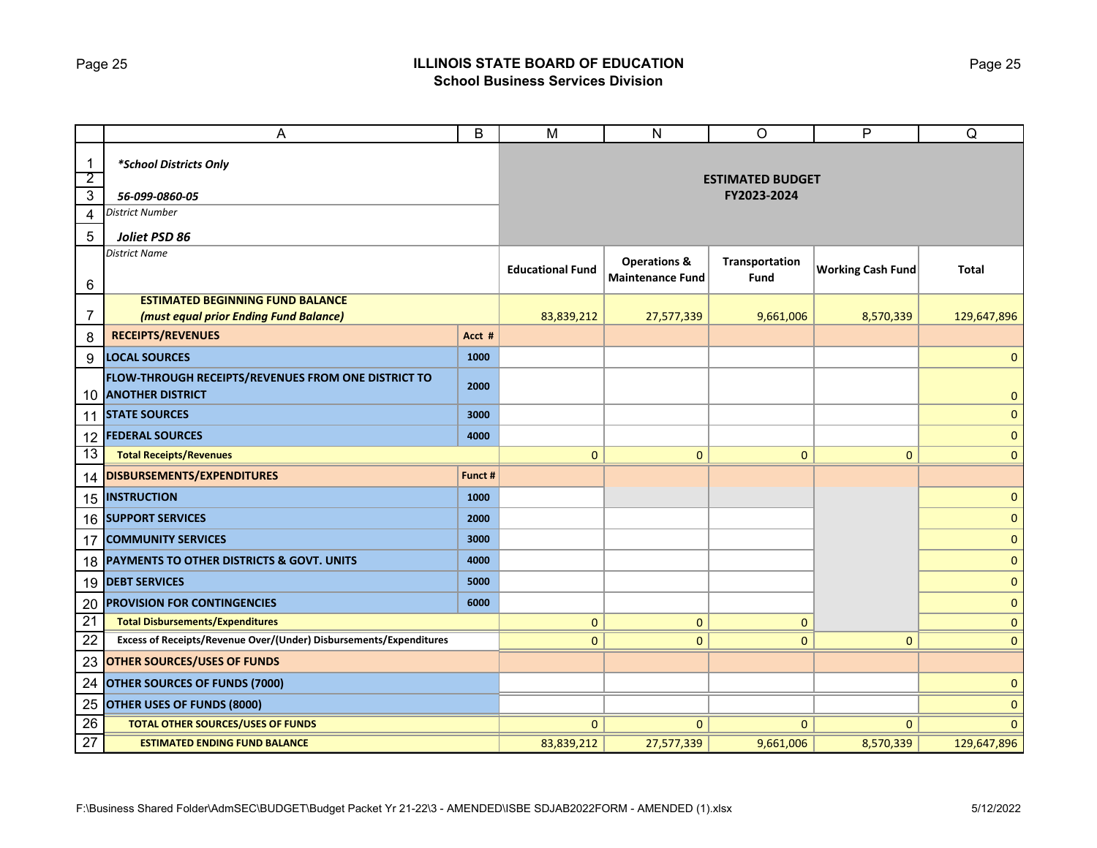## Page 25 **ILLINOIS STATE BOARD OF EDUCATION School Business Services Division**

|                                | A                                                                              | $\sf B$ | M                       | ${\sf N}$                                          | $\circ$                | P                        | Q            |  |
|--------------------------------|--------------------------------------------------------------------------------|---------|-------------------------|----------------------------------------------------|------------------------|--------------------------|--------------|--|
| $\mathbf{1}$<br>$\overline{2}$ | *School Districts Only                                                         |         | <b>ESTIMATED BUDGET</b> |                                                    |                        |                          |              |  |
| $\overline{3}$                 | 56-099-0860-05                                                                 |         |                         | FY2023-2024                                        |                        |                          |              |  |
| 4                              | District Number                                                                |         |                         |                                                    |                        |                          |              |  |
| 5                              | Joliet PSD 86                                                                  |         |                         |                                                    |                        |                          |              |  |
| 6                              | <b>District Name</b>                                                           |         | <b>Educational Fund</b> | <b>Operations &amp;</b><br><b>Maintenance Fund</b> | Transportation<br>Fund | <b>Working Cash Fund</b> | <b>Total</b> |  |
|                                | <b>ESTIMATED BEGINNING FUND BALANCE</b>                                        |         |                         |                                                    |                        |                          |              |  |
| 7                              | (must equal prior Ending Fund Balance)                                         |         | 83,839,212              | 27,577,339                                         | 9,661,006              | 8,570,339                | 129,647,896  |  |
| 8                              | <b>RECEIPTS/REVENUES</b>                                                       | Acct #  |                         |                                                    |                        |                          |              |  |
| 9                              | <b>LOCAL SOURCES</b>                                                           | 1000    |                         |                                                    |                        |                          | $\mathbf 0$  |  |
| 10                             | FLOW-THROUGH RECEIPTS/REVENUES FROM ONE DISTRICT TO<br><b>ANOTHER DISTRICT</b> | 2000    |                         |                                                    |                        |                          | $\mathbf{0}$ |  |
|                                | <b>11 STATE SOURCES</b>                                                        | 3000    |                         |                                                    |                        |                          | $\mathbf 0$  |  |
| 12                             | <b>FEDERAL SOURCES</b>                                                         | 4000    |                         |                                                    |                        |                          | $\mathbf{0}$ |  |
| 13                             | <b>Total Receipts/Revenues</b>                                                 |         | $\mathbf{0}$            | $\mathbf{0}$                                       | $\mathbf 0$            | $\mathbf{0}$             | $\mathbf{0}$ |  |
| 14                             | DISBURSEMENTS/EXPENDITURES                                                     | Funct # |                         |                                                    |                        |                          |              |  |
|                                | 15  INSTRUCTION                                                                | 1000    |                         |                                                    |                        |                          | $\mathbf{0}$ |  |
|                                | 16 SUPPORT SERVICES                                                            | 2000    |                         |                                                    |                        |                          | $\mathbf{0}$ |  |
| 17                             | <b>COMMUNITY SERVICES</b>                                                      | 3000    |                         |                                                    |                        |                          | $\mathbf{0}$ |  |
|                                | 18 PAYMENTS TO OTHER DISTRICTS & GOVT. UNITS                                   | 4000    |                         |                                                    |                        |                          | $\mathbf{0}$ |  |
|                                | 19 DEBT SERVICES                                                               | 5000    |                         |                                                    |                        |                          | $\mathbf 0$  |  |
| 20                             | <b>PROVISION FOR CONTINGENCIES</b>                                             | 6000    |                         |                                                    |                        |                          | $\mathbf{0}$ |  |
| $\overline{21}$                | <b>Total Disbursements/Expenditures</b>                                        |         | $\mathbf{0}$            | $\mathbf 0$                                        | $\mathbf{0}$           |                          | $\mathbf 0$  |  |
| 22                             | Excess of Receipts/Revenue Over/(Under) Disbursements/Expenditures             |         | $\mathbf{0}$            | $\mathbf{0}$                                       | $\mathbf{0}$           | $\mathbf{0}$             | $\mathbf{0}$ |  |
| 23                             | <b>OTHER SOURCES/USES OF FUNDS</b>                                             |         |                         |                                                    |                        |                          |              |  |
| 24                             | <b>OTHER SOURCES OF FUNDS (7000)</b>                                           |         |                         |                                                    |                        |                          | $\pmb{0}$    |  |
| 25                             | <b>OTHER USES OF FUNDS (8000)</b>                                              |         |                         |                                                    |                        |                          | $\mathbf 0$  |  |
| 26                             | <b>TOTAL OTHER SOURCES/USES OF FUNDS</b>                                       |         | $\overline{0}$          | $\mathbf{0}$                                       | $\mathbf{0}$           | $\Omega$                 | $\mathbf{0}$ |  |
| 27                             | <b>ESTIMATED ENDING FUND BALANCE</b>                                           |         | 83,839,212              | 27,577,339                                         | 9,661,006              | 8,570,339                | 129,647,896  |  |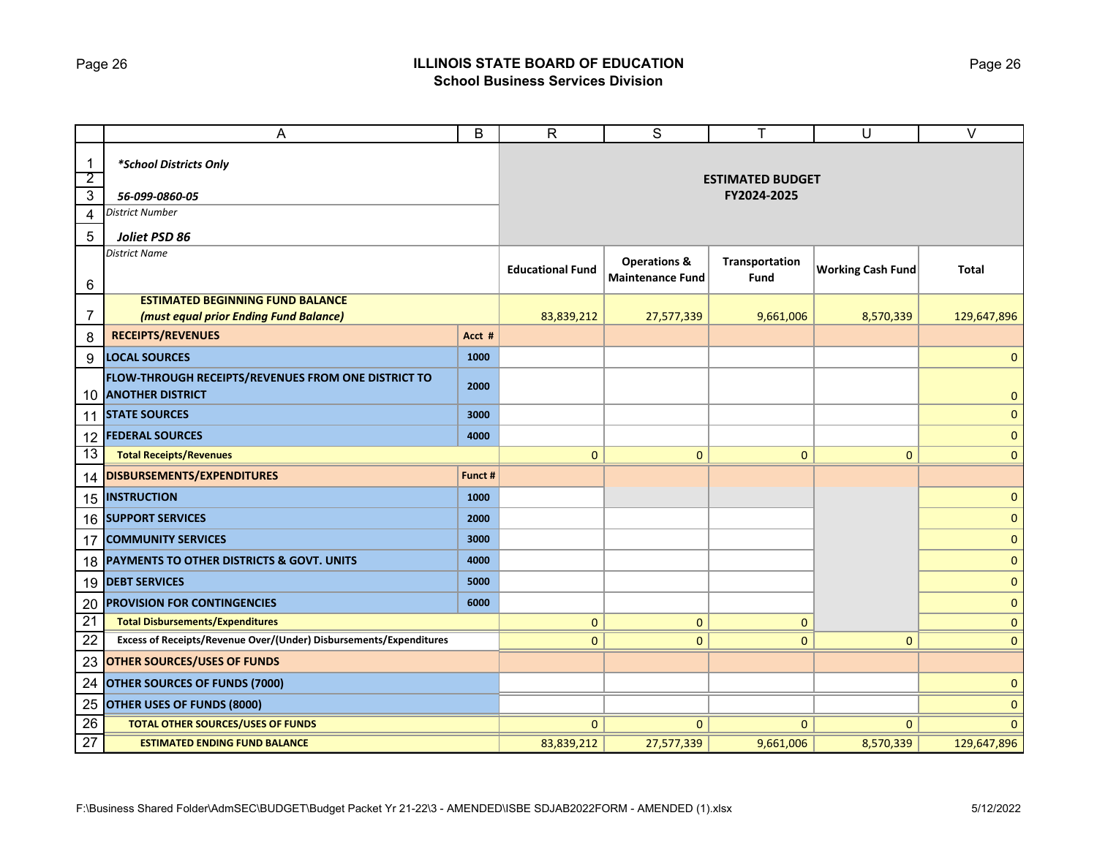# Page 26 **ILLINOIS STATE BOARD OF EDUCATION School Business Services Division**

|                 | A                                                                              | B       | $\mathsf{R}$            | S                                                  | т                       | U                        | $\overline{\vee}$ |
|-----------------|--------------------------------------------------------------------------------|---------|-------------------------|----------------------------------------------------|-------------------------|--------------------------|-------------------|
| $\mathbf{1}$    | *School Districts Only                                                         |         |                         |                                                    |                         |                          |                   |
| $\overline{2}$  |                                                                                |         |                         |                                                    | <b>ESTIMATED BUDGET</b> |                          |                   |
| $\overline{3}$  | 56-099-0860-05                                                                 |         |                         | FY2024-2025                                        |                         |                          |                   |
| 4               | <b>District Number</b>                                                         |         |                         |                                                    |                         |                          |                   |
| 5               | Joliet PSD 86                                                                  |         |                         |                                                    |                         |                          |                   |
| 6               | <b>District Name</b>                                                           |         | <b>Educational Fund</b> | <b>Operations &amp;</b><br><b>Maintenance Fund</b> | Transportation<br>Fund  | <b>Working Cash Fund</b> | <b>Total</b>      |
|                 | <b>ESTIMATED BEGINNING FUND BALANCE</b>                                        |         |                         |                                                    |                         |                          |                   |
| 7               | (must equal prior Ending Fund Balance)                                         |         | 83,839,212              | 27,577,339                                         | 9,661,006               | 8,570,339                | 129,647,896       |
| 8               | <b>RECEIPTS/REVENUES</b>                                                       | Acct #  |                         |                                                    |                         |                          |                   |
| 9               | <b>LOCAL SOURCES</b>                                                           | 1000    |                         |                                                    |                         |                          | $\mathbf{0}$      |
| 10              | FLOW-THROUGH RECEIPTS/REVENUES FROM ONE DISTRICT TO<br><b>ANOTHER DISTRICT</b> | 2000    |                         |                                                    |                         |                          | $\mathbf{0}$      |
| 11              | <b>STATE SOURCES</b>                                                           | 3000    |                         |                                                    |                         |                          | $\mathbf{0}$      |
| 12              | <b>FEDERAL SOURCES</b>                                                         | 4000    |                         |                                                    |                         |                          | $\mathbf{0}$      |
| 13              | <b>Total Receipts/Revenues</b>                                                 |         | $\mathbf{0}$            | $\mathbf{0}$                                       | $\mathbf{0}$            | $\mathbf{0}$             | $\mathbf{0}$      |
| 14              | DISBURSEMENTS/EXPENDITURES                                                     | Funct # |                         |                                                    |                         |                          |                   |
|                 | <b>15 INSTRUCTION</b>                                                          | 1000    |                         |                                                    |                         |                          | $\mathbf{0}$      |
|                 | 16 SUPPORT SERVICES                                                            | 2000    |                         |                                                    |                         |                          | $\mathbf{0}$      |
| 17              | <b>COMMUNITY SERVICES</b>                                                      | 3000    |                         |                                                    |                         |                          | $\mathbf{0}$      |
| 18              | PAYMENTS TO OTHER DISTRICTS & GOVT. UNITS                                      | 4000    |                         |                                                    |                         |                          | $\mathbf{0}$      |
|                 | 19 DEBT SERVICES                                                               | 5000    |                         |                                                    |                         |                          | $\mathbf{0}$      |
| 20              | <b>PROVISION FOR CONTINGENCIES</b>                                             | 6000    |                         |                                                    |                         |                          | $\mathbf{0}$      |
| $\overline{21}$ | <b>Total Disbursements/Expenditures</b>                                        |         | $\mathbf{0}$            | $\mathbf{0}$                                       | $\mathbf{0}$            |                          | $\mathbf{0}$      |
| 22              | Excess of Receipts/Revenue Over/(Under) Disbursements/Expenditures             |         | $\mathbf{0}$            | $\mathbf{0}$                                       | $\mathbf{0}$            | $\mathbf{0}$             | $\mathbf{0}$      |
| 23              | <b>OTHER SOURCES/USES OF FUNDS</b>                                             |         |                         |                                                    |                         |                          |                   |
| 24              | <b>OTHER SOURCES OF FUNDS (7000)</b>                                           |         |                         |                                                    |                         |                          | $\mathbf{0}$      |
| 25              | <b>OTHER USES OF FUNDS (8000)</b>                                              |         |                         |                                                    |                         |                          | 0                 |
| 26              | <b>TOTAL OTHER SOURCES/USES OF FUNDS</b>                                       |         | $\mathbf{0}$            | $\mathbf{0}$                                       | $\mathbf{0}$            | $\Omega$                 | $\overline{0}$    |
| 27              | <b>ESTIMATED ENDING FUND BALANCE</b>                                           |         | 83,839,212              | 27,577,339                                         | 9,661,006               | 8,570,339                | 129,647,896       |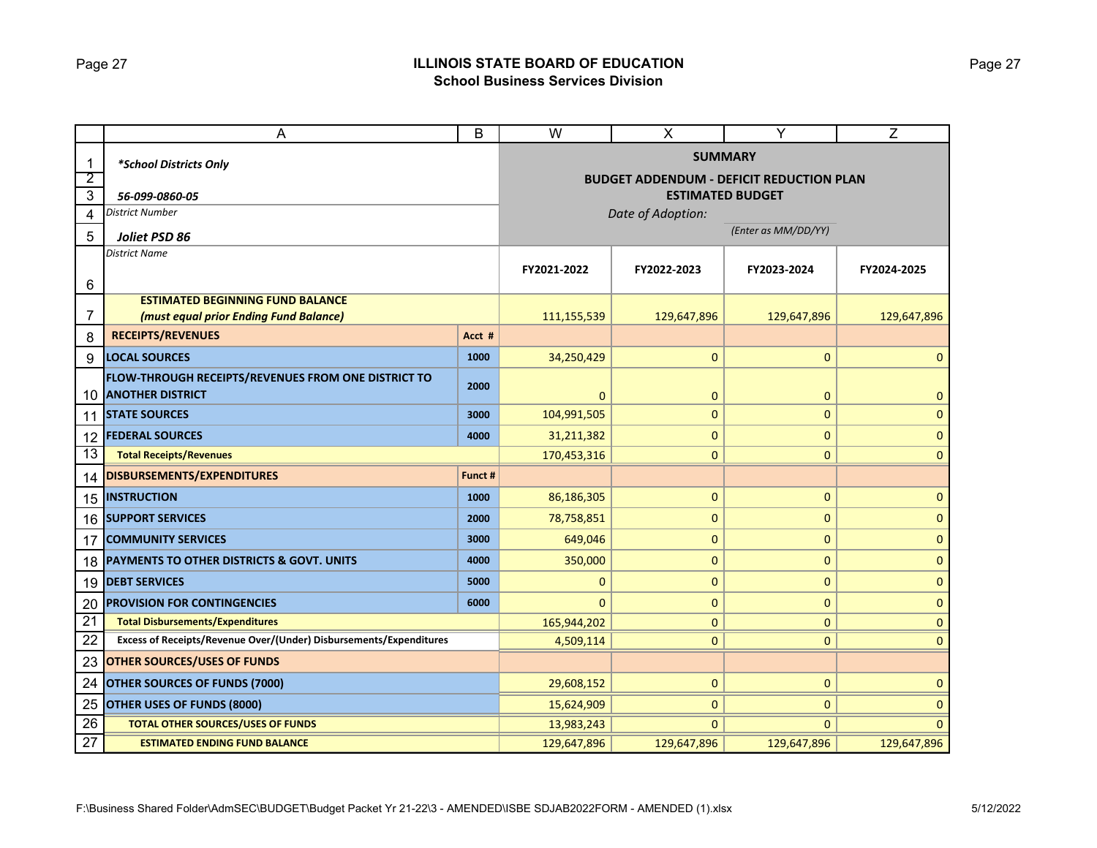# Page 27 **ILLINOIS STATE BOARD OF EDUCATION School Business Services Division**

|                                | A                                                                              |                         | W                                                                 | $\pmb{\times}$ | Y            | Z            |  |
|--------------------------------|--------------------------------------------------------------------------------|-------------------------|-------------------------------------------------------------------|----------------|--------------|--------------|--|
| $\mathbf{1}$<br>$\overline{2}$ | *School Districts Only                                                         |                         | <b>SUMMARY</b><br><b>BUDGET ADDENDUM - DEFICIT REDUCTION PLAN</b> |                |              |              |  |
| 3                              | 56-099-0860-05                                                                 | <b>ESTIMATED BUDGET</b> |                                                                   |                |              |              |  |
| 4                              | District Number                                                                |                         | Date of Adoption:                                                 |                |              |              |  |
| 5                              | Joliet PSD 86                                                                  |                         | (Enter as MM/DD/YY)                                               |                |              |              |  |
| 6                              | District Name                                                                  | FY2021-2022             | FY2022-2023                                                       | FY2023-2024    | FY2024-2025  |              |  |
|                                | <b>ESTIMATED BEGINNING FUND BALANCE</b>                                        |                         |                                                                   |                |              |              |  |
| 7                              | (must equal prior Ending Fund Balance)                                         | 111,155,539             | 129,647,896                                                       | 129,647,896    | 129,647,896  |              |  |
| 8                              | <b>RECEIPTS/REVENUES</b>                                                       | Acct #                  |                                                                   |                |              |              |  |
| 9                              | <b>LOCAL SOURCES</b>                                                           | 1000                    | 34,250,429                                                        | $\mathbf 0$    | 0            | $\mathbf{0}$ |  |
| 10                             | FLOW-THROUGH RECEIPTS/REVENUES FROM ONE DISTRICT TO<br><b>ANOTHER DISTRICT</b> | 2000                    | $\mathbf 0$                                                       | $\mathbf 0$    | 0            | $\mathbf 0$  |  |
| 11                             | <b>STATE SOURCES</b>                                                           | 3000                    | 104,991,505                                                       | $\pmb{0}$      | 0            | $\mathbf{0}$ |  |
| 12                             | <b>FEDERAL SOURCES</b>                                                         | 4000                    | 31,211,382                                                        | 0              | 0            | $\mathbf 0$  |  |
| 13                             | <b>Total Receipts/Revenues</b>                                                 | 170,453,316             | $\mathbf{0}$                                                      | $\mathbf{0}$   | $\mathbf 0$  |              |  |
| 14                             | <b>DISBURSEMENTS/EXPENDITURES</b>                                              | Funct #                 |                                                                   |                |              |              |  |
| 15                             | <b>INSTRUCTION</b>                                                             | 1000                    | 86,186,305                                                        | $\pmb{0}$      | 0            | $\mathbf 0$  |  |
| 16                             | <b>SUPPORT SERVICES</b>                                                        | 2000                    | 78,758,851                                                        | $\mathbf{0}$   | 0            | $\mathbf{0}$ |  |
| 17                             | <b>COMMUNITY SERVICES</b>                                                      | 3000                    | 649,046                                                           | $\mathbf 0$    | 0            | $\mathbf 0$  |  |
| 18                             | PAYMENTS TO OTHER DISTRICTS & GOVT. UNITS                                      | 4000                    | 350,000                                                           | $\pmb{0}$      | 0            | $\mathbf 0$  |  |
| 19                             | <b>DEBT SERVICES</b>                                                           | 5000                    | $\mathbf{0}$                                                      | $\mathbf 0$    | $\pmb{0}$    | $\mathbf 0$  |  |
| 20                             | <b>PROVISION FOR CONTINGENCIES</b>                                             | 6000                    | $\Omega$                                                          | 0              | 0            | $\mathbf 0$  |  |
| 21                             | <b>Total Disbursements/Expenditures</b>                                        | 165,944,202             | $\pmb{0}$                                                         | 0              | $\mathbf{0}$ |              |  |
| 22                             | Excess of Receipts/Revenue Over/(Under) Disbursements/Expenditures             |                         | 4,509,114                                                         | $\mathbf{0}$   | $\mathbf{0}$ | $\mathbf{0}$ |  |
| 23                             | <b>OTHER SOURCES/USES OF FUNDS</b>                                             |                         |                                                                   |                |              |              |  |
| 24                             | <b>OTHER SOURCES OF FUNDS (7000)</b>                                           | 29,608,152              | $\mathbf{0}$                                                      | 0              | $\mathbf{0}$ |              |  |
| 25                             | OTHER USES OF FUNDS (8000)                                                     | 15,624,909              | $\mathbf{0}$                                                      | $\mathbf{0}$   | $\Omega$     |              |  |
| 26                             | <b>TOTAL OTHER SOURCES/USES OF FUNDS</b>                                       |                         | 13,983,243                                                        | $\mathbf{0}$   | $\mathbf{0}$ | $\Omega$     |  |
| 27                             | <b>ESTIMATED ENDING FUND BALANCE</b>                                           |                         | 129,647,896                                                       | 129,647,896    | 129,647,896  | 129,647,896  |  |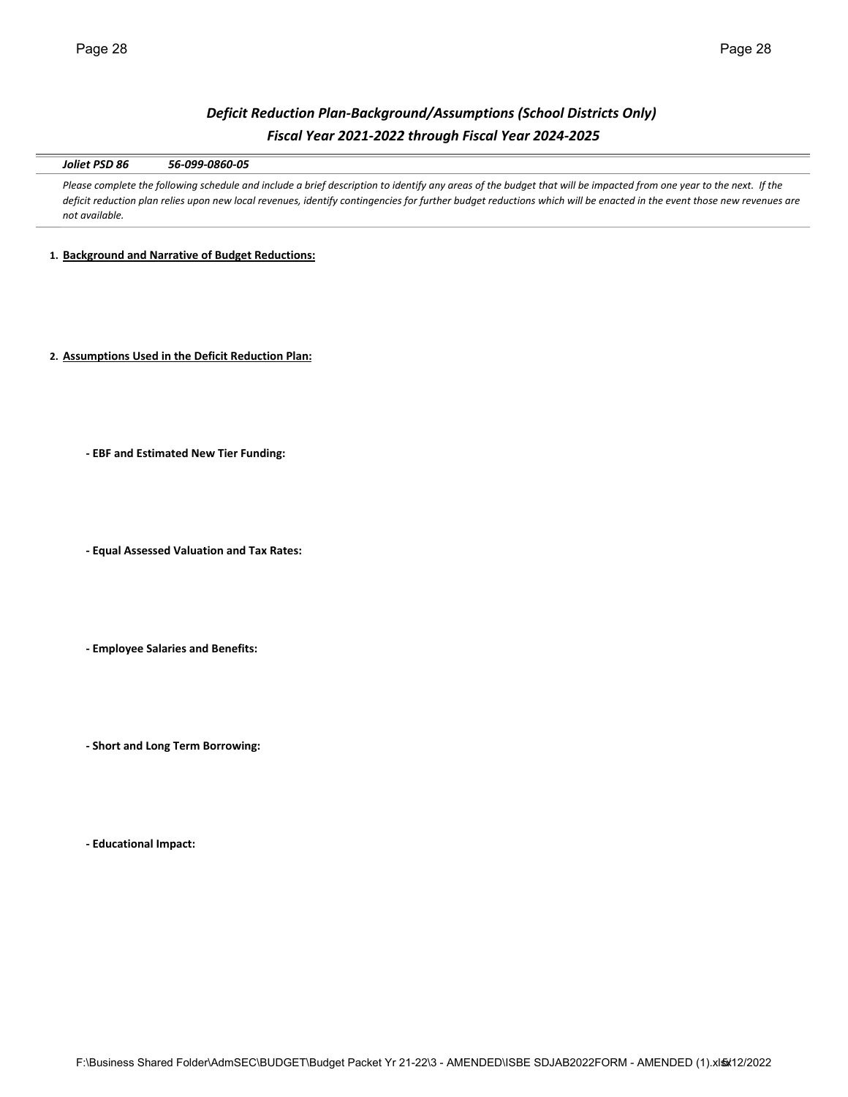# *Deficit Reduction Plan‐Background/Assumptions (School Districts Only) Fiscal Year 2021‐2022 through Fiscal Year 2024‐2025*

*Joliet PSD 86 56‐099‐0860‐05*

Please complete the following schedule and include a brief description to identify any areas of the budget that will be impacted from one year to the next. If the *deficit reduction plan relies upon new local revenues, identify contingencies for further budget reductions which will be enacted in the event those new revenues are not available.* 

**1. Background and Narrative of Budget Reductions:**

**2. Assumptions Used in the Deficit Reduction Plan:**

**‐ EBF and Estimated New Tier Funding:**

**‐ Equal Assessed Valuation and Tax Rates:**

**‐ Employee Salaries and Benefits:**

**‐ Short and Long Term Borrowing:**

**‐ Educational Impact:**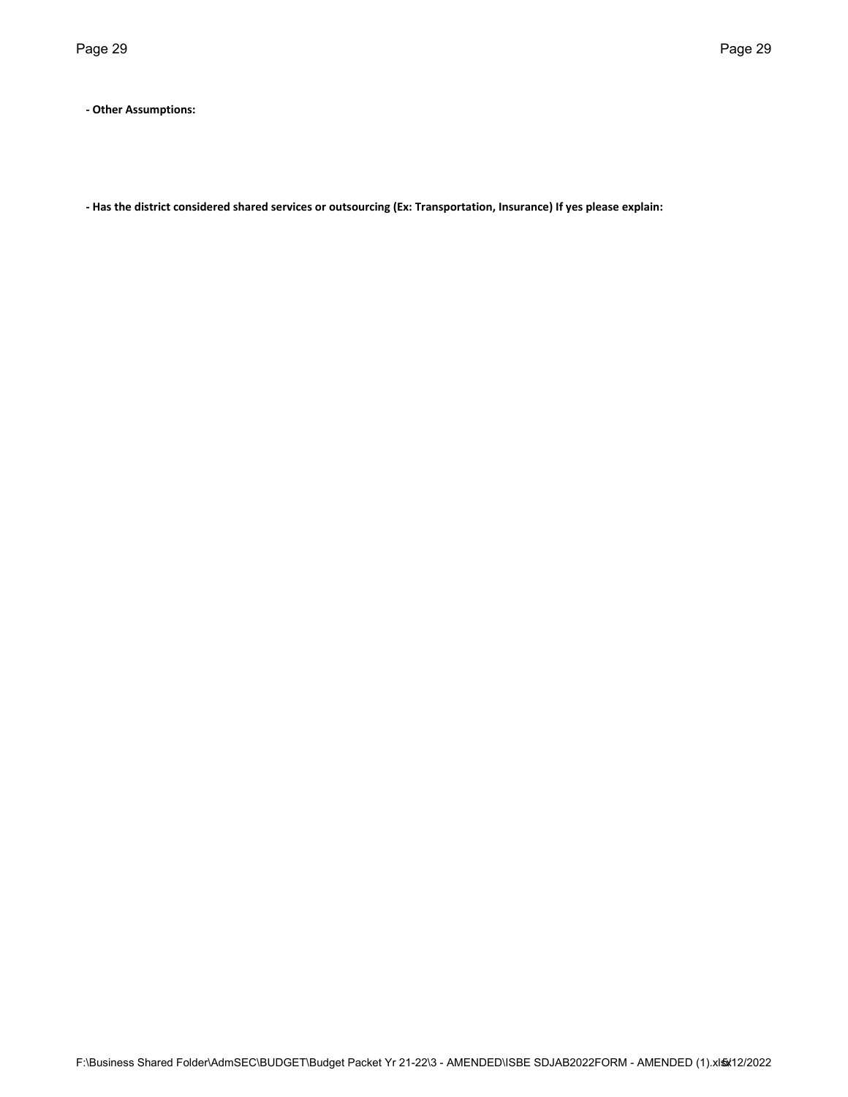**‐ Other Assumptions:**

**‐ Has the district considered shared services or outsourcing (Ex: Transportation, Insurance) If yes please explain:**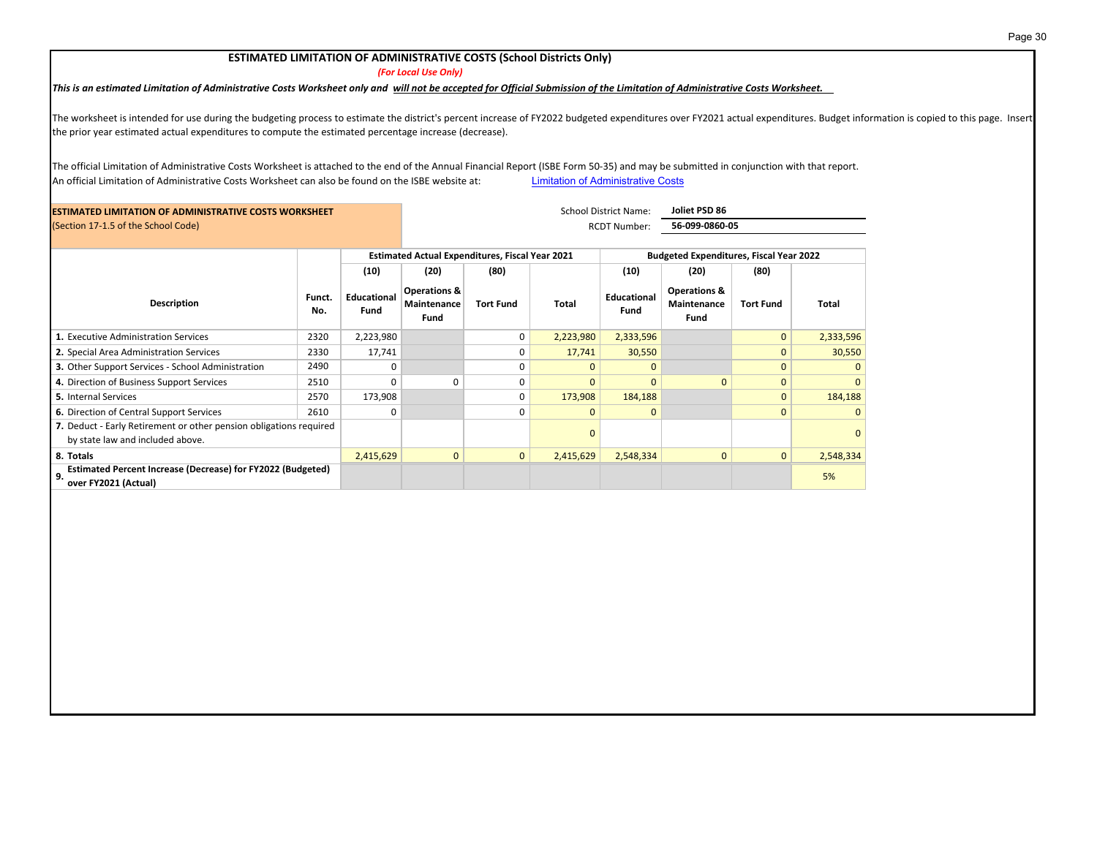#### **ESTIMATED LIMITATION OF ADMINISTRATIVE COSTS (School Districts Only)**

*(For Local Use Only)*

This is an estimated Limitation of Administrative Costs Worksheet only and will not be accepted for Official Submission of the Limitation of Administrative Costs Worksheet.

The worksheet is intended for use during the budgeting process to estimate the district's percent increase of FY2022 budgeted expenditures over FY2021 actual expenditures. Budget information is copied to this page. Insert the prior year estimated actual expenditures to compute the estimated percentage increase (decrease).

The official Limitation of Administrative Costs Worksheet is attached to the end of the Annual Financial Report (ISBE Form 50‐35) and may be submitted in conjunction with that report. An official Limitation of Administrative Costs Worksheet can also be found on the ISBE website at: Limitation of Administrative Costs

| <b>ESTIMATED LIMITATION OF ADMINISTRATIVE COSTS WORKSHEET</b>                                          |               |                     | <b>School District Name:</b>                           |                  |           | Joliet PSD 86                                  |                                                |                  |           |
|--------------------------------------------------------------------------------------------------------|---------------|---------------------|--------------------------------------------------------|------------------|-----------|------------------------------------------------|------------------------------------------------|------------------|-----------|
| (Section 17-1.5 of the School Code)                                                                    |               |                     | RCDT Number:                                           |                  |           | 56-099-0860-05                                 |                                                |                  |           |
|                                                                                                        |               |                     | <b>Estimated Actual Expenditures, Fiscal Year 2021</b> |                  |           | <b>Budgeted Expenditures, Fiscal Year 2022</b> |                                                |                  |           |
|                                                                                                        |               | (10)                | (20)                                                   | (80)             |           | (10)                                           | (20)                                           | (80)             |           |
| Description                                                                                            | Funct.<br>No. | Educational<br>Fund | <b>Operations &amp;</b><br>Maintenance<br>Fund         | <b>Tort Fund</b> | Total     | Educational<br>Fund                            | <b>Operations &amp;</b><br>Maintenance<br>Fund | <b>Tort Fund</b> | Total     |
| 1. Executive Administration Services                                                                   | 2320          | 2,223,980           |                                                        | 0                | 2,223,980 | 2,333,596                                      |                                                | $\mathbf{0}$     | 2,333,596 |
| 2. Special Area Administration Services                                                                | 2330          | 17,741              |                                                        | $\Omega$         | 17,741    | 30,550                                         |                                                | $\mathbf{0}$     | 30,550    |
| 3. Other Support Services - School Administration                                                      | 2490          | 0                   |                                                        | $\Omega$         | n         | $\Omega$                                       |                                                | $\Omega$         |           |
| 4. Direction of Business Support Services                                                              | 2510          | $\Omega$            | 0                                                      | $\Omega$         | $\Omega$  | $\Omega$                                       | $\Omega$                                       | $\mathbf{0}$     |           |
| <b>5.</b> Internal Services                                                                            | 2570          | 173,908             |                                                        | 0                | 173,908   | 184,188                                        |                                                | $\mathbf{0}$     | 184,188   |
| 6. Direction of Central Support Services                                                               | 2610          | $\Omega$            |                                                        | $\Omega$         | $\Omega$  | $\mathbf{0}$                                   |                                                | $\Omega$         |           |
| 7. Deduct - Early Retirement or other pension obligations required<br>by state law and included above. |               |                     |                                                        |                  | $\Omega$  |                                                |                                                |                  |           |
| 8. Totals                                                                                              |               | 2,415,629           | $\mathbf{0}$                                           | $\mathbf{0}$     | 2,415,629 | 2,548,334                                      | $\mathbf{0}$                                   | $\mathbf{0}$     | 2,548,334 |
| Estimated Percent Increase (Decrease) for FY2022 (Budgeted)<br>9.<br>over FY2021 (Actual)              |               |                     |                                                        |                  |           |                                                |                                                |                  | 5%        |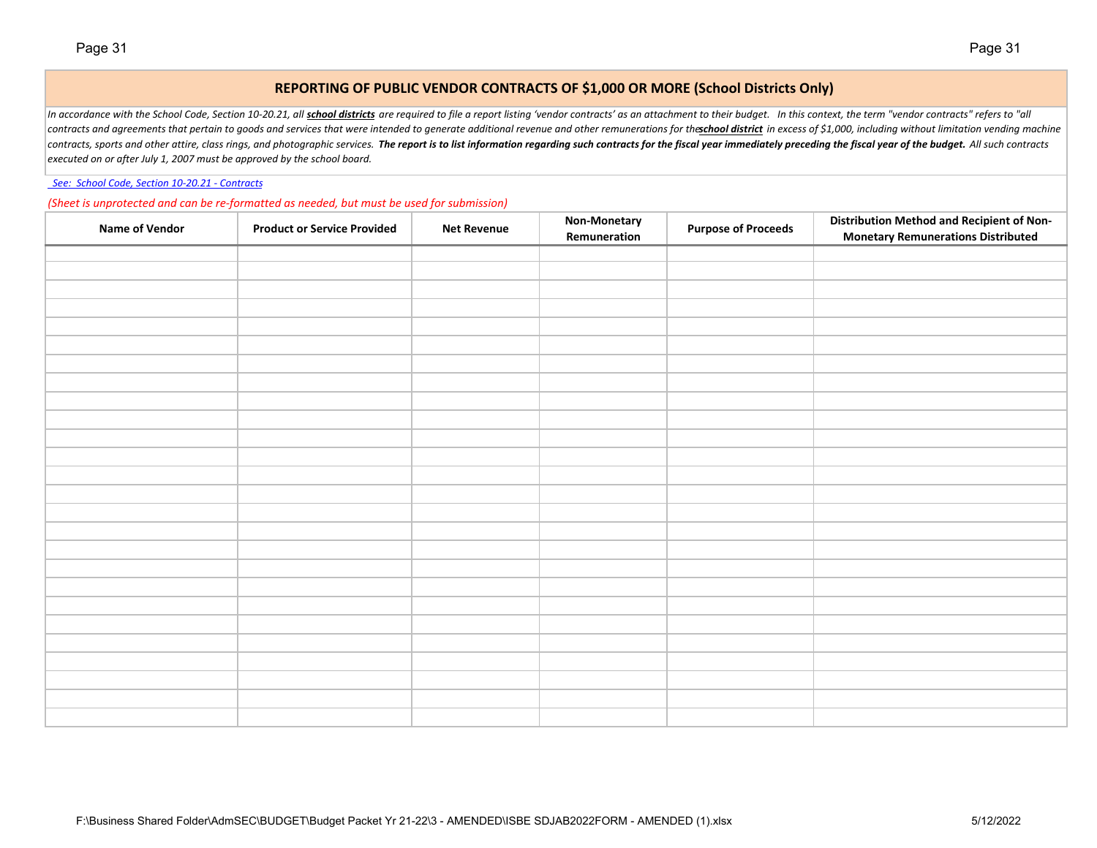## **REPORTING OF PUBLIC VENDOR CONTRACTS OF \$1,000 OR MORE (School Districts Only)**

In accordance with the School Code, Section 10-20.21, all school districts are required to file a report listing 'vendor contracts' as an attachment to their budget. In this context, the term "vendor contracts" refers to " contracts and agreements that pertain to goods and services that were intended to generate additional revenue and other remunerations for the school district in excess of \$1,000, including without limitation vending machin contracts, sports and other attire, class rings, and photographic services. The report is to list information regarding such contracts for the fiscal year immediately preceding the fiscal year of the budget. All such contr *executed on or after July 1, 2007 must be approved by the school board.*

 *See: School Code, Section 10‐20.21 ‐ Contracts*

*(Sheet is unprotected and can be re‐formatted as needed, but must be used for submission)*

| <b>Name of Vendor</b> | <b>Product or Service Provided</b> | <b>Net Revenue</b> | <b>Non-Monetary</b><br>Remuneration | <b>Purpose of Proceeds</b> | <b>Distribution Method and Recipient of Non-</b><br><b>Monetary Remunerations Distributed</b> |
|-----------------------|------------------------------------|--------------------|-------------------------------------|----------------------------|-----------------------------------------------------------------------------------------------|
|                       |                                    |                    |                                     |                            |                                                                                               |
|                       |                                    |                    |                                     |                            |                                                                                               |
|                       |                                    |                    |                                     |                            |                                                                                               |
|                       |                                    |                    |                                     |                            |                                                                                               |
|                       |                                    |                    |                                     |                            |                                                                                               |
|                       |                                    |                    |                                     |                            |                                                                                               |
|                       |                                    |                    |                                     |                            |                                                                                               |
|                       |                                    |                    |                                     |                            |                                                                                               |
|                       |                                    |                    |                                     |                            |                                                                                               |
|                       |                                    |                    |                                     |                            |                                                                                               |
|                       |                                    |                    |                                     |                            |                                                                                               |
|                       |                                    |                    |                                     |                            |                                                                                               |
|                       |                                    |                    |                                     |                            |                                                                                               |
|                       |                                    |                    |                                     |                            |                                                                                               |
|                       |                                    |                    |                                     |                            |                                                                                               |
|                       |                                    |                    |                                     |                            |                                                                                               |
|                       |                                    |                    |                                     |                            |                                                                                               |
|                       |                                    |                    |                                     |                            |                                                                                               |
|                       |                                    |                    |                                     |                            |                                                                                               |
|                       |                                    |                    |                                     |                            |                                                                                               |
|                       |                                    |                    |                                     |                            |                                                                                               |
|                       |                                    |                    |                                     |                            |                                                                                               |
|                       |                                    |                    |                                     |                            |                                                                                               |
|                       |                                    |                    |                                     |                            |                                                                                               |
|                       |                                    |                    |                                     |                            |                                                                                               |
|                       |                                    |                    |                                     |                            |                                                                                               |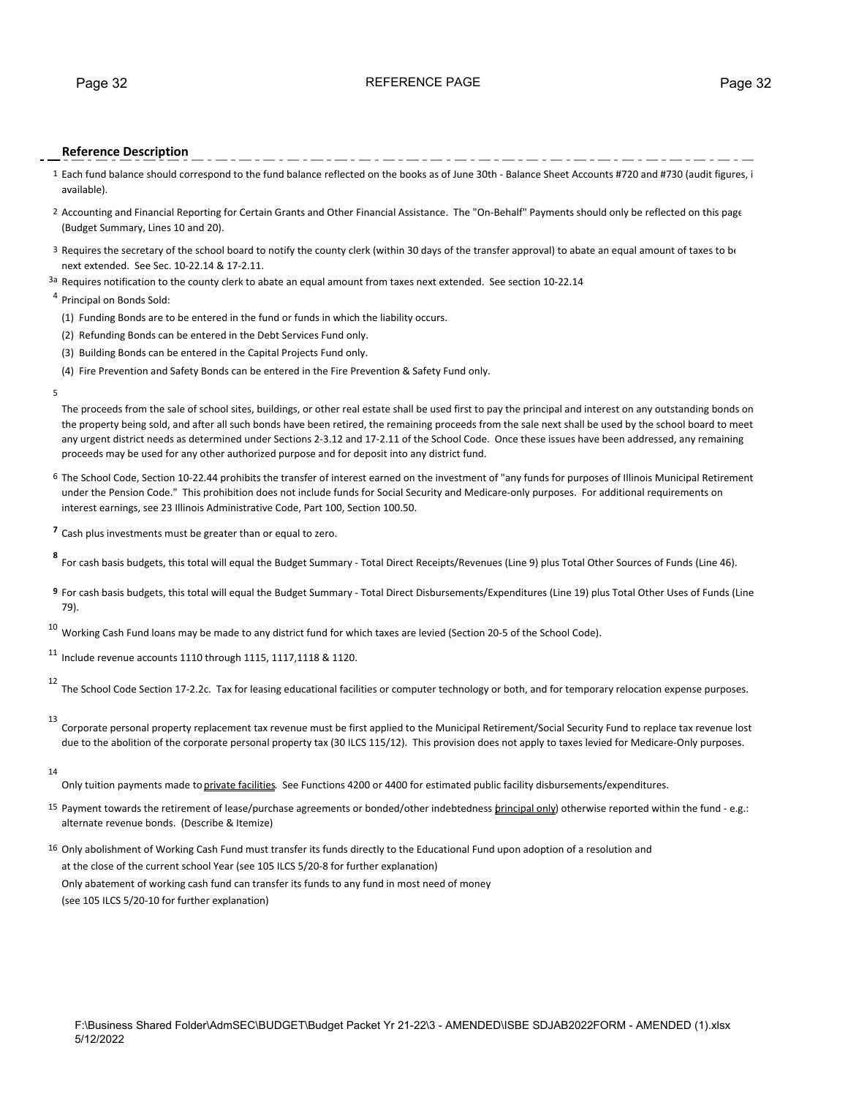#### Page 32 **Page 32** REFERENCE PAGE **PAGE** Page 32

#### **Reference Description**

- 1 Each fund balance should correspond to the fund balance reflected on the books as of June 30th ‐ Balance Sheet Accounts #720 and #730 (audit figures, i available).
- 2 Accounting and Financial Reporting for Certain Grants and Other Financial Assistance. The "On‐Behalf" Payments should only be reflected on this page (Budget Summary, Lines 10 and 20).
- 3 Requires the secretary of the school board to notify the county clerk (within 30 days of the transfer approval) to abate an equal amount of taxes to be next extended. See Sec. 10‐22.14 & 17‐2.11.
- 3a Requires notification to the county clerk to abate an equal amount from taxes next extended. See section 10-22.14

#### <sup>4</sup> Principal on Bonds Sold:

- (1) Funding Bonds are to be entered in the fund or funds in which the liability occurs.
- (2) Refunding Bonds can be entered in the Debt Services Fund only.
- (3) Building Bonds can be entered in the Capital Projects Fund only.
- (4) Fire Prevention and Safety Bonds can be entered in the Fire Prevention & Safety Fund only.
- 5

The proceeds from the sale of school sites, buildings, or other real estate shall be used first to pay the principal and interest on any outstanding bonds on the property being sold, and after all such bonds have been retired, the remaining proceeds from the sale next shall be used by the school board to meet any urgent district needs as determined under Sections 2‐3.12 and 17‐2.11 of the School Code. Once these issues have been addressed, any remaining proceeds may be used for any other authorized purpose and for deposit into any district fund.

- 6 The School Code, Section 10‐22.44 prohibits the transfer of interest earned on the investment of "any funds for purposes of Illinois Municipal Retirement under the Pension Code." This prohibition does not include funds for Social Security and Medicare-only purposes. For additional requirements on interest earnings, see 23 Illinois Administrative Code, Part 100, Section 100.50.
- **<sup>7</sup>** Cash plus investments must be greater than or equal to zero.
- For cash basis budgets, this total will equal the Budget Summary Total Direct Receipts/Revenues (Line 9) plus Total Other Sources of Funds (Line 46).
- **9** For cash basis budgets, this total will equal the Budget Summary ‐ Total Direct Disbursements/Expenditures (Line 19) plus Total Other Uses of Funds (Line 79).
- $10$  Working Cash Fund loans may be made to any district fund for which taxes are levied (Section 20-5 of the School Code).

 $11$  Include revenue accounts 1110 through 1115, 1117, 1118 & 1120.

12 The School Code Section 17‐2.2c. Tax for leasing educational facilities or computer technology or both, and for temporary relocation expense purposes.

13

Corporate personal property replacement tax revenue must be first applied to the Municipal Retirement/Social Security Fund to replace tax revenue lost due to the abolition of the corporate personal property tax (30 ILCS 115/12). This provision does not apply to taxes levied for Medicare-Only purposes.

14

Only tuition payments made to private facilities. See Functions 4200 or 4400 for estimated public facility disbursements/expenditures.

- 15 Payment towards the retirement of lease/purchase agreements or bonded/other indebtedness *brincipal only*) otherwise reported within the fund e.g.: alternate revenue bonds. (Describe & Itemize)
- 16 Only abolishment of Working Cash Fund must transfer its funds directly to the Educational Fund upon adoption of a resolution and at the close of the current school Year (see 105 ILCS 5/20‐8 for further explanation) Only abatement of working cash fund can transfer its funds to any fund in most need of money (see 105 ILCS 5/20‐10 for further explanation)